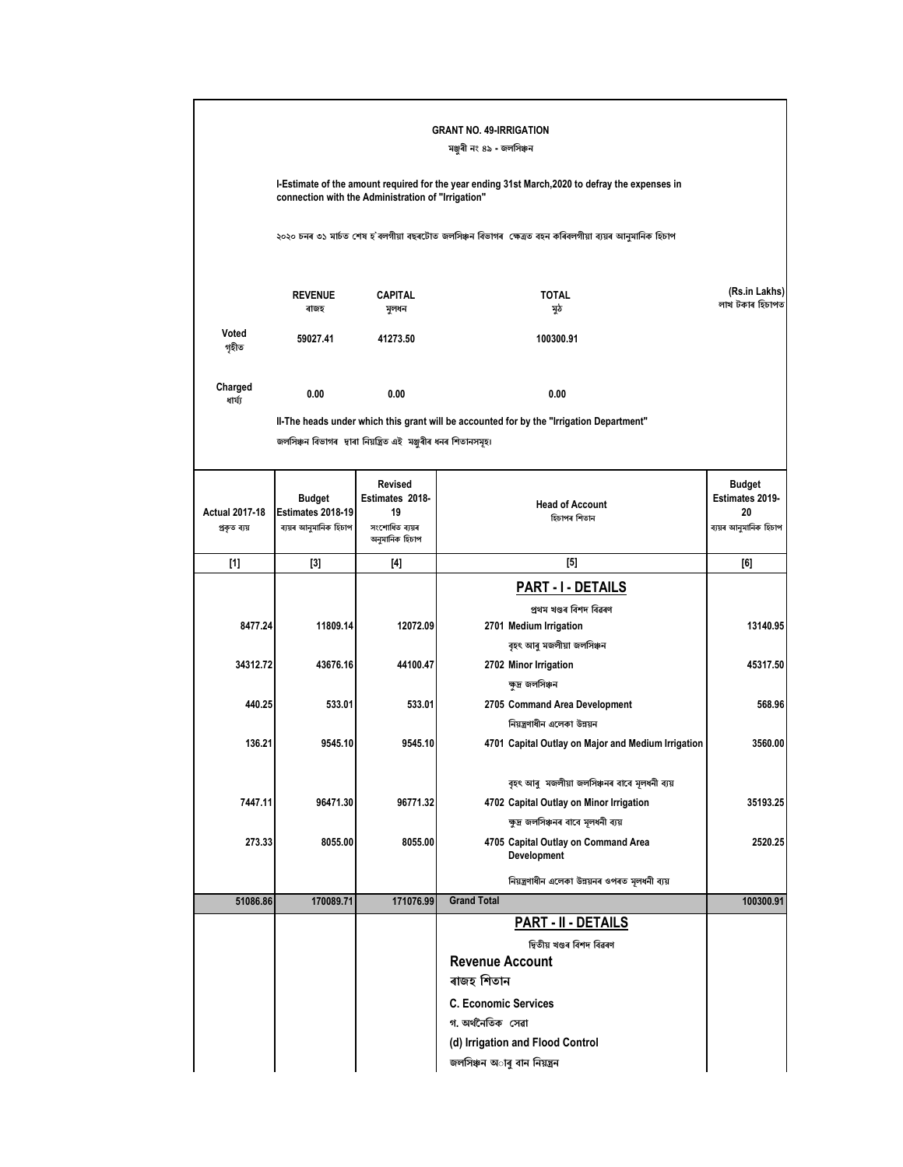|                                       |                                                             |                                                                             | <b>GRANT NO. 49-IRRIGATION</b><br>মঞ্জুৰী নং ৪৯ - জলসিঞ্চন                                                                     |                                                                 |
|---------------------------------------|-------------------------------------------------------------|-----------------------------------------------------------------------------|--------------------------------------------------------------------------------------------------------------------------------|-----------------------------------------------------------------|
|                                       |                                                             | connection with the Administration of "Irrigation"                          | I-Estimate of the amount required for the year ending 31st March, 2020 to defray the expenses in                               |                                                                 |
|                                       |                                                             |                                                                             | ২০২০ চনৰ ৩১ মাৰ্চত শেষ হ`বলগীয়া বছৰটোত জলসিঞ্চন বিভাগৰ  ক্ষেত্ৰত বহন কৰিবলগীয়া ব্যয়ৰ আনুমানিক হিচাপ                         |                                                                 |
|                                       | <b>REVENUE</b><br>ৰাজহ                                      | <b>CAPITAL</b><br>সুলধন                                                     | <b>TOTAL</b><br>মুঠ                                                                                                            | (Rs.in Lakhs)<br>লাখ টকাৰ হিচাপত                                |
| Voted<br>গৃহীত                        | 59027.41                                                    | 41273.50                                                                    | 100300.91                                                                                                                      |                                                                 |
| Charged<br>ধাৰ্য্য                    | 0.00                                                        | 0.00                                                                        | 0.00                                                                                                                           |                                                                 |
|                                       |                                                             |                                                                             | II-The heads under which this grant will be accounted for by the "Irrigation Department"                                       |                                                                 |
|                                       |                                                             | জলসিঞ্চন বিভাগৰ দ্বাৰা নিয়ন্ত্ৰিত এই মঞ্জুৰীৰ ধনৰ শিতানসমূহ।               |                                                                                                                                |                                                                 |
| <b>Actual 2017-18</b><br>প্ৰকৃত ব্যয় | <b>Budget</b><br>Estimates 2018-19<br>ব্যয়ৰ আনুমানিক হিচাপ | <b>Revised</b><br>Estimates 2018-<br>19<br>সংশোধিত ব্যয়ৰ<br>অনুমানিক হিচাপ | <b>Head of Account</b><br>হিচাপৰ শিতান                                                                                         | <b>Budget</b><br>Estimates 2019-<br>20<br>ব্যয়ৰ আনুমানিক হিচাপ |
| $[1]$                                 | $[3]$                                                       | [4]                                                                         | [5]                                                                                                                            | [6]                                                             |
|                                       |                                                             |                                                                             | PART - I - DETAILS                                                                                                             |                                                                 |
| 8477.24                               | 11809.14                                                    | 12072.09                                                                    | প্ৰথম খণ্ডৰ বিশদ বিৱৰণ<br>2701 Medium Irrigation                                                                               | 13140.95                                                        |
| 34312.72                              | 43676.16                                                    | 44100.47                                                                    | বৃহৎ আৰু মজলীয়া জলসিঞ্চন<br>2702 Minor Irrigation                                                                             | 45317.50                                                        |
| 440.25                                | 533.01                                                      | 533.01                                                                      | ক্ষুদ্ৰ জলসিঞ্চন<br>2705 Command Area Development<br>নিয়ন্ত্রণাধীন এলেকা উন্নয়ন                                              | 568.96                                                          |
| 136.21                                | 9545.10                                                     | 9545.10                                                                     | 4701 Capital Outlay on Major and Medium Irrigation                                                                             | 3560.00                                                         |
| 7447.11                               | 96471.30                                                    | 96771.32                                                                    | বৃহৎ আৰু মজলীয়া জলসিঞ্চনৰ বাবে মূলধনী ব্যয়<br>4702 Capital Outlay on Minor Irrigation<br>ক্ষুদ্ৰ জলসিঞ্চনৰ বাবে মূলধনী ব্যয় | 35193.25                                                        |
| 273.33                                | 8055.00                                                     | 8055.00                                                                     | 4705 Capital Outlay on Command Area<br>Development                                                                             | 2520.25                                                         |
|                                       |                                                             |                                                                             | নিয়ন্ত্ৰণাধীন এলেকা উন্নয়নৰ ওপৰত মূলধনী ব্যয়                                                                                |                                                                 |
| 51086.86                              | 170089.71                                                   | 171076.99                                                                   | <b>Grand Total</b>                                                                                                             | 100300.91                                                       |
|                                       |                                                             |                                                                             | PART - II - DETAILS                                                                                                            |                                                                 |
|                                       |                                                             |                                                                             | দ্বিতীয় খণ্ডৰ বিশদ বিৱৰণ                                                                                                      |                                                                 |
|                                       |                                                             |                                                                             | <b>Revenue Account</b>                                                                                                         |                                                                 |
|                                       |                                                             |                                                                             | ৰাজহ শিতান                                                                                                                     |                                                                 |
|                                       |                                                             |                                                                             | <b>C. Economic Services</b>                                                                                                    |                                                                 |
|                                       |                                                             |                                                                             | গ অৰ্থনৈতিক সেৱা<br>(d) Irrigation and Flood Control                                                                           |                                                                 |
|                                       |                                                             |                                                                             | জলসিঞ্চন অাৰু বান নিয়ন্ত্ৰন                                                                                                   |                                                                 |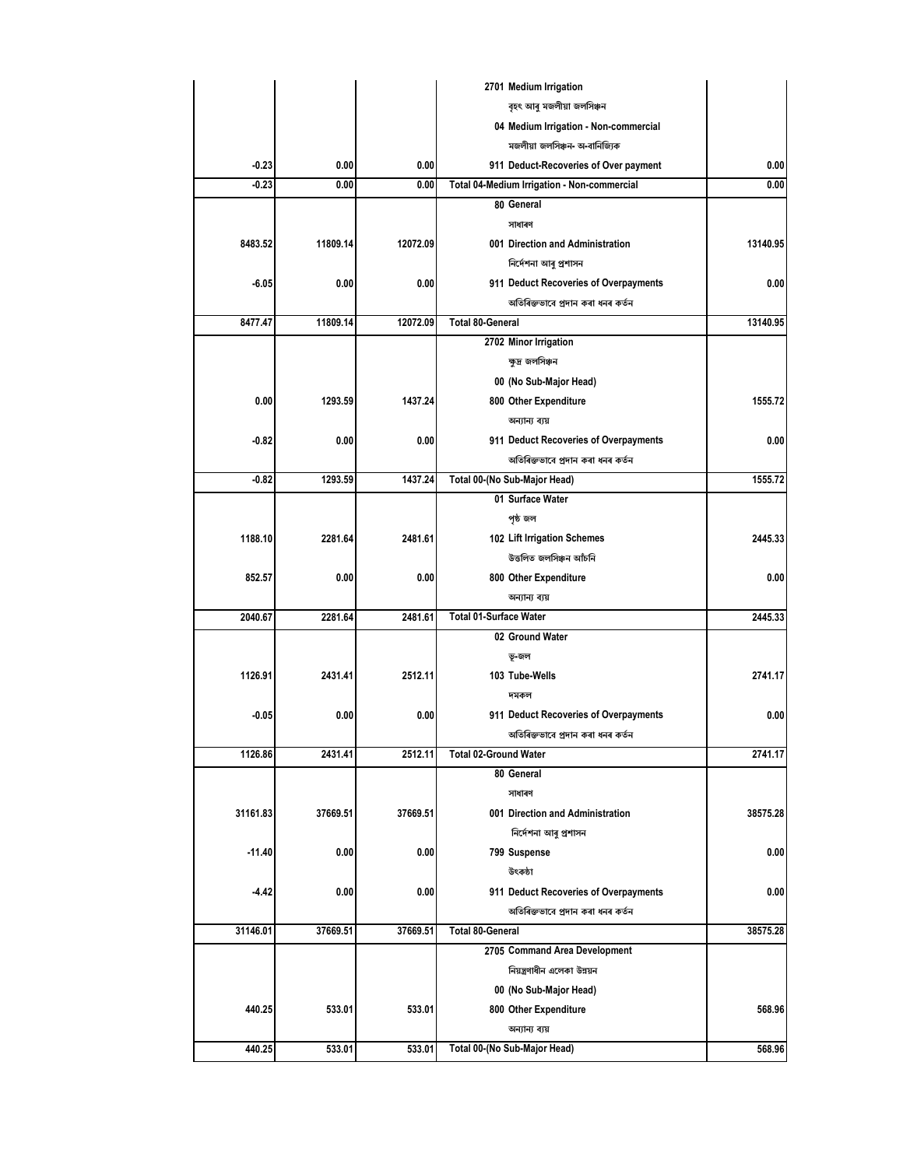|          |                    |          | 2701 Medium Irrigation                           |          |
|----------|--------------------|----------|--------------------------------------------------|----------|
|          |                    |          | বৃহৎ আৰু মজলীয়া জলসিঞ্চন                        |          |
|          |                    |          | 04 Medium Irrigation - Non-commercial            |          |
|          |                    |          | মজলীয়া জলসিঞ্চন- অ-বানিজ্যিক                    |          |
|          | $-0.23$<br>0.00    | 0.00     | 911 Deduct-Recoveries of Over payment            | 0.00     |
|          | $-0.23$<br>0.00    | 0.00     | Total 04-Medium Irrigation - Non-commercial      | 0.00     |
|          |                    |          | 80 General                                       |          |
|          |                    |          | সাধাৰণ                                           |          |
| 8483.52  | 11809.14           | 12072.09 | 001 Direction and Administration                 | 13140.95 |
|          |                    |          | নিৰ্দেশনা আৰু প্ৰশাসন                            |          |
|          | -6.05<br>0.00      | 0.00     | 911 Deduct Recoveries of Overpayments            | 0.00     |
|          |                    |          | অতিৰিক্তভাবে প্ৰদান কৰা ধনৰ কৰ্তন                |          |
| 8477.47  | 11809.14           | 12072.09 | <b>Total 80-General</b>                          | 13140.95 |
|          |                    |          | 2702 Minor Irrigation                            |          |
|          |                    |          | ক্ষুদ্ৰ জলসিঞ্চন                                 |          |
|          |                    |          | 00 (No Sub-Major Head)                           |          |
|          | 0.00<br>1293.59    | 1437.24  | 800 Other Expenditure                            | 1555.72  |
|          |                    |          | অন্যান্য ব্যয়                                   |          |
|          | -0.82<br>0.00      | 0.00     |                                                  | 0.00     |
|          |                    |          | 911 Deduct Recoveries of Overpayments            |          |
|          |                    |          | অতিৰিক্তভাবে প্ৰদান কৰা ধনৰ কৰ্তন                |          |
|          | $-0.82$<br>1293.59 | 1437.24  | Total 00-(No Sub-Major Head)<br>01 Surface Water | 1555.72  |
|          |                    |          |                                                  |          |
|          |                    |          | পৃষ্ঠ জল                                         |          |
| 1188.10  | 2281.64            | 2481.61  | 102 Lift Irrigation Schemes                      | 2445.33  |
|          |                    |          | উত্তলিত জলসিঞ্চন আঁচনি                           |          |
| 852.57   | 0.00               | 0.00     | 800 Other Expenditure                            | 0.00     |
|          |                    |          | অন্যান্য ব্যয়                                   |          |
| 2040.67  | 2281.64            | 2481.61  | <b>Total 01-Surface Water</b>                    | 2445.33  |
|          |                    |          | 02 Ground Water                                  |          |
|          |                    |          | ভূ-জল                                            |          |
| 1126.91  | 2431.41            | 2512.11  | 103 Tube-Wells                                   | 2741.17  |
|          |                    |          | দমকল                                             |          |
|          | $-0.05$<br>0.00    | 0.00     | 911 Deduct Recoveries of Overpayments            | 0.00     |
|          |                    |          | অতিৰিক্তভাবে প্ৰদান কৰা ধনৰ কৰ্তন                |          |
| 1126.86  | 2431.41            | 2512.11  | <b>Total 02-Ground Water</b>                     | 2741.17  |
|          |                    |          | 80 General                                       |          |
|          |                    |          | সাধাৰণ                                           |          |
| 31161.83 | 37669.51           | 37669.51 | 001 Direction and Administration                 | 38575.28 |
|          |                    |          | নিৰ্দেশনা আৰু প্ৰশাসন                            |          |
| $-11.40$ | 0.00               | 0.00     | 799 Suspense                                     | 0.00     |
|          |                    |          | উৎকষ্ঠা                                          |          |
|          | $-4.42$<br>0.00    | 0.00     | 911 Deduct Recoveries of Overpayments            | 0.00     |
|          |                    |          | অতিৰিক্তভাবে প্ৰদান কৰা ধনৰ কৰ্তন                |          |
| 31146.01 | 37669.51           | 37669.51 | <b>Total 80-General</b>                          | 38575.28 |
|          |                    |          | 2705 Command Area Development                    |          |
|          |                    |          | নিয়ন্ত্রণাধীন এলেকা উন্নয়ন                     |          |
|          |                    |          | 00 (No Sub-Major Head)                           |          |
| 440.25   | 533.01             | 533.01   | 800 Other Expenditure                            | 568.96   |
|          |                    |          | অন্যান্য ব্যয়                                   |          |
| 440.25   | 533.01             | 533.01   | Total 00-(No Sub-Major Head)                     | 568.96   |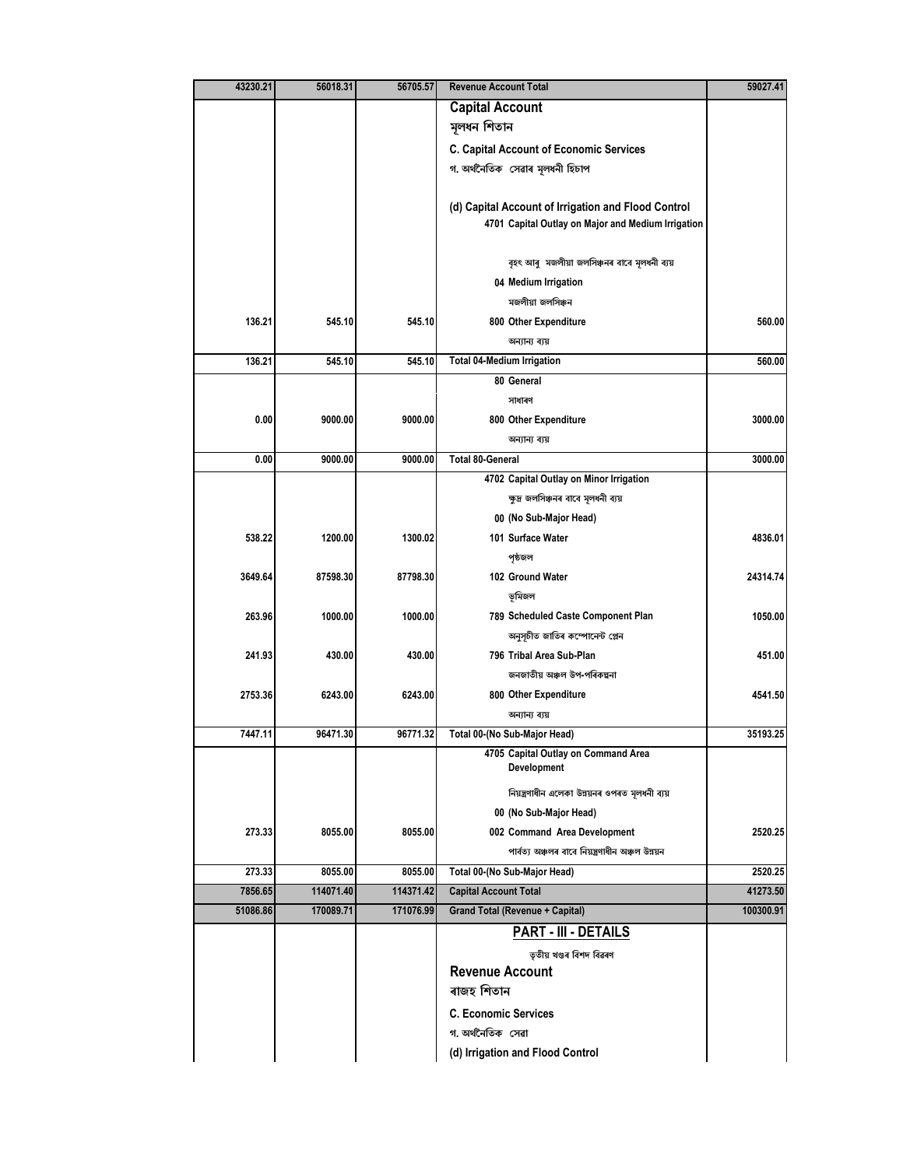| 43230.21 | 56018.31  | 56705.57  | <b>Revenue Account Total</b>                        | 59027.41  |
|----------|-----------|-----------|-----------------------------------------------------|-----------|
|          |           |           | <b>Capital Account</b>                              |           |
|          |           |           | মূলধন শিতান                                         |           |
|          |           |           | <b>C. Capital Account of Economic Services</b>      |           |
|          |           |           | গ. অৰ্থনৈতিক সেৱাৰ মূলধনী হিচাপ                     |           |
|          |           |           |                                                     |           |
|          |           |           | (d) Capital Account of Irrigation and Flood Control |           |
|          |           |           | 4701 Capital Outlay on Major and Medium Irrigation  |           |
|          |           |           |                                                     |           |
|          |           |           | বৃহৎ আৰু মজলীয়া জলসিঞ্চনৰ বাবে মূলধনী ব্যয়        |           |
|          |           |           | 04 Medium Irrigation                                |           |
|          |           |           | মজলীয়া জলসিঞ্চন                                    |           |
| 136.21   | 545.10    | 545.10    | 800 Other Expenditure                               | 560.00    |
|          |           |           | অন্যান্য ব্যয়                                      |           |
| 136.21   | 545.10    | 545.10    | <b>Total 04-Medium Irrigation</b>                   | 560.00    |
|          |           |           | 80 General                                          |           |
|          |           |           | সাধাৰণ                                              |           |
| 0.00     | 9000.00   | 9000.00   | 800 Other Expenditure                               | 3000.00   |
|          |           |           | অন্যান্য ব্যয়                                      |           |
| 0.00     | 9000.00   | 9000.00   | <b>Total 80-General</b>                             | 3000.00   |
|          |           |           | 4702 Capital Outlay on Minor Irrigation             |           |
|          |           |           | ক্ষুদ্ৰ জলসিঞ্চনৰ বাবে মূলধনী ব্যয়                 |           |
|          |           |           | 00 (No Sub-Major Head)                              |           |
| 538.22   | 1200.00   | 1300.02   | 101 Surface Water                                   | 4836.01   |
|          |           |           | পৃষ্ঠজল                                             |           |
| 3649.64  | 87598.30  | 87798.30  | 102 Ground Water                                    | 24314.74  |
|          |           |           | ভূমিজল                                              |           |
| 263.96   | 1000.00   | 1000.00   | 789 Scheduled Caste Component Plan                  | 1050.00   |
|          |           |           | অনুসূচীত জাতিৰ কম্পোনেন্ট প্লেন                     |           |
| 241.93   | 430.00    | 430.00    | 796 Tribal Area Sub-Plan                            | 451.00    |
|          |           |           | জনজাতীয় অঞ্চল উপ-পৰিকল্পনা                         |           |
| 2753.36  | 6243.00   | 6243.00   | 800 Other Expenditure                               | 4541.50   |
|          |           |           | অন্যান্য ব্যয়                                      |           |
| 7447.11  | 96471.30  | 96771.32  | Total 00-(No Sub-Major Head)                        | 35193.25  |
|          |           |           | 4705 Capital Outlay on Command Area<br>Development  |           |
|          |           |           | নিয়ন্ত্ৰণাধীন এলেকা উন্নয়নৰ ওপৰত মূলধনী ব্যয়     |           |
|          |           |           | 00 (No Sub-Major Head)                              |           |
| 273.33   | 8055.00   | 8055.00   | 002 Command Area Development                        | 2520.25   |
|          |           |           | পাৰ্বত্য অঞ্চলৰ বাবে নিয়ন্ত্ৰণাধীন অঞ্চল উন্নয়ন   |           |
| 273.33   | 8055.00   | 8055.00   | Total 00-(No Sub-Major Head)                        | 2520.25   |
| 7856.65  | 114071.40 | 114371.42 | <b>Capital Account Total</b>                        | 41273.50  |
| 51086.86 | 170089.71 | 171076.99 | <b>Grand Total (Revenue + Capital)</b>              | 100300.91 |
|          |           |           | <b>PART - III - DETAILS</b>                         |           |
|          |           |           |                                                     |           |
|          |           |           | তৃতীয় খণ্ডৰ বিশদ বিৱৰণ                             |           |
|          |           |           | <b>Revenue Account</b><br>ৰাজহ শিতান                |           |
|          |           |           |                                                     |           |
|          |           |           | <b>C. Economic Services</b>                         |           |
|          |           |           | গ অৰ্থনৈতিক সেৱা                                    |           |
|          |           |           | (d) Irrigation and Flood Control                    |           |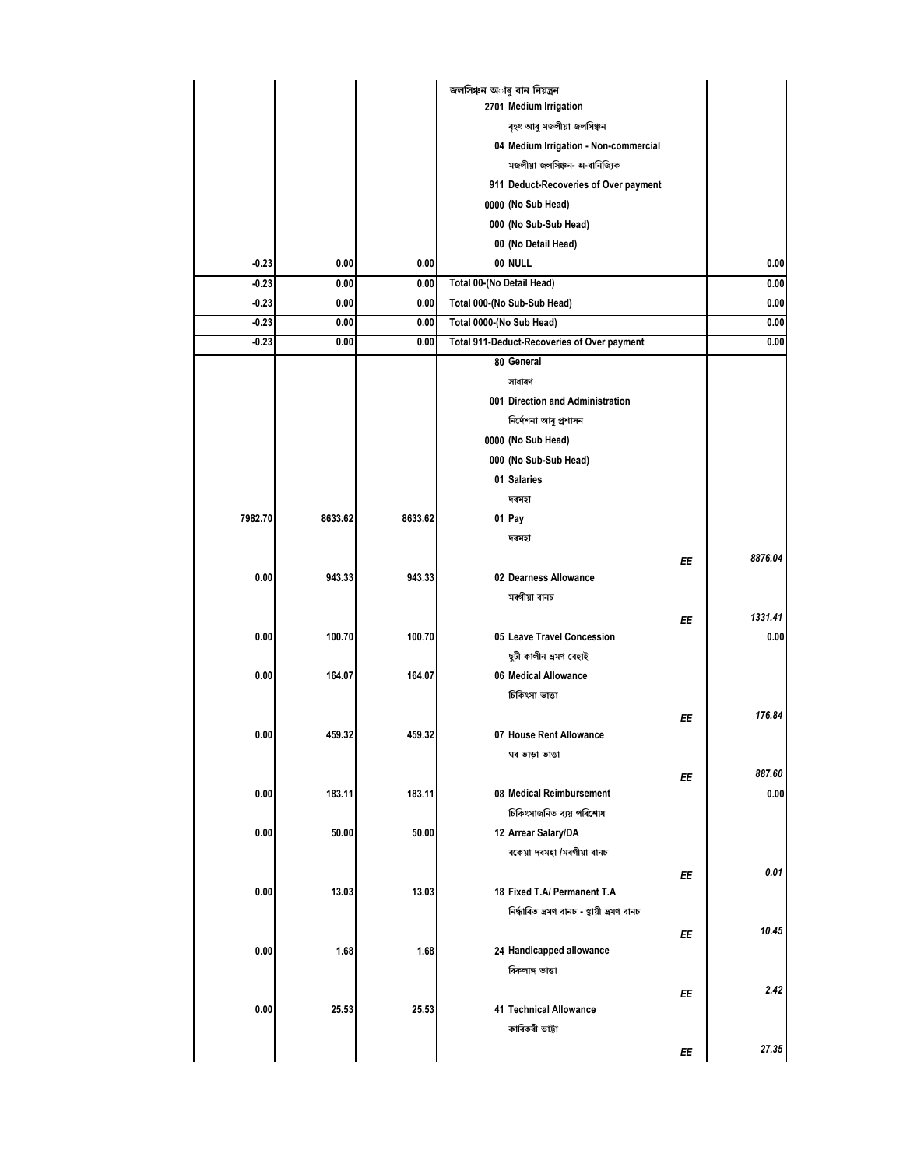|         |         |         | জলসিঞ্চন অাৰু বান নিয়ন্ত্ৰন                |    |         |
|---------|---------|---------|---------------------------------------------|----|---------|
|         |         |         | 2701 Medium Irrigation                      |    |         |
|         |         |         | বৃহৎ আৰু মজলীয়া জলসিঞ্চন                   |    |         |
|         |         |         | 04 Medium Irrigation - Non-commercial       |    |         |
|         |         |         | মজলীয়া জলসিঞ্চন- অ-বানিজ্যিক               |    |         |
|         |         |         | 911 Deduct-Recoveries of Over payment       |    |         |
|         |         |         | 0000 (No Sub Head)                          |    |         |
|         |         |         | 000 (No Sub-Sub Head)                       |    |         |
|         |         |         | 00 (No Detail Head)                         |    |         |
| $-0.23$ | 0.00    | 0.00    | 00 NULL                                     |    | 0.00    |
| $-0.23$ | 0.00    | 0.00    | Total 00-(No Detail Head)                   |    | 0.00    |
| $-0.23$ | 0.00    | 0.00    | Total 000-(No Sub-Sub Head)                 |    | 0.00    |
| -0.23   | 0.00    | 0.00    | Total 0000-(No Sub Head)                    |    | 0.00    |
| $-0.23$ | 0.00    | 0.00    | Total 911-Deduct-Recoveries of Over payment |    | 0.00    |
|         |         |         | 80 General                                  |    |         |
|         |         |         | সাধাৰণ                                      |    |         |
|         |         |         | 001 Direction and Administration            |    |         |
|         |         |         | নিৰ্দেশনা আৰু প্ৰশাসন                       |    |         |
|         |         |         | 0000 (No Sub Head)                          |    |         |
|         |         |         | 000 (No Sub-Sub Head)                       |    |         |
|         |         |         | 01 Salaries                                 |    |         |
|         |         |         | দৰমহা                                       |    |         |
| 7982.70 | 8633.62 | 8633.62 | 01 Pay                                      |    |         |
|         |         |         | দৰমহা                                       |    |         |
|         |         |         |                                             | EE | 8876.04 |
| 0.00    | 943.33  | 943.33  | 02 Dearness Allowance                       |    |         |
|         |         |         | মৰগীয়া বানচ                                |    |         |
|         |         |         |                                             | ΕE | 1331.41 |
| 0.00    | 100.70  | 100.70  | 05 Leave Travel Concession                  |    | 0.00    |
|         |         |         | ছুটী কালীন ভ্ৰমণ ৰেহাই                      |    |         |
| 0.00    | 164.07  | 164.07  | 06 Medical Allowance                        |    |         |
|         |         |         | চিকিৎসা ভাত্তা                              |    |         |
|         |         |         |                                             | ΕE | 176.84  |
| 0.00    | 459.32  | 459.32  | 07 House Rent Allowance                     |    |         |
|         |         |         | ঘৰ ভাড়া ভাত্তা                             |    |         |
|         |         |         |                                             | ΕE | 887.60  |
| 0.00    | 183.11  | 183.11  | 08 Medical Reimbursement                    |    | 0.00    |
|         |         |         | চিকিৎসাজনিত ব্যয় পৰিশোধ                    |    |         |
| 0.00    | 50.00   | 50.00   | 12 Arrear Salary/DA                         |    |         |
|         |         |         | বকেয়া দৰমহা /মৰগীয়া বানচ                  |    |         |
|         |         |         |                                             | ΕE | 0.01    |
| 0.00    | 13.03   | 13.03   | 18 Fixed T.A/ Permanent T.A                 |    |         |
|         |         |         | নিৰ্দ্ধাৰিত ভ্ৰমণ বানচ - স্থায়ী ভ্ৰমণ বানচ |    |         |
|         |         |         |                                             | EE | 10.45   |
| 0.00    | 1.68    | 1.68    | 24 Handicapped allowance                    |    |         |
|         |         |         | বিকলাঙ্গ ভাত্তা                             |    |         |
|         |         |         |                                             | ΕE | 2.42    |
| 0.00    | 25.53   | 25.53   | <b>41 Technical Allowance</b>               |    |         |
|         |         |         | কাৰিকৰী ভাট্টা                              |    |         |
|         |         |         |                                             | ΕE | 27.35   |
|         |         |         |                                             |    |         |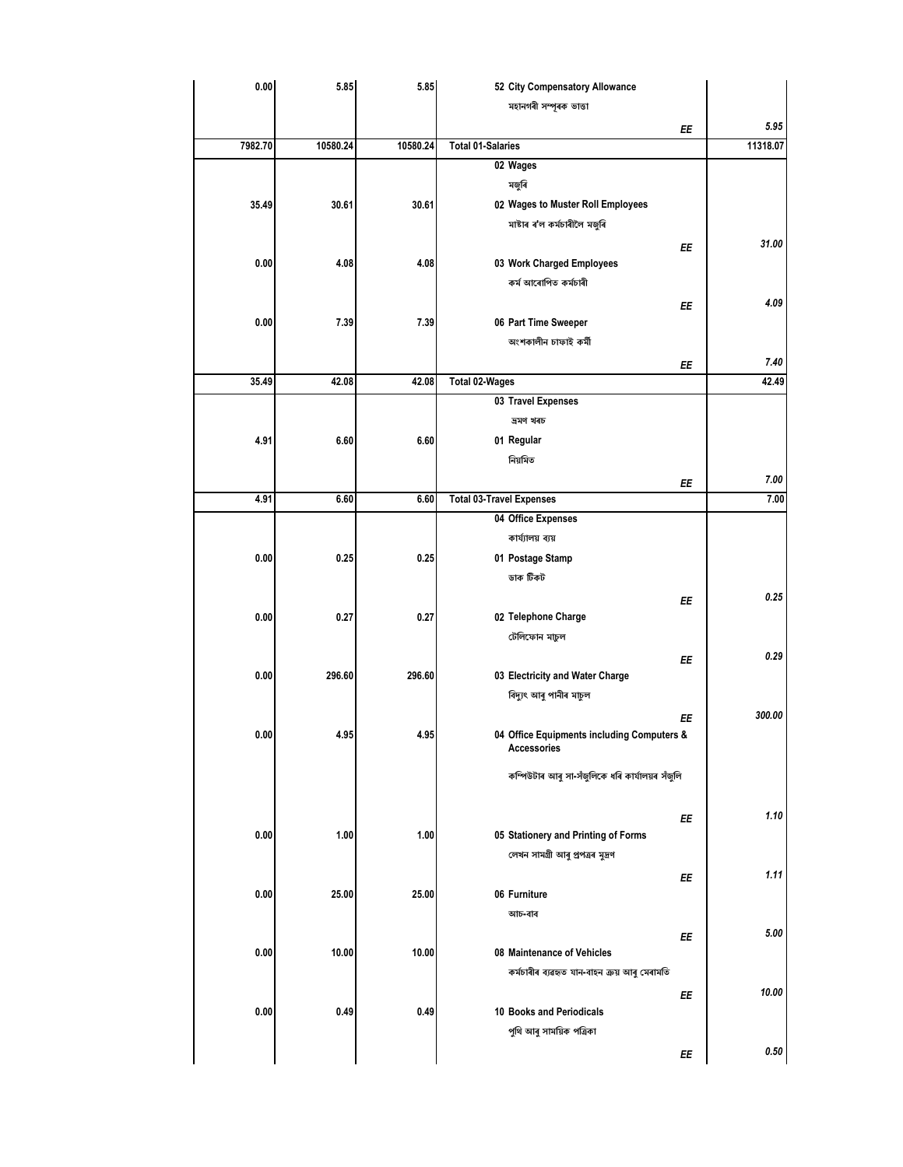| 0.00    | 5.85     | 5.85     | 52 City Compensatory Allowance                  |          |
|---------|----------|----------|-------------------------------------------------|----------|
|         |          |          | মহানগৰী সম্পূৰক ভাত্তা                          |          |
|         |          |          | ΕE                                              | 5.95     |
| 7982.70 | 10580.24 | 10580.24 | <b>Total 01-Salaries</b>                        | 11318.07 |
|         |          |          | 02 Wages                                        |          |
|         |          |          | মজুৰি                                           |          |
| 35.49   | 30.61    | 30.61    | 02 Wages to Muster Roll Employees               |          |
|         |          |          | মাষ্টাৰ ৰ'ল কৰ্মচাৰীলৈ মজুৰি                    |          |
|         |          |          |                                                 | 31.00    |
| 0.00    | 4.08     | 4.08     | EE<br>03 Work Charged Employees                 |          |
|         |          |          | কৰ্ম আৰোপিত কৰ্মচাৰী                            |          |
|         |          |          |                                                 |          |
|         |          |          | EE                                              | 4.09     |
| 0.00    | 7.39     | 7.39     | 06 Part Time Sweeper                            |          |
|         |          |          | অংশকালীন চাফাই কৰ্মী                            |          |
|         |          |          | ΕE                                              | 7.40     |
| 35.49   | 42.08    | 42.08    | <b>Total 02-Wages</b>                           | 42.49    |
|         |          |          | 03 Travel Expenses                              |          |
|         |          |          | ভ্ৰমণ খৰচ                                       |          |
| 4.91    | 6.60     | 6.60     | 01 Regular                                      |          |
|         |          |          | নিয়মিত                                         |          |
|         |          |          | ΕE                                              | 7.00     |
| 4.91    | 6.60     | 6.60     | <b>Total 03-Travel Expenses</b>                 | 7.00     |
|         |          |          | 04 Office Expenses                              |          |
|         |          |          | কাৰ্য্যালয় ব্যয়                               |          |
| 0.00    | 0.25     | 0.25     | 01 Postage Stamp                                |          |
|         |          |          | ডাক টিকট                                        |          |
|         |          |          |                                                 |          |
|         |          |          | EE                                              | 0.25     |
| 0.00    | 0.27     | 0.27     | 02 Telephone Charge                             |          |
|         |          |          | টেলিফোন মাচুল                                   |          |
|         |          |          | ΕE                                              | 0.29     |
| 0.00    | 296.60   | 296.60   | 03 Electricity and Water Charge                 |          |
|         |          |          | বিদ্যুৎ আৰু পানীৰ মাচুল                         |          |
|         |          |          | ΕE                                              | 300.00   |
| 0.00    | 4.95     | 4.95     | 04 Office Equipments including Computers &      |          |
|         |          |          | Accessories                                     |          |
|         |          |          | কম্পিউটাৰ আৰু সা-সঁজুলিকে ধৰি কাৰ্যালয়ৰ সঁজুলি |          |
|         |          |          |                                                 |          |
|         |          |          | EE                                              | 1.10     |
| 0.00    | 1.00     | 1.00     | 05 Stationery and Printing of Forms             |          |
|         |          |          | লেখন সামগ্ৰী আৰু প্ৰপত্ৰৰ মুদ্ৰণ                |          |
|         |          |          |                                                 | 1.11     |
|         |          |          | EE                                              |          |
| 0.00    | 25.00    | 25.00    | 06 Furniture                                    |          |
|         |          |          | আচ-বাব                                          |          |
|         |          |          | EE                                              | 5.00     |
| 0.00    | 10.00    | 10.00    | 08 Maintenance of Vehicles                      |          |
|         |          |          | কৰ্মচাৰীৰ ব্যৱহৃত যান-বাহন ক্ৰয় আৰু মেৰামতি    |          |
|         |          |          | EE                                              | 10.00    |
| 0.00    | 0.49     | 0.49     | 10 Books and Periodicals                        |          |
|         |          |          | পুথি আৰু সাময়িক পত্ৰিকা                        |          |
|         |          |          | EE                                              | 0.50     |
|         |          |          |                                                 |          |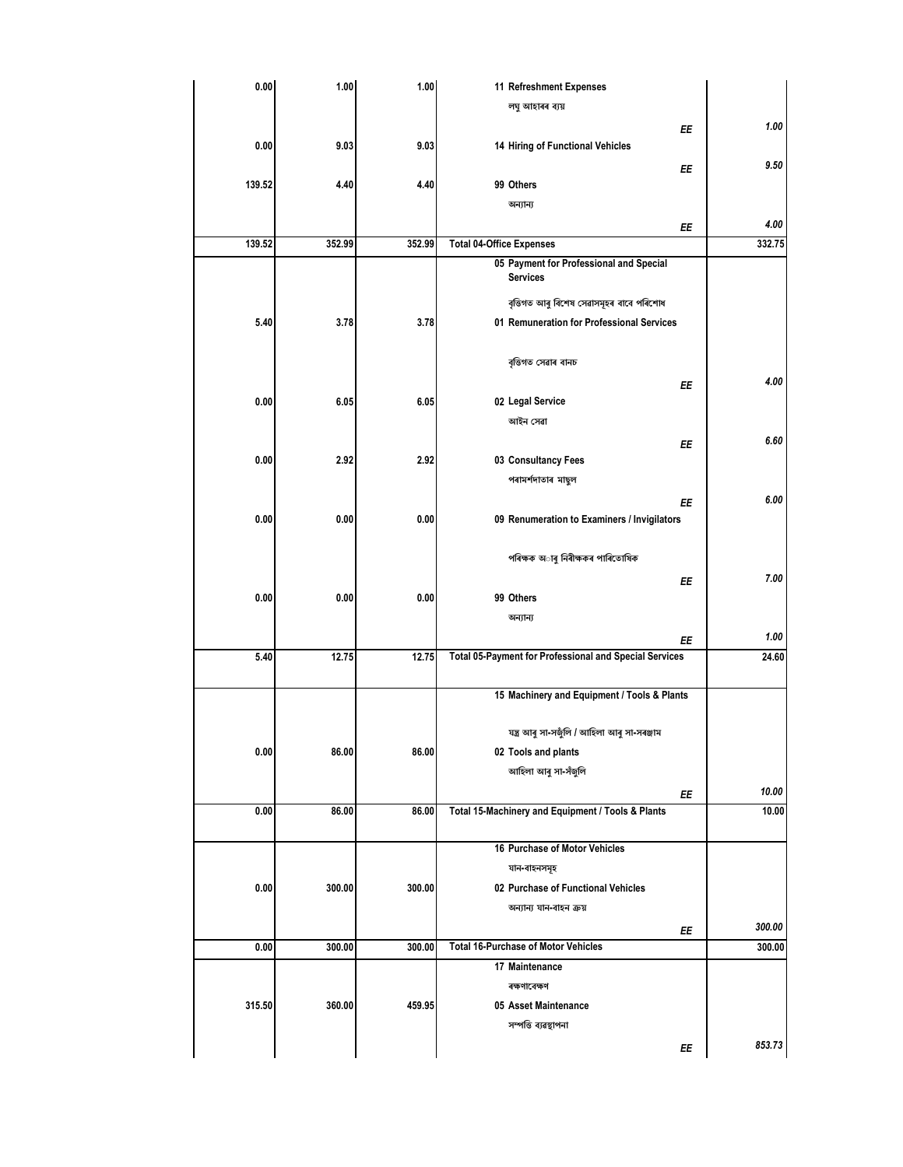| 0.00   | 1.00   | 1.00   | 11 Refreshment Expenses                                |        |
|--------|--------|--------|--------------------------------------------------------|--------|
|        |        |        | লঘু আহাৰৰ ব্যয়                                        |        |
|        |        |        | ΕE                                                     | 1.00   |
| 0.00   | 9.03   | 9.03   | 14 Hiring of Functional Vehicles                       |        |
|        |        |        | EE                                                     | 9.50   |
| 139.52 | 4.40   | 4.40   | 99 Others                                              |        |
|        |        |        | অন্যান্য                                               |        |
|        |        |        | ΕE                                                     | 4.00   |
| 139.52 | 352.99 | 352.99 | <b>Total 04-Office Expenses</b>                        | 332.75 |
|        |        |        | 05 Payment for Professional and Special                |        |
|        |        |        | <b>Services</b>                                        |        |
|        |        |        | বৃত্তিগত আৰু বিশেষ সেৱাসমূহৰ বাবে পৰিশোধ               |        |
| 5.40   | 3.78   | 3.78   | 01 Remuneration for Professional Services              |        |
|        |        |        |                                                        |        |
|        |        |        | বৃত্তিগত সেৱাৰ বানচ                                    |        |
|        |        |        | EE                                                     | 4.00   |
| 0.00   | 6.05   | 6.05   | 02 Legal Service                                       |        |
|        |        |        | আইন সেৱা                                               |        |
|        |        |        |                                                        | 6.60   |
| 0.00   | 2.92   | 2.92   | ΕE<br>03 Consultancy Fees                              |        |
|        |        |        | পৰামৰ্শদাতাৰ মাছল                                      |        |
|        |        |        |                                                        |        |
|        |        |        | ΕE                                                     | 6.00   |
| 0.00   | 0.00   | 0.00   | 09 Renumeration to Examiners / Invigilators            |        |
|        |        |        |                                                        |        |
|        |        |        | পৰিক্ষক অাৰু নিৰীক্ষকৰ পাৰিতোষিক                       |        |
|        |        |        | ΕE                                                     | 7.00   |
| 0.00   | 0.00   | 0.00   | 99 Others                                              |        |
|        |        |        | অন্যান্য                                               |        |
|        |        |        | ΕE                                                     | 1.00   |
| 5.40   | 12.75  | 12.75  | Total 05-Payment for Professional and Special Services | 24.60  |
|        |        |        |                                                        |        |
|        |        |        | 15 Machinery and Equipment / Tools & Plants            |        |
|        |        |        |                                                        |        |
|        |        |        | যন্ত্ৰ আৰু সা-সজুঁলি / আহিলা আৰু সা-সৰঞ্জাম            |        |
| 0.00   | 86.00  | 86.00  | 02 Tools and plants                                    |        |
|        |        |        | আহিলা আৰু সা-সঁজুলি                                    |        |
|        |        |        | ΕE                                                     | 10.00  |
| 0.00   | 86.00  | 86.00  | Total 15-Machinery and Equipment / Tools & Plants      | 10.00  |
|        |        |        |                                                        |        |
|        |        |        | 16 Purchase of Motor Vehicles                          |        |
|        |        |        | যান-বাহনসমূহ                                           |        |
| 0.00   | 300.00 | 300.00 | 02 Purchase of Functional Vehicles                     |        |
|        |        |        | অন্যান্য যান-বাহন ক্ৰয়                                |        |
|        |        |        | ΕE                                                     | 300.00 |
| 0.00   | 300.00 | 300.00 | <b>Total 16-Purchase of Motor Vehicles</b>             | 300.00 |
|        |        |        | 17 Maintenance                                         |        |
|        |        |        | ৰক্ষণাবেক্ষণ                                           |        |
| 315.50 | 360.00 | 459.95 | 05 Asset Maintenance                                   |        |
|        |        |        | সম্পত্তি ব্যৱস্থাপনা                                   |        |
|        |        |        | ΕE                                                     | 853.73 |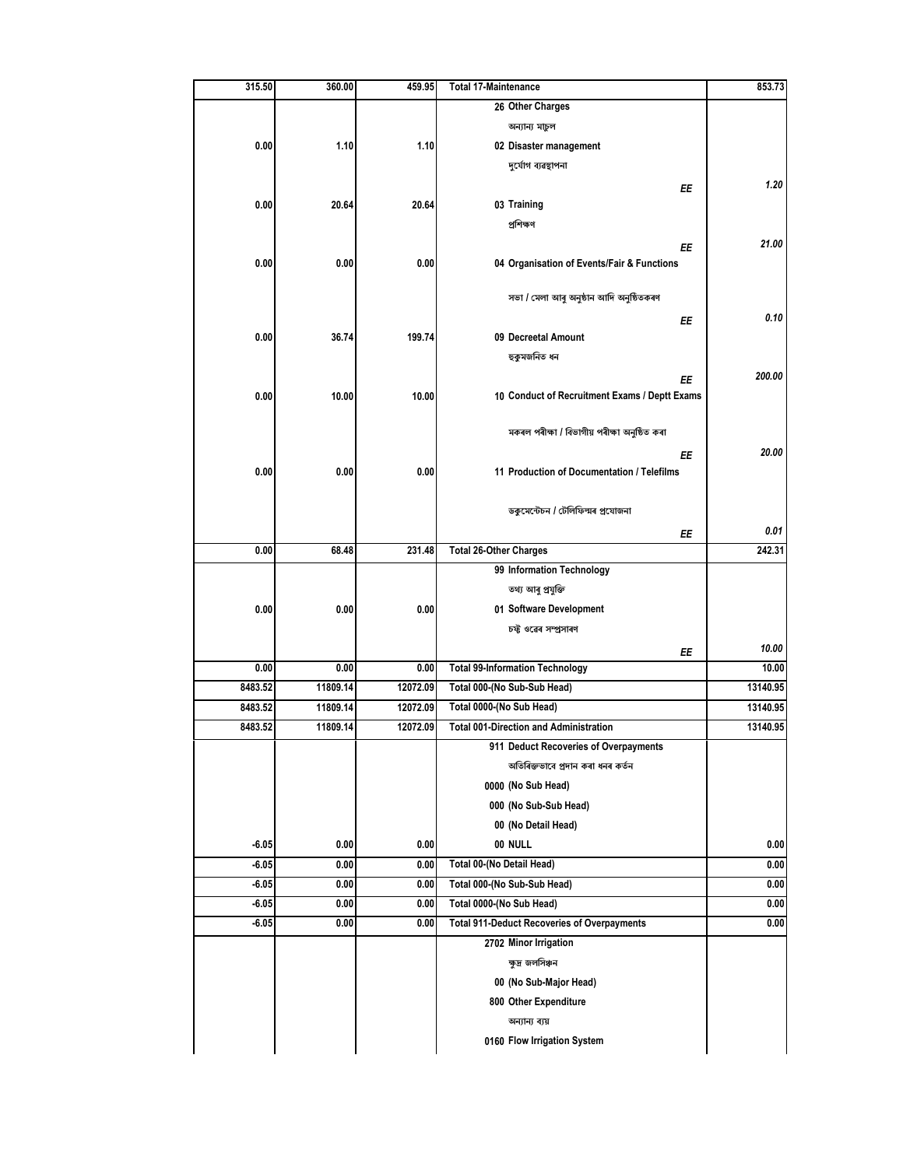| 315.50  | 360.00   | 459.95   | <b>Total 17-Maintenance</b>                        | 853.73   |
|---------|----------|----------|----------------------------------------------------|----------|
|         |          |          | 26 Other Charges                                   |          |
|         |          |          | অন্যান্য মাচুল                                     |          |
| 0.00    | 1.10     | 1.10     | 02 Disaster management                             |          |
|         |          |          | দুৰ্যোগ ব্যৱস্থাপনা                                |          |
|         |          |          | ΕE                                                 | 1.20     |
| 0.00    | 20.64    | 20.64    | 03 Training                                        |          |
|         |          |          | প্ৰশিক্ষণ                                          |          |
|         |          |          | ΕE                                                 | 21.00    |
| 0.00    | 0.00     | 0.00     | 04 Organisation of Events/Fair & Functions         |          |
|         |          |          |                                                    |          |
|         |          |          | সভা / মেলা আৰু অনুষ্ঠান আদি অনুষ্ঠিতকৰণ            |          |
|         |          |          | ΕE                                                 | 0.10     |
| 0.00    | 36.74    | 199.74   | 09 Decreetal Amount                                |          |
|         |          |          | হুকুমজনিত ধন                                       |          |
|         |          |          | ΕE                                                 | 200.00   |
| 0.00    | 10.00    | 10.00    | 10 Conduct of Recruitment Exams / Deptt Exams      |          |
|         |          |          |                                                    |          |
|         |          |          | মকৰল পৰীক্ষা / বিভাগীয় পৰীক্ষা অনুষ্ঠিত কৰা       |          |
|         |          |          | ΕE                                                 | 20.00    |
| 0.00    | 0.00     | 0.00     | 11 Production of Documentation / Telefilms         |          |
|         |          |          |                                                    |          |
|         |          |          | ডকুমেন্টেচন / টেলিফিল্মৰ প্ৰযোজনা                  |          |
|         |          |          | ΕE                                                 | 0.01     |
| 0.00    | 68.48    | 231.48   | <b>Total 26-Other Charges</b>                      | 242.31   |
|         |          |          | 99 Information Technology                          |          |
|         |          |          | তথ্য আৰু প্ৰযুক্তি                                 |          |
| 0.00    | 0.00     | 0.00     | 01 Software Development                            |          |
|         |          |          | চফ্ট ওৱেৰ সম্প্ৰসাৰণ                               |          |
|         |          |          | ΕE                                                 | 10.00    |
| 0.00    | 0.00     | 0.00     | <b>Total 99-Information Technology</b>             | 10.00    |
| 8483.52 | 11809.14 | 12072.09 | Total 000-(No Sub-Sub Head)                        | 13140.95 |
| 8483.52 | 11809.14 | 12072.09 | Total 0000-(No Sub Head)                           | 13140.95 |
| 8483.52 | 11809.14 | 12072.09 | <b>Total 001-Direction and Administration</b>      | 13140.95 |
|         |          |          | 911 Deduct Recoveries of Overpayments              |          |
|         |          |          | অতিৰিক্তভাবে প্ৰদান কৰা ধনৰ কৰ্তন                  |          |
|         |          |          | 0000 (No Sub Head)                                 |          |
|         |          |          | 000 (No Sub-Sub Head)                              |          |
|         |          |          | 00 (No Detail Head)                                |          |
| $-6.05$ | 0.00     | 0.00     | 00 NULL                                            | 0.00     |
| $-6.05$ | 0.00     | 0.00     | Total 00-(No Detail Head)                          | 0.00     |
| $-6.05$ | 0.00     | 0.00     | Total 000-(No Sub-Sub Head)                        | 0.00     |
| $-6.05$ | 0.00     | 0.00     | Total 0000-(No Sub Head)                           | 0.00     |
| $-6.05$ | 0.00     | 0.00     | <b>Total 911-Deduct Recoveries of Overpayments</b> | 0.00     |
|         |          |          | 2702 Minor Irrigation                              |          |
|         |          |          | ক্ষুদ্র জলসিঞ্চন                                   |          |
|         |          |          | 00 (No Sub-Major Head)                             |          |
|         |          |          | 800 Other Expenditure                              |          |
|         |          |          | অন্যান্য ব্যয়                                     |          |
|         |          |          |                                                    |          |
|         |          |          | 0160 Flow Irrigation System                        |          |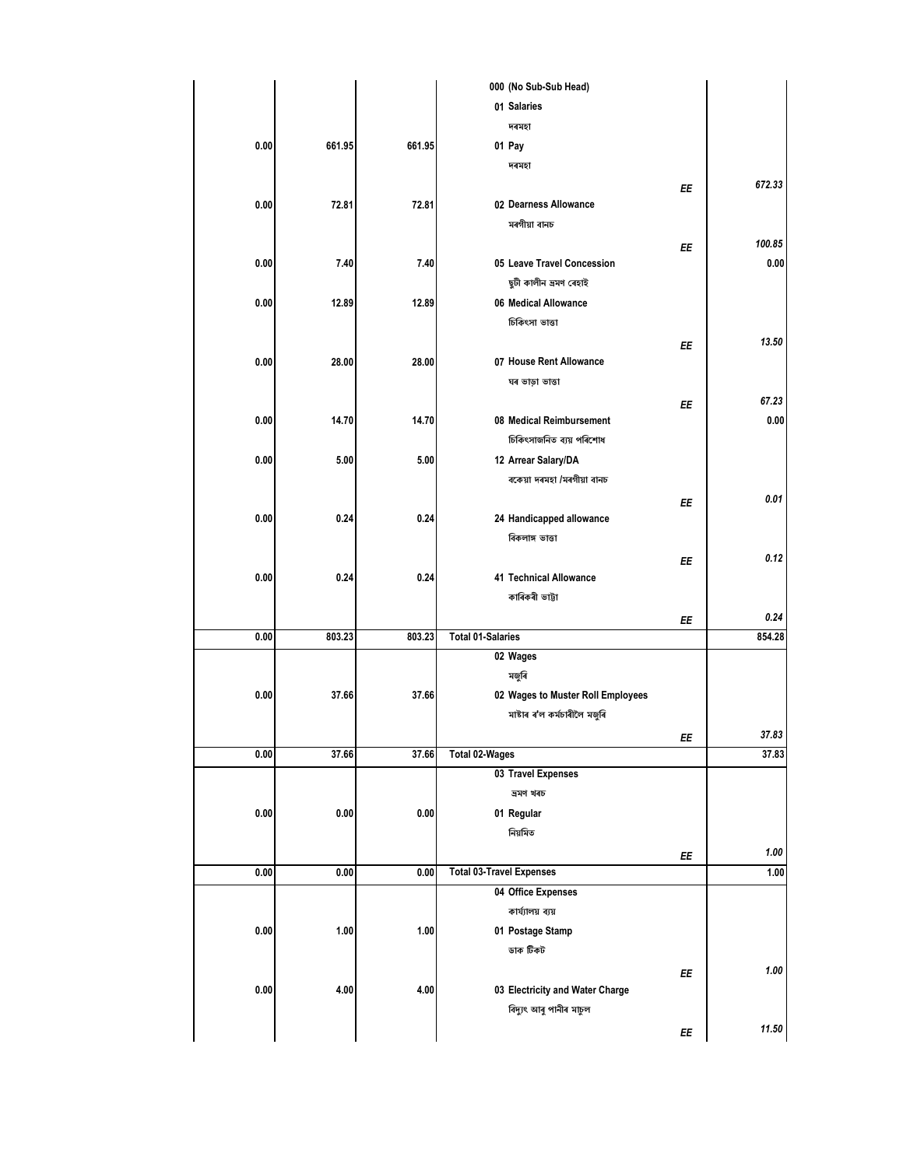|          |        |        | 000 (No Sub-Sub Head)             |    |        |
|----------|--------|--------|-----------------------------------|----|--------|
|          |        |        | 01 Salaries                       |    |        |
|          |        |        | দৰমহা                             |    |        |
| 0.00     | 661.95 | 661.95 | 01 Pay                            |    |        |
|          |        |        | দৰমহা                             |    |        |
|          |        |        |                                   | ΕE | 672.33 |
| 0.00     | 72.81  | 72.81  | 02 Dearness Allowance             |    |        |
|          |        |        | মৰগীয়া বানচ                      |    |        |
|          |        |        |                                   | ΕE | 100.85 |
| 0.00     | 7.40   | 7.40   | 05 Leave Travel Concession        |    | 0.00   |
|          |        |        | ছুটী কালীন ভ্ৰমণ ৰেহাই            |    |        |
| 0.00     | 12.89  | 12.89  | 06 Medical Allowance              |    |        |
|          |        |        | চিকিৎসা ভাত্তা                    |    |        |
|          |        |        |                                   | ΕE | 13.50  |
| 0.00     | 28.00  | 28.00  | 07 House Rent Allowance           |    |        |
|          |        |        | ঘৰ ভাড়া ভাত্তা                   |    |        |
|          |        |        |                                   |    | 67.23  |
| 0.00     | 14.70  | 14.70  | 08 Medical Reimbursement          | ΕE | 0.00   |
|          |        |        | চিকিৎসাজনিত ব্যয় পৰিশোধ          |    |        |
|          |        |        |                                   |    |        |
| 0.00     | 5.00   | 5.00   | 12 Arrear Salary/DA               |    |        |
|          |        |        | বকেয়া দৰমহা /মৰগীয়া বানচ        |    |        |
|          |        |        |                                   | ΕE | 0.01   |
| 0.00     | 0.24   | 0.24   | 24 Handicapped allowance          |    |        |
|          |        |        | বিকলাঙ্গ ভাত্তা                   |    |        |
|          |        |        |                                   | ΕE | 0.12   |
| 0.00     | 0.24   | 0.24   | 41 Technical Allowance            |    |        |
|          |        |        | কাৰিকৰী ভাট্টা                    |    |        |
|          |        |        |                                   | ΕE | 0.24   |
| 0.00     | 803.23 | 803.23 | <b>Total 01-Salaries</b>          |    | 854.28 |
|          |        |        | 02 Wages                          |    |        |
|          |        |        | মজুৰি                             |    |        |
| 0.00     | 37.66  | 37.66  | 02 Wages to Muster Roll Employees |    |        |
|          |        |        | মাষ্টাৰ ৰ'ল কৰ্মচাৰীলৈ মজুৰি      |    |        |
|          |        |        |                                   | EE | 37.83  |
| $0.00\,$ | 37.66  | 37.66  | <b>Total 02-Wages</b>             |    | 37.83  |
|          |        |        | 03 Travel Expenses                |    |        |
|          |        |        | ভ্ৰমণ খৰচ                         |    |        |
| 0.00     | 0.00   | 0.00   | 01 Regular                        |    |        |
|          |        |        | নিয়মিত                           |    |        |
|          |        |        |                                   | ΕE | 1.00   |
| 0.00     | 0.00   | 0.00   | <b>Total 03-Travel Expenses</b>   |    | 1.00   |
|          |        |        | 04 Office Expenses                |    |        |
|          |        |        | কাৰ্য্যালয় ব্যয়                 |    |        |
| $0.00\,$ | 1.00   | 1.00   | 01 Postage Stamp                  |    |        |
|          |        |        | ডাক টিকট                          |    |        |
|          |        |        |                                   |    | 1.00   |
|          |        |        |                                   | ΕE |        |
|          |        |        |                                   |    |        |
| 0.00     | 4.00   | 4.00   | 03 Electricity and Water Charge   |    |        |
|          |        |        | বিদ্যুৎ আৰু পানীৰ মাচুল           | EE | 11.50  |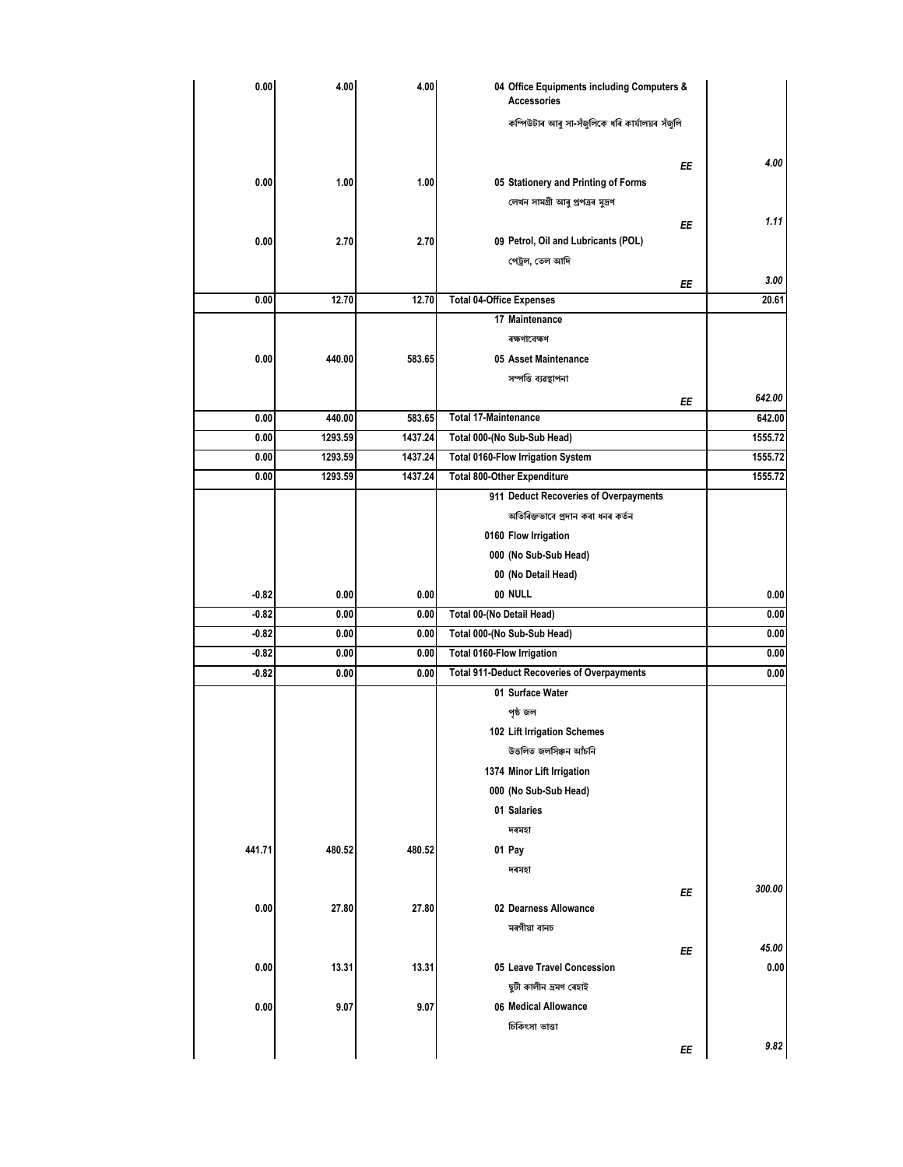| 0.00    | 4.00    | 4.00    | 04 Office Equipments including Computers &<br><b>Accessories</b> |    |         |
|---------|---------|---------|------------------------------------------------------------------|----|---------|
|         |         |         | কম্পিউটাৰ আৰু সা-সঁজলিকে ধৰি কাৰ্যালয়ৰ সঁজলি                    |    |         |
|         |         |         |                                                                  |    | 4.00    |
| 0.00    | 1.00    | 1.00    | 05 Stationery and Printing of Forms                              | ΕE |         |
|         |         |         | লেখন সামগ্ৰী আৰু প্ৰপত্ৰৰ মুদ্ৰণ                                 |    |         |
|         |         |         |                                                                  |    | 1.11    |
| 0.00    | 2.70    | 2.70    |                                                                  | EE |         |
|         |         |         | 09 Petrol, Oil and Lubricants (POL)                              |    |         |
|         |         |         | পেট্ৰল, তেল আদি                                                  |    |         |
|         |         |         |                                                                  | ΕE | 3.00    |
| 0.00    | 12.70   | 12.70   | <b>Total 04-Office Expenses</b>                                  |    | 20.61   |
|         |         |         | 17 Maintenance                                                   |    |         |
|         |         |         | ৰক্ষণাবেক্ষণ                                                     |    |         |
| 0.00    | 440.00  | 583.65  | 05 Asset Maintenance                                             |    |         |
|         |         |         | সম্পত্তি ব্যৱস্থাপনা                                             |    |         |
|         |         |         |                                                                  | ΕE | 642.00  |
| 0.00    | 440.00  | 583.65  | <b>Total 17-Maintenance</b>                                      |    | 642.00  |
| 0.00    | 1293.59 | 1437.24 | Total 000-(No Sub-Sub Head)                                      |    | 1555.72 |
| 0.00    | 1293.59 | 1437.24 | <b>Total 0160-Flow Irrigation System</b>                         |    | 1555.72 |
| 0.00    | 1293.59 | 1437.24 | <b>Total 800-Other Expenditure</b>                               |    | 1555.72 |
|         |         |         | 911 Deduct Recoveries of Overpayments                            |    |         |
|         |         |         | অতিৰিক্তভাবে প্ৰদান কৰা ধনৰ কৰ্তন                                |    |         |
|         |         |         | 0160 Flow Irrigation                                             |    |         |
|         |         |         | 000 (No Sub-Sub Head)                                            |    |         |
|         |         |         | 00 (No Detail Head)                                              |    |         |
| $-0.82$ | 0.00    | 0.00    | 00 NULL                                                          |    | 0.00    |
| $-0.82$ | 0.00    | 0.00    | Total 00-(No Detail Head)                                        |    | 0.00    |
| $-0.82$ | 0.00    | 0.00    | Total 000-(No Sub-Sub Head)                                      |    | 0.00    |
| $-0.82$ | 0.00    | 0.00    | <b>Total 0160-Flow Irrigation</b>                                |    | 0.00    |
| $-0.82$ | 0.00    | 0.00    | <b>Total 911-Deduct Recoveries of Overpayments</b>               |    | 0.00    |
|         |         |         | 01 Surface Water                                                 |    |         |
|         |         |         | পৃষ্ঠ জল                                                         |    |         |
|         |         |         | 102 Lift Irrigation Schemes                                      |    |         |
|         |         |         | উত্তলিত জলসিঞ্চন আঁচনি                                           |    |         |
|         |         |         | 1374 Minor Lift Irrigation                                       |    |         |
|         |         |         | 000 (No Sub-Sub Head)                                            |    |         |
|         |         |         | 01 Salaries                                                      |    |         |
|         |         |         | দৰমহা                                                            |    |         |
| 441.71  | 480.52  | 480.52  |                                                                  |    |         |
|         |         |         | 01 Pay                                                           |    |         |
|         |         |         | দৰমহা                                                            |    |         |
|         |         |         |                                                                  | ΕE | 300.00  |
| 0.00    | 27.80   | 27.80   | 02 Dearness Allowance                                            |    |         |
|         |         |         | মৰগীয়া বানচ                                                     |    |         |
|         |         |         |                                                                  | EE | 45.00   |
| 0.00    | 13.31   | 13.31   | 05 Leave Travel Concession                                       |    | 0.00    |
|         |         |         | ছুটী কালীন ভ্ৰমণ ৰেহাই                                           |    |         |
| 0.00    | 9.07    | 9.07    | 06 Medical Allowance                                             |    |         |
|         |         |         | চিকিৎসা ভাত্তা                                                   |    |         |
|         |         |         |                                                                  | ΕE | 9.82    |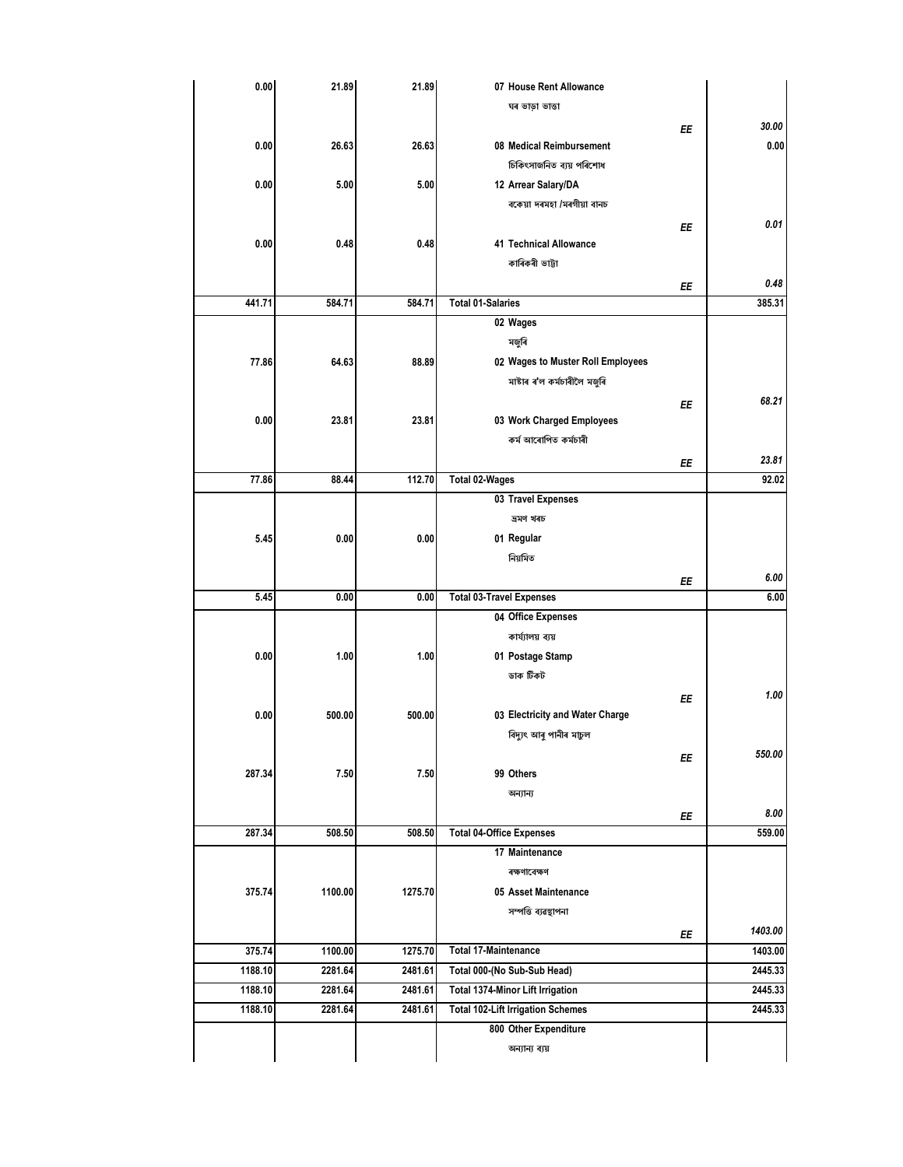| 0.00    | 21.89   | 21.89   | 07 House Rent Allowance                  |    |         |
|---------|---------|---------|------------------------------------------|----|---------|
|         |         |         | ঘৰ ভাড়া ভাত্তা                          |    |         |
|         |         |         |                                          | ΕE | 30.00   |
| 0.00    | 26.63   | 26.63   | 08 Medical Reimbursement                 |    | 0.00    |
|         |         |         | চিকিৎসাজনিত ব্যয় পৰিশোধ                 |    |         |
| 0.00    | 5.00    | 5.00    | 12 Arrear Salary/DA                      |    |         |
|         |         |         | বকেয়া দৰমহা /মৰগীয়া বানচ               |    |         |
|         |         |         |                                          | EE | 0.01    |
| 0.00    | 0.48    | 0.48    | 41 Technical Allowance                   |    |         |
|         |         |         | কাৰিকৰী ভাট্টা                           |    |         |
|         |         |         |                                          | ΕE | 0.48    |
| 441.71  | 584.71  | 584.71  | <b>Total 01-Salaries</b>                 |    | 385.31  |
|         |         |         | 02 Wages                                 |    |         |
|         |         |         | মজুৰি                                    |    |         |
| 77.86   | 64.63   | 88.89   | 02 Wages to Muster Roll Employees        |    |         |
|         |         |         | মাষ্টাৰ ৰ'ল কৰ্মচাৰীলৈ মজুৰি             |    |         |
|         |         |         |                                          | ΕE | 68.21   |
| 0.00    | 23.81   | 23.81   | 03 Work Charged Employees                |    |         |
|         |         |         | কৰ্ম আৰোপিত কৰ্মচাৰী                     |    |         |
|         |         |         |                                          | ΕE | 23.81   |
| 77.86   | 88.44   | 112.70  | <b>Total 02-Wages</b>                    |    | 92.02   |
|         |         |         | 03 Travel Expenses                       |    |         |
|         |         |         | ভ্ৰমণ খৰচ                                |    |         |
| 5.45    | 0.00    | 0.00    | 01 Regular                               |    |         |
|         |         |         | নিয়মিত                                  |    |         |
|         |         |         |                                          |    | 6.00    |
| 5.45    | 0.00    | 0.00    | <b>Total 03-Travel Expenses</b>          | ΕE | 6.00    |
|         |         |         | 04 Office Expenses                       |    |         |
|         |         |         | কাৰ্য্যালয় ব্যয়                        |    |         |
| 0.00    | 1.00    | 1.00    | 01 Postage Stamp                         |    |         |
|         |         |         | ডাক টিকট                                 |    |         |
|         |         |         |                                          |    | 1.00    |
| 0.00    | 500.00  | 500.00  | 03 Electricity and Water Charge          | EE |         |
|         |         |         |                                          |    |         |
|         |         |         | বিদ্যুৎ আৰু পানীৰ মাচুল                  |    | 550.00  |
|         |         |         |                                          | ΕE |         |
| 287.34  | 7.50    | 7.50    | 99 Others                                |    |         |
|         |         |         | অন্যান্য                                 |    |         |
|         |         |         |                                          | ΕE | 8.00    |
| 287.34  | 508.50  | 508.50  | <b>Total 04-Office Expenses</b>          |    | 559.00  |
|         |         |         | 17 Maintenance                           |    |         |
|         |         |         | ৰক্ষণাবেক্ষণ                             |    |         |
| 375.74  | 1100.00 | 1275.70 | 05 Asset Maintenance                     |    |         |
|         |         |         | সম্পত্তি ব্যৱস্থাপনা                     |    |         |
|         |         |         |                                          | ΕE | 1403.00 |
| 375.74  | 1100.00 | 1275.70 | <b>Total 17-Maintenance</b>              |    | 1403.00 |
| 1188.10 | 2281.64 | 2481.61 | Total 000-(No Sub-Sub Head)              |    | 2445.33 |
| 1188.10 | 2281.64 | 2481.61 | Total 1374-Minor Lift Irrigation         |    | 2445.33 |
| 1188.10 | 2281.64 | 2481.61 | <b>Total 102-Lift Irrigation Schemes</b> |    | 2445.33 |
|         |         |         | 800 Other Expenditure                    |    |         |
|         |         |         | অন্যান্য ব্যয়                           |    |         |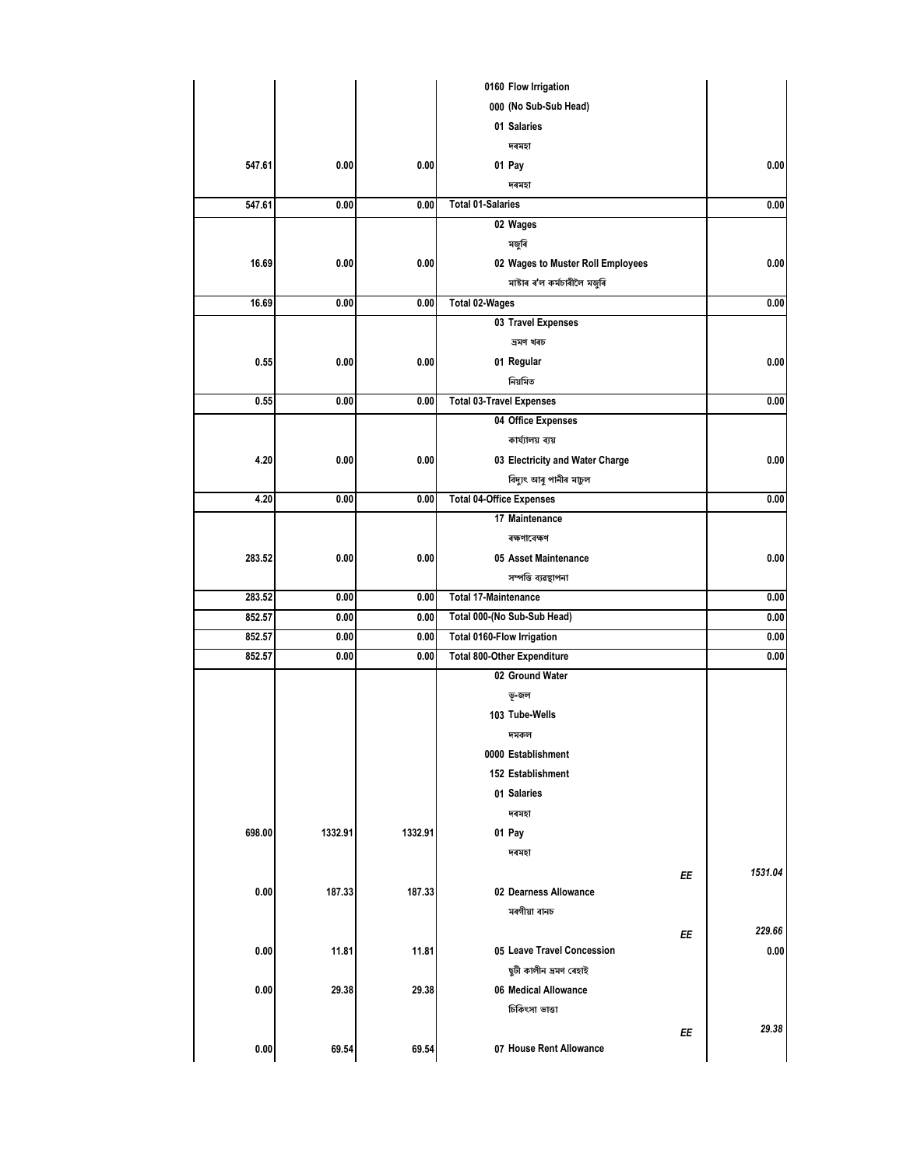|        |         |         | 0160 Flow Irrigation              |         |
|--------|---------|---------|-----------------------------------|---------|
|        |         |         | 000 (No Sub-Sub Head)             |         |
|        |         |         | 01 Salaries                       |         |
|        |         |         | দৰমহা                             |         |
| 547.61 | 0.00    | 0.00    | 01 Pay                            | 0.00    |
|        |         |         | দৰমহা                             |         |
| 547.61 | 0.00    | 0.00    | <b>Total 01-Salaries</b>          | 0.00    |
|        |         |         | 02 Wages                          |         |
|        |         |         | মজুৰি                             |         |
| 16.69  | 0.00    | 0.00    | 02 Wages to Muster Roll Employees | 0.00    |
|        |         |         | মাষ্টাৰ ৰ'ল কৰ্মচাৰীলৈ মজুৰি      |         |
| 16.69  | 0.00    | 0.00    | Total 02-Wages                    | 0.00    |
|        |         |         | 03 Travel Expenses                |         |
|        |         |         | ভ্ৰমণ খৰচ                         |         |
| 0.55   | 0.00    | 0.00    | 01 Regular                        | 0.00    |
|        |         |         | নিয়মিত                           |         |
| 0.55   | 0.00    | 0.00    | <b>Total 03-Travel Expenses</b>   | 0.00    |
|        |         |         | 04 Office Expenses                |         |
|        |         |         | কাৰ্য্যালয় ব্যয়                 |         |
| 4.20   | 0.00    | 0.00    | 03 Electricity and Water Charge   | 0.00    |
|        |         |         | বিদ্যুৎ আৰু পানীৰ মাচুল           |         |
| 4.20   | 0.00    | 0.00    | <b>Total 04-Office Expenses</b>   | 0.00    |
|        |         |         | 17 Maintenance                    |         |
|        |         |         | ৰক্ষণাবেক্ষণ                      |         |
| 283.52 | 0.00    | 0.00    | 05 Asset Maintenance              | 0.00    |
|        |         |         | সম্পত্তি ব্যৱস্থাপনা              |         |
| 283.52 | 0.00    | 0.00    | <b>Total 17-Maintenance</b>       | 0.00    |
| 852.57 | 0.00    | 0.00    | Total 000-(No Sub-Sub Head)       | 0.00    |
| 852.57 | 0.00    | 0.00    | Total 0160-Flow Irrigation        | 0.00    |
| 852.57 | 0.00    | 0.00    | Total 800-Other Expenditure       | 0.00    |
|        |         |         | 02 Ground Water                   |         |
|        |         |         | ভূ-জল                             |         |
|        |         |         | 103 Tube-Wells                    |         |
|        |         |         | দমকল                              |         |
|        |         |         | 0000 Establishment                |         |
|        |         |         | 152 Establishment                 |         |
|        |         |         | 01 Salaries                       |         |
|        |         |         | দৰমহা                             |         |
| 698.00 | 1332.91 | 1332.91 | 01 Pay                            |         |
|        |         |         | দৰমহা                             |         |
|        |         |         | EE                                | 1531.04 |
| 0.00   | 187.33  | 187.33  | 02 Dearness Allowance             |         |
|        |         |         | মৰগীয়া বানচ                      |         |
|        |         |         | ΕE                                | 229.66  |
| 0.00   | 11.81   | 11.81   | 05 Leave Travel Concession        | 0.00    |
|        |         |         | ছুটী কালীন ভ্ৰমণ ৰেহাই            |         |
| 0.00   | 29.38   | 29.38   | 06 Medical Allowance              |         |
|        |         |         | চিকিৎসা ভাত্তা                    |         |
|        |         |         | ΕE                                | 29.38   |
| 0.00   | 69.54   | 69.54   | 07 House Rent Allowance           |         |
|        |         |         |                                   |         |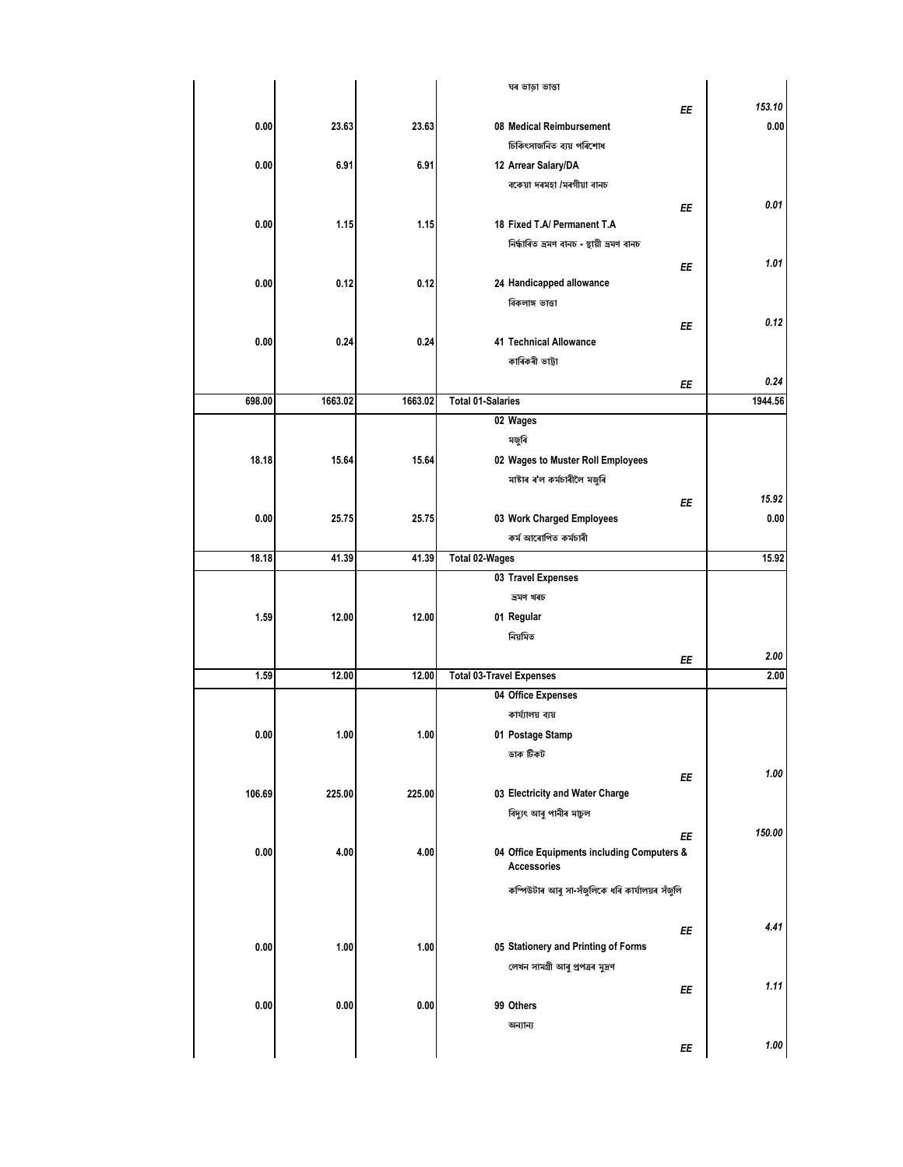|        |         |         | ঘৰ ভাড়া ভাত্তা                                 |         |
|--------|---------|---------|-------------------------------------------------|---------|
|        |         |         | EE                                              | 153.10  |
| 0.00   | 23.63   | 23.63   | 08 Medical Reimbursement                        | 0.00    |
|        |         |         | চিকিৎসাজনিত ব্যয় পৰিশোধ                        |         |
| 0.00   | 6.91    | 6.91    | 12 Arrear Salary/DA                             |         |
|        |         |         | বকেয়া দৰমহা /মৰগীয়া বানচ                      |         |
|        |         |         |                                                 | 0.01    |
| 0.00   | 1.15    | 1.15    | EE<br>18 Fixed T.A/ Permanent T.A               |         |
|        |         |         | নিৰ্দ্ধাৰিত ভ্ৰমণ বানচ - স্থায়ী ভ্ৰমণ বানচ     |         |
|        |         |         |                                                 |         |
|        |         |         | ΕE                                              | 1.01    |
| 0.00   | 0.12    | 0.12    | 24 Handicapped allowance                        |         |
|        |         |         | বিকলাঙ্গ ভাত্তা                                 |         |
|        |         |         | EE                                              | 0.12    |
| 0.00   | 0.24    | 0.24    | 41 Technical Allowance                          |         |
|        |         |         | কাৰিকৰী ভাট্টা                                  |         |
|        |         |         | EE                                              | 0.24    |
| 698.00 | 1663.02 | 1663.02 | <b>Total 01-Salaries</b>                        | 1944.56 |
|        |         |         | 02 Wages                                        |         |
|        |         |         | মজুৰি                                           |         |
| 18.18  | 15.64   | 15.64   | 02 Wages to Muster Roll Employees               |         |
|        |         |         | মাষ্টাৰ ৰ'ল কৰ্মচাৰীলৈ মজুৰি                    |         |
|        |         |         | EE                                              | 15.92   |
| 0.00   | 25.75   | 25.75   | 03 Work Charged Employees                       | 0.00    |
|        |         |         | কৰ্ম আৰোপিত কৰ্মচাৰী                            |         |
| 18.18  | 41.39   | 41.39   | <b>Total 02-Wages</b>                           | 15.92   |
|        |         |         | 03 Travel Expenses                              |         |
|        |         |         | ভ্ৰমণ খৰচ                                       |         |
|        |         |         |                                                 |         |
| 1.59   | 12.00   | 12.00   | 01 Regular                                      |         |
|        |         |         | নিয়মিত                                         |         |
|        |         |         | EE                                              | 2.00    |
| 1.59   | 12.00   | 12.00   | <b>Total 03-Travel Expenses</b>                 | 2.00    |
|        |         |         | 04 Office Expenses                              |         |
|        |         |         | কাৰ্য্যালয় ব্যয়                               |         |
| 0.00   | 1.00    | 1.00    | 01 Postage Stamp                                |         |
|        |         |         | ডাক টিকট                                        |         |
|        |         |         | ΕE                                              | 1.00    |
| 106.69 | 225.00  | 225.00  | 03 Electricity and Water Charge                 |         |
|        |         |         | বিদ্যুৎ আৰু পানীৰ মাচুল                         |         |
|        |         |         | EE                                              | 150.00  |
| 0.00   | 4.00    | 4.00    | 04 Office Equipments including Computers &      |         |
|        |         |         | <b>Accessories</b>                              |         |
|        |         |         | কম্পিউটাৰ আৰু সা-সঁজুলিকে ধৰি কাৰ্যালয়ৰ সঁজুলি |         |
|        |         |         |                                                 |         |
|        |         |         | EE                                              | 4.41    |
| 0.00   | 1.00    | 1.00    | 05 Stationery and Printing of Forms             |         |
|        |         |         | লেখন সামগ্ৰী আৰু প্ৰপত্ৰৰ মুদ্ৰণ                |         |
|        |         |         | ΕE                                              | 1.11    |
| 0.00   | 0.00    | 0.00    | 99 Others                                       |         |
|        |         |         | অন্যান্য                                        |         |
|        |         |         |                                                 | 1.00    |
|        |         |         | ΕE                                              |         |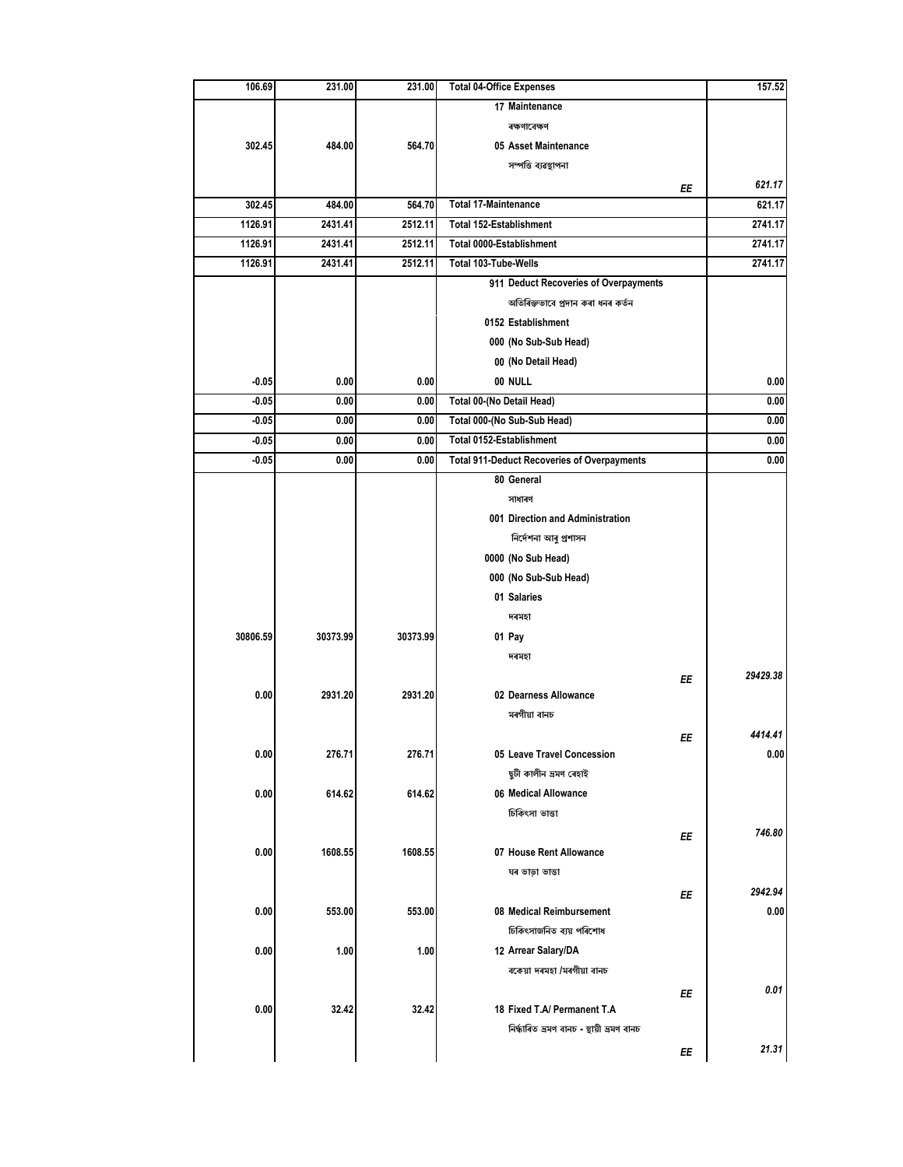| 106.69   | 231.00   | 231.00   | <b>Total 04-Office Expenses</b>                    |    | 157.52   |
|----------|----------|----------|----------------------------------------------------|----|----------|
|          |          |          | 17 Maintenance                                     |    |          |
|          |          |          | ৰক্ষণাবেক্ষণ                                       |    |          |
| 302.45   | 484.00   | 564.70   | 05 Asset Maintenance                               |    |          |
|          |          |          | সম্পত্তি ব্যৱস্থাপনা                               |    |          |
|          |          |          |                                                    | ΕE | 621.17   |
| 302.45   | 484.00   | 564.70   | <b>Total 17-Maintenance</b>                        |    | 621.17   |
| 1126.91  | 2431.41  | 2512.11  | Total 152-Establishment                            |    | 2741.17  |
| 1126.91  | 2431.41  | 2512.11  | Total 0000-Establishment                           |    | 2741.17  |
| 1126.91  | 2431.41  | 2512.11  | Total 103-Tube-Wells                               |    | 2741.17  |
|          |          |          | 911 Deduct Recoveries of Overpayments              |    |          |
|          |          |          | অতিৰিক্তভাবে প্ৰদান কৰা ধনৰ কৰ্তন                  |    |          |
|          |          |          | 0152 Establishment                                 |    |          |
|          |          |          | 000 (No Sub-Sub Head)                              |    |          |
|          |          |          | 00 (No Detail Head)                                |    |          |
| $-0.05$  | 0.00     | 0.00     | 00 NULL                                            |    | 0.00     |
| $-0.05$  | 0.00     | 0.00     | Total 00-(No Detail Head)                          |    | 0.00     |
| $-0.05$  | 0.00     | 0.00     | Total 000-(No Sub-Sub Head)                        |    | 0.00     |
| -0.05    | 0.00     | 0.00     | Total 0152-Establishment                           |    | 0.00     |
| -0.05    | 0.00     | 0.00     | <b>Total 911-Deduct Recoveries of Overpayments</b> |    | 0.00     |
|          |          |          | 80 General                                         |    |          |
|          |          |          | সাধাৰণ                                             |    |          |
|          |          |          | 001 Direction and Administration                   |    |          |
|          |          |          | নিৰ্দেশনা আৰু প্ৰশাসন                              |    |          |
|          |          |          | 0000 (No Sub Head)                                 |    |          |
|          |          |          | 000 (No Sub-Sub Head)                              |    |          |
|          |          |          | 01 Salaries                                        |    |          |
|          |          |          | দৰমহা                                              |    |          |
| 30806.59 | 30373.99 | 30373.99 | 01 Pay                                             |    |          |
|          |          |          | দৰমহা                                              |    |          |
|          |          |          |                                                    |    | 29429.38 |
| 0.00     | 2931.20  | 2931.20  | 02 Dearness Allowance                              | ΕE |          |
|          |          |          | মৰগীয়া বানচ                                       |    |          |
|          |          |          |                                                    |    | 4414.41  |
| 0.00     | 276.71   | 276.71   | 05 Leave Travel Concession                         | ЕE | 0.00     |
|          |          |          | ছুটী কালীন ভ্ৰমণ ৰেহাই                             |    |          |
|          |          |          |                                                    |    |          |
| 0.00     | 614.62   | 614.62   | 06 Medical Allowance                               |    |          |
|          |          |          | চিকিৎসা ভাত্তা                                     |    |          |
|          |          |          |                                                    | ΕE | 746.80   |
| 0.00     | 1608.55  | 1608.55  | 07 House Rent Allowance                            |    |          |
|          |          |          | ঘৰ ভাড়া ভাত্তা                                    |    |          |
|          |          |          |                                                    | ΕE | 2942.94  |
| 0.00     | 553.00   | 553.00   | 08 Medical Reimbursement                           |    | 0.00     |
|          |          |          | চিকিৎসাজনিত ব্যয় পৰিশোধ                           |    |          |
| 0.00     | 1.00     | 1.00     | 12 Arrear Salary/DA                                |    |          |
|          |          |          | বকেয়া দৰমহা /মৰগীয়া বানচ                         |    |          |
|          |          |          |                                                    | ΕE | 0.01     |
| 0.00     | 32.42    | 32.42    | 18 Fixed T.A/ Permanent T.A                        |    |          |
|          |          |          | নিৰ্দ্ধাৰিত ভ্ৰমণ বানচ - স্থায়ী ভ্ৰমণ বানচ        |    |          |
|          |          |          |                                                    | ΕE | 21.31    |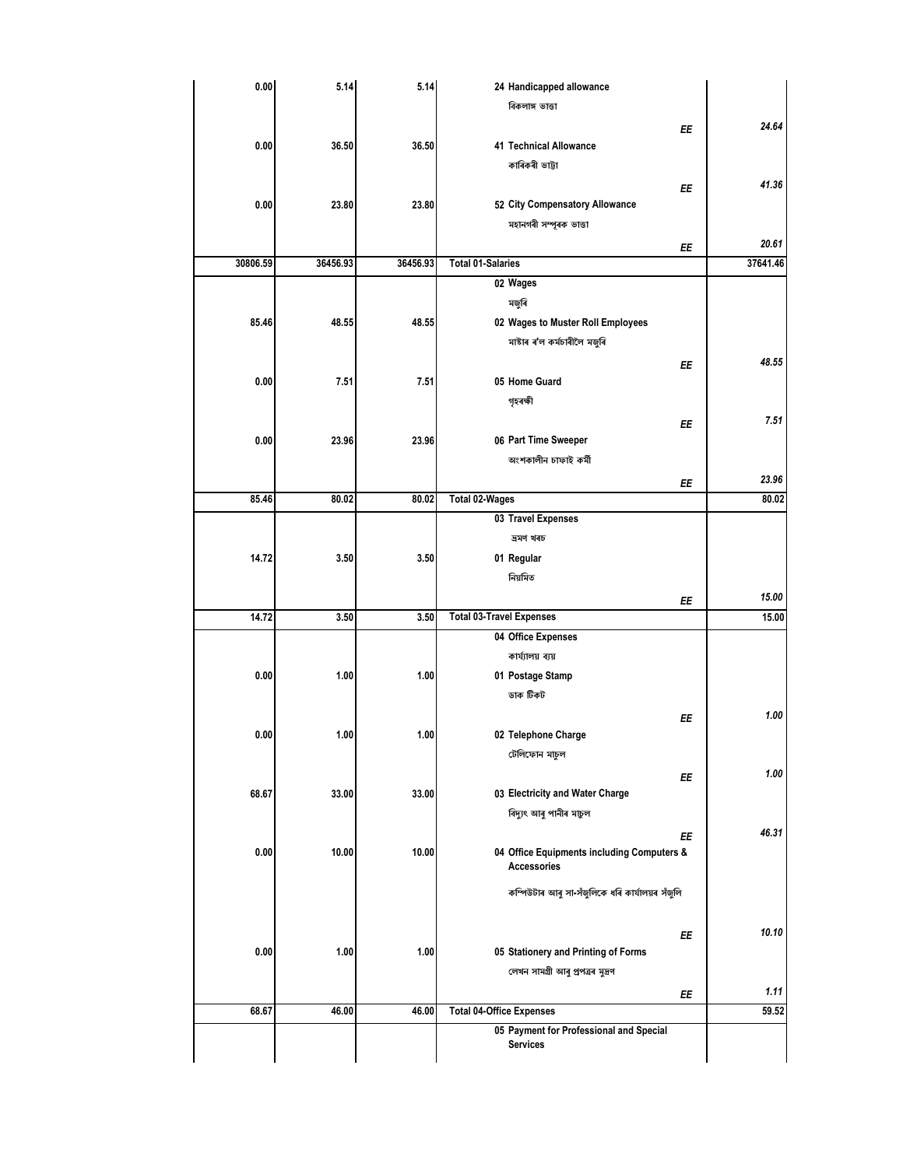|          | 24 Handicapped allowance                                         | 5.14     | 5.14     | 0.00     |
|----------|------------------------------------------------------------------|----------|----------|----------|
|          | বিকলাঙ্গ ভাত্তা                                                  |          |          |          |
| 24.64    | EE                                                               |          |          |          |
|          | 41 Technical Allowance                                           | 36.50    | 36.50    | 0.00     |
|          | কাৰিকৰী ভাট্টা                                                   |          |          |          |
| 41.36    |                                                                  |          |          |          |
|          | ΕE<br>52 City Compensatory Allowance                             |          |          |          |
|          |                                                                  | 23.80    | 23.80    | 0.00     |
|          | মহানগৰী সম্পূৰক ভাত্তা                                           |          |          |          |
| 20.61    | ΕE                                                               |          |          |          |
| 37641.46 | <b>Total 01-Salaries</b>                                         | 36456.93 | 36456.93 | 30806.59 |
|          | 02 Wages                                                         |          |          |          |
|          | মজুৰি                                                            |          |          |          |
|          | 02 Wages to Muster Roll Employees                                | 48.55    | 48.55    | 85.46    |
|          | মাষ্টাৰ ৰ'ল কৰ্মচাৰীলৈ মজুৰি                                     |          |          |          |
| 48.55    | ΕE                                                               |          |          |          |
|          | 05 Home Guard                                                    | 7.51     | 7.51     | 0.00     |
|          |                                                                  |          |          |          |
|          | গৃহৰক্ষী                                                         |          |          |          |
| 7.51     | ΕE                                                               |          |          |          |
|          | 06 Part Time Sweeper                                             | 23.96    | 23.96    | 0.00     |
|          | অংশকালীন চাফাই কৰ্মী                                             |          |          |          |
| 23.96    | ΕE                                                               |          |          |          |
| 80.02    | Total 02-Wages                                                   | 80.02    | 80.02    | 85.46    |
|          | 03 Travel Expenses                                               |          |          |          |
|          | ভ্ৰমণ খৰচ                                                        |          |          |          |
|          | 01 Regular                                                       | 3.50     | 3.50     | 14.72    |
|          | নিয়মিত                                                          |          |          |          |
| 15.00    |                                                                  |          |          |          |
| 15.00    | ΕE<br><b>Total 03-Travel Expenses</b>                            | 3.50     | 3.50     | 14.72    |
|          |                                                                  |          |          |          |
|          | 04 Office Expenses                                               |          |          |          |
|          | কাৰ্য্যালয় ব্যয়                                                |          |          |          |
|          | 01 Postage Stamp                                                 | 1.00     | 1.00     | 0.00     |
|          | ডাক টিকট                                                         |          |          |          |
| 1.00     | ΕE                                                               |          |          |          |
|          | 02 Telephone Charge                                              | 1.00     | 1.00     | 0.00     |
|          | টেলিফোন মাচুল                                                    |          |          |          |
| 1.00     | ΕE                                                               |          |          |          |
|          | 03 Electricity and Water Charge                                  | 33.00    | 33.00    | 68.67    |
|          | বিদ্যুৎ আৰু পানীৰ মাচুল                                          |          |          |          |
| 46.31    |                                                                  |          |          |          |
|          | ΕE                                                               |          |          |          |
|          | 04 Office Equipments including Computers &<br><b>Accessories</b> | 10.00    | 10.00    | 0.00     |
|          |                                                                  |          |          |          |
|          | কম্পিউটাৰ আৰু সা-সঁজুলিকে ধৰি কাৰ্যালয়ৰ সঁজুলি                  |          |          |          |
|          |                                                                  |          |          |          |
| 10.10    | ΕE                                                               |          |          |          |
|          | 05 Stationery and Printing of Forms                              | 1.00     | 1.00     | 0.00     |
|          | লেখন সামগ্ৰী আৰু প্ৰপত্ৰৰ মুদ্ৰণ                                 |          |          |          |
|          |                                                                  |          |          |          |
|          |                                                                  |          | 46.00    | 68.67    |
| 1.11     | ΕE                                                               |          |          |          |
| 59.52    | <b>Total 04-Office Expenses</b>                                  | 46.00    |          |          |
|          | 05 Payment for Professional and Special<br>Services              |          |          |          |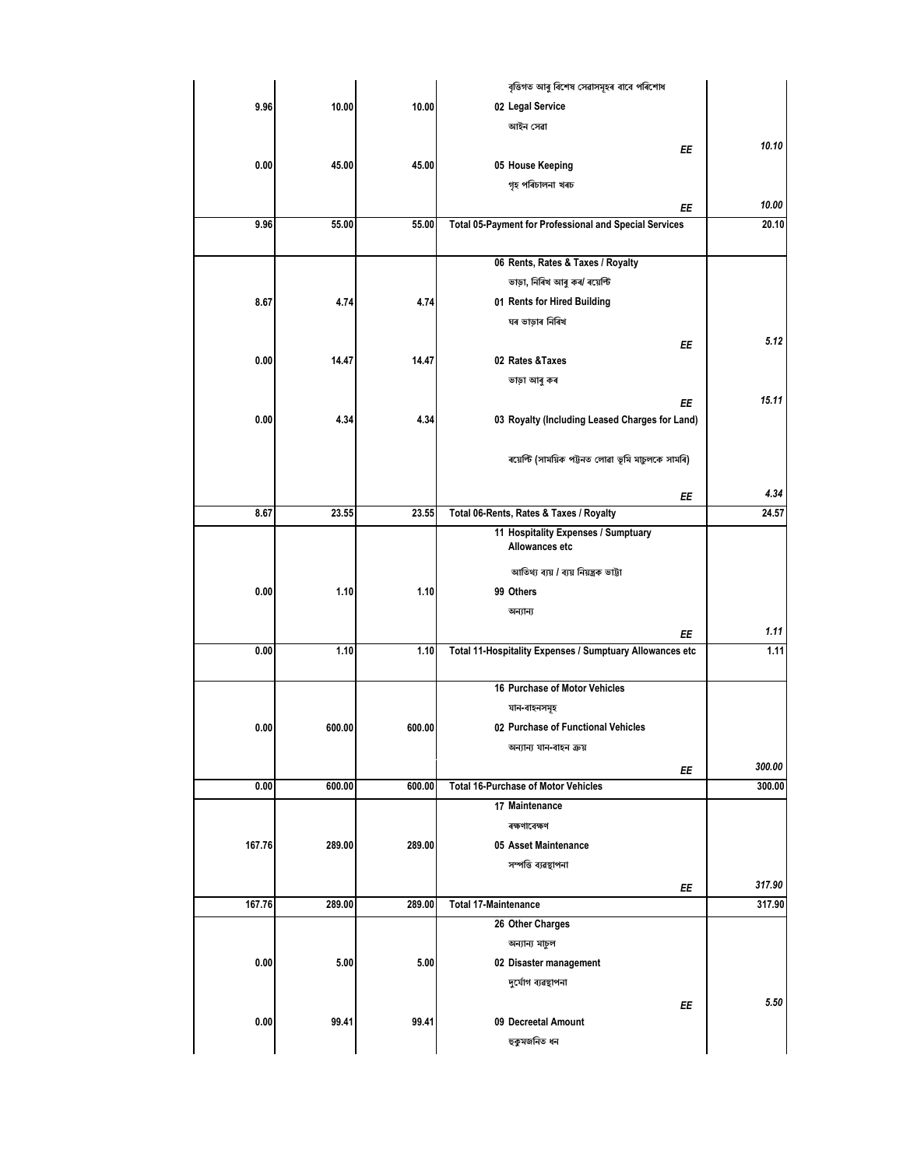|        |        |        | বৃত্তিগত আৰু বিশেষ সেৱাসমূহৰ বাবে পৰিশোধ                       |        |
|--------|--------|--------|----------------------------------------------------------------|--------|
| 9.96   | 10.00  | 10.00  | 02 Legal Service                                               |        |
|        |        |        | আইন সেৱা                                                       |        |
|        |        |        | ΕE                                                             | 10.10  |
| 0.00   | 45.00  | 45.00  | 05 House Keeping                                               |        |
|        |        |        | গৃহ পৰিচালনা খৰচ                                               |        |
|        |        |        | ΕE                                                             | 10.00  |
| 9.96   | 55.00  | 55.00  | Total 05-Payment for Professional and Special Services         | 20.10  |
|        |        |        |                                                                |        |
|        |        |        | 06 Rents, Rates & Taxes / Royalty                              |        |
|        |        |        | ভাড়া, নিৰিখ আৰু কৰ/ ৰয়েল্টি                                  |        |
| 8.67   | 4.74   | 4.74   | 01 Rents for Hired Building                                    |        |
|        |        |        | ঘৰ ভাড়াৰ নিৰিখ                                                |        |
|        |        |        | ΕE                                                             | 5.12   |
| 0.00   | 14.47  | 14.47  | 02 Rates & Taxes                                               |        |
|        |        |        | ভাড়া আৰু কৰ                                                   |        |
|        |        |        | EE                                                             | 15.11  |
| 0.00   | 4.34   | 4.34   | 03 Royalty (Including Leased Charges for Land)                 |        |
|        |        |        |                                                                |        |
|        |        |        | ৰয়েল্টি (সাময়িক পট্টনত লোৱা ভূমি মাচুলকে সামৰি)              |        |
|        |        |        |                                                                |        |
|        |        |        | ΕE                                                             | 4.34   |
| 8.67   | 23.55  | 23.55  | Total 06-Rents, Rates & Taxes / Royalty                        | 24.57  |
|        |        |        | 11 Hospitality Expenses / Sumptuary                            |        |
|        |        |        | Allowances etc                                                 |        |
|        |        |        | আতিথ্য ব্যয় / ব্যয় নিয়ন্ত্ৰক ভাট্টা                         |        |
| 0.00   | 1.10   | 1.10   | 99 Others                                                      |        |
|        |        |        | অন্যান্য                                                       |        |
|        |        |        |                                                                | 1.11   |
| 0.00   | 1.10   | 1.10   | ΕE<br>Total 11-Hospitality Expenses / Sumptuary Allowances etc | 1.11   |
|        |        |        |                                                                |        |
|        |        |        | 16 Purchase of Motor Vehicles                                  |        |
|        |        |        | যান-বাহনসমূহ                                                   |        |
| 0.00   | 600.00 | 600.00 | 02 Purchase of Functional Vehicles                             |        |
|        |        |        | অন্যান্য যান-বাহন ক্ৰয়                                        |        |
|        |        |        |                                                                | 300.00 |
| 0.00   | 600.00 | 600.00 | ΕE<br><b>Total 16-Purchase of Motor Vehicles</b>               | 300.00 |
|        |        |        | 17 Maintenance                                                 |        |
|        |        |        | ৰক্ষণাবেক্ষণ                                                   |        |
| 167.76 | 289.00 | 289.00 | 05 Asset Maintenance                                           |        |
|        |        |        | সম্পত্তি ব্যৱস্থাপনা                                           |        |
|        |        |        |                                                                | 317.90 |
| 167.76 | 289.00 | 289.00 | ΕE<br><b>Total 17-Maintenance</b>                              | 317.90 |
|        |        |        |                                                                |        |
|        |        |        | 26 Other Charges                                               |        |
|        |        |        | অন্যান্য মাচুল                                                 |        |
| 0.00   | 5.00   | 5.00   | 02 Disaster management                                         |        |
|        |        |        | দুৰ্যোগ ব্যৱস্থাপনা                                            |        |
|        |        |        | ΕE                                                             | 5.50   |
| 0.00   | 99.41  | 99.41  | 09 Decreetal Amount                                            |        |
|        |        |        | হুকুমজনিত ধন                                                   |        |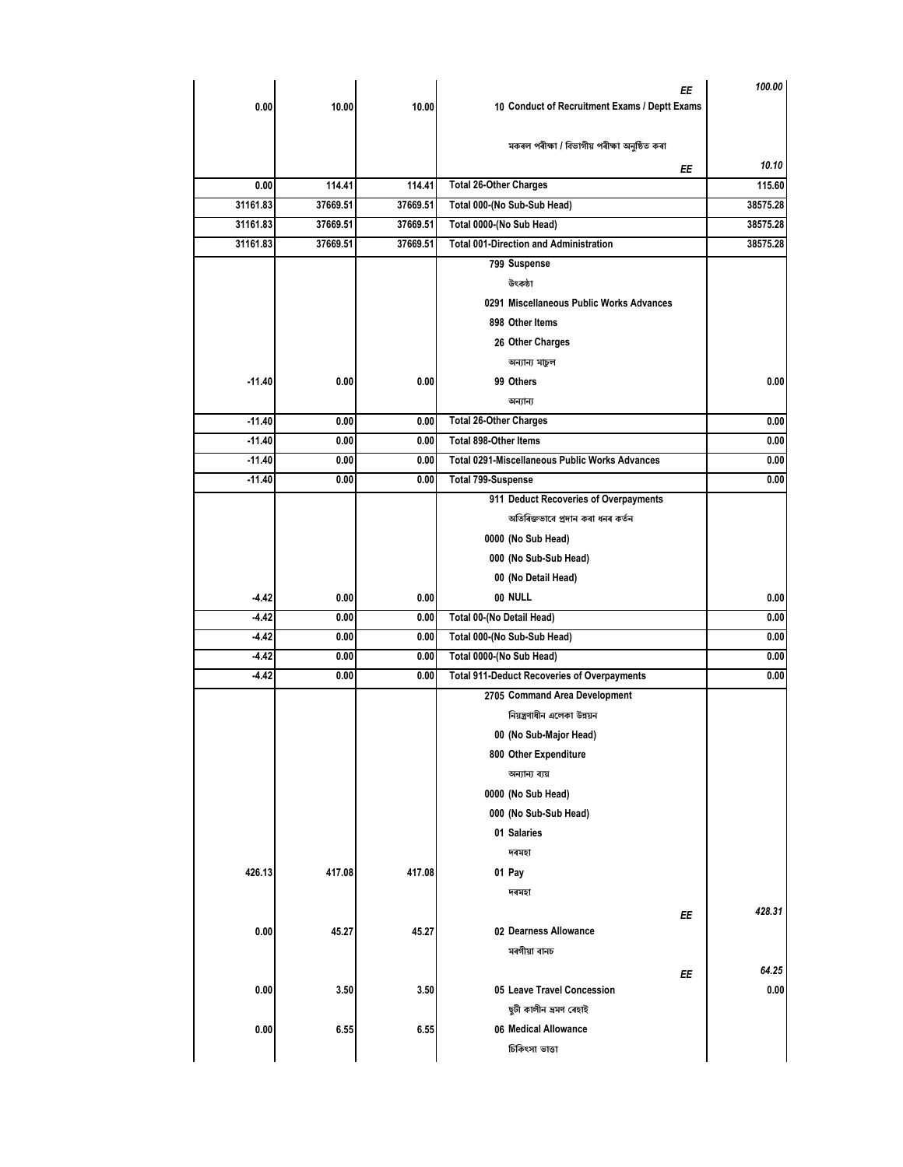| 100.00   | ΕE<br>10 Conduct of Recruitment Exams / Deptt Exams   | 10.00    | 10.00    | 0.00     |
|----------|-------------------------------------------------------|----------|----------|----------|
|          |                                                       |          |          |          |
| 10.10    | মকৰল পৰীক্ষা / বিভাগীয় পৰীক্ষা অনুষ্ঠিত কৰা<br>ΕE    |          |          |          |
| 115.60   | <b>Total 26-Other Charges</b>                         | 114.41   | 114.41   | 0.00     |
| 38575.28 | Total 000-(No Sub-Sub Head)                           | 37669.51 | 37669.51 | 31161.83 |
| 38575.28 | Total 0000-(No Sub Head)                              | 37669.51 | 37669.51 | 31161.83 |
| 38575.28 | <b>Total 001-Direction and Administration</b>         | 37669.51 | 37669.51 | 31161.83 |
|          | 799 Suspense                                          |          |          |          |
|          | উৎকষ্ঠা                                               |          |          |          |
|          | 0291 Miscellaneous Public Works Advances              |          |          |          |
|          | 898 Other Items                                       |          |          |          |
|          | 26 Other Charges                                      |          |          |          |
|          | অন্যান্য মাচুল                                        |          |          |          |
| 0.00     | 99 Others                                             | 0.00     | 0.00     | $-11.40$ |
|          | অন্যান্য                                              |          |          |          |
| 0.00     | <b>Total 26-Other Charges</b>                         | 0.00     | 0.00     | $-11.40$ |
| 0.00     | Total 898-Other Items                                 | 0.00     | 0.00     | $-11.40$ |
| 0.00     | <b>Total 0291-Miscellaneous Public Works Advances</b> | 0.00     | 0.00     | $-11.40$ |
| 0.00     | <b>Total 799-Suspense</b>                             | 0.00     | 0.00     | $-11.40$ |
|          | 911 Deduct Recoveries of Overpayments                 |          |          |          |
|          | অতিৰিক্তভাবে প্ৰদান কৰা ধনৰ কৰ্তন                     |          |          |          |
|          |                                                       |          |          |          |
|          | 0000 (No Sub Head)<br>000 (No Sub-Sub Head)           |          |          |          |
|          | 00 (No Detail Head)                                   |          |          |          |
| 0.00     | 00 NULL                                               | 0.00     | 0.00     | $-4.42$  |
| 0.00     | Total 00-(No Detail Head)                             | 0.00     | 0.00     | $-4.42$  |
| 0.00     | Total 000-(No Sub-Sub Head)                           | 0.00     | 0.00     | $-4.42$  |
| 0.00     | Total 0000-(No Sub Head)                              | 0.00     | 0.00     | $-4.42$  |
| 0.00     | <b>Total 911-Deduct Recoveries of Overpayments</b>    | 0.00     | 0.00     | $-4.42$  |
|          | 2705 Command Area Development                         |          |          |          |
|          | নিয়ন্ত্রণাধীন এলেকা উন্নয়ন                          |          |          |          |
|          | 00 (No Sub-Major Head)                                |          |          |          |
|          | 800 Other Expenditure                                 |          |          |          |
|          | অন্যান্য ব্যয়                                        |          |          |          |
|          | 0000 (No Sub Head)                                    |          |          |          |
|          | 000 (No Sub-Sub Head)                                 |          |          |          |
|          | 01 Salaries                                           |          |          |          |
|          | দৰমহা                                                 |          |          |          |
|          | 01 Pay                                                | 417.08   | 417.08   | 426.13   |
|          | দৰমহা                                                 |          |          |          |
| 428.31   |                                                       |          |          |          |
|          | ΕE<br>02 Dearness Allowance                           | 45.27    | 45.27    | 0.00     |
|          | মৰগীয়া বানচ                                          |          |          |          |
| 64.25    |                                                       |          |          |          |
| 0.00     | ΕE<br>05 Leave Travel Concession                      | 3.50     | 3.50     | 0.00     |
|          | ছুটী কালীন ভ্ৰমণ ৰেহাই                                |          |          |          |
|          | 06 Medical Allowance                                  | 6.55     | 6.55     | 0.00     |
|          |                                                       |          |          |          |
|          | চিকিৎসা ভাত্তা                                        |          |          |          |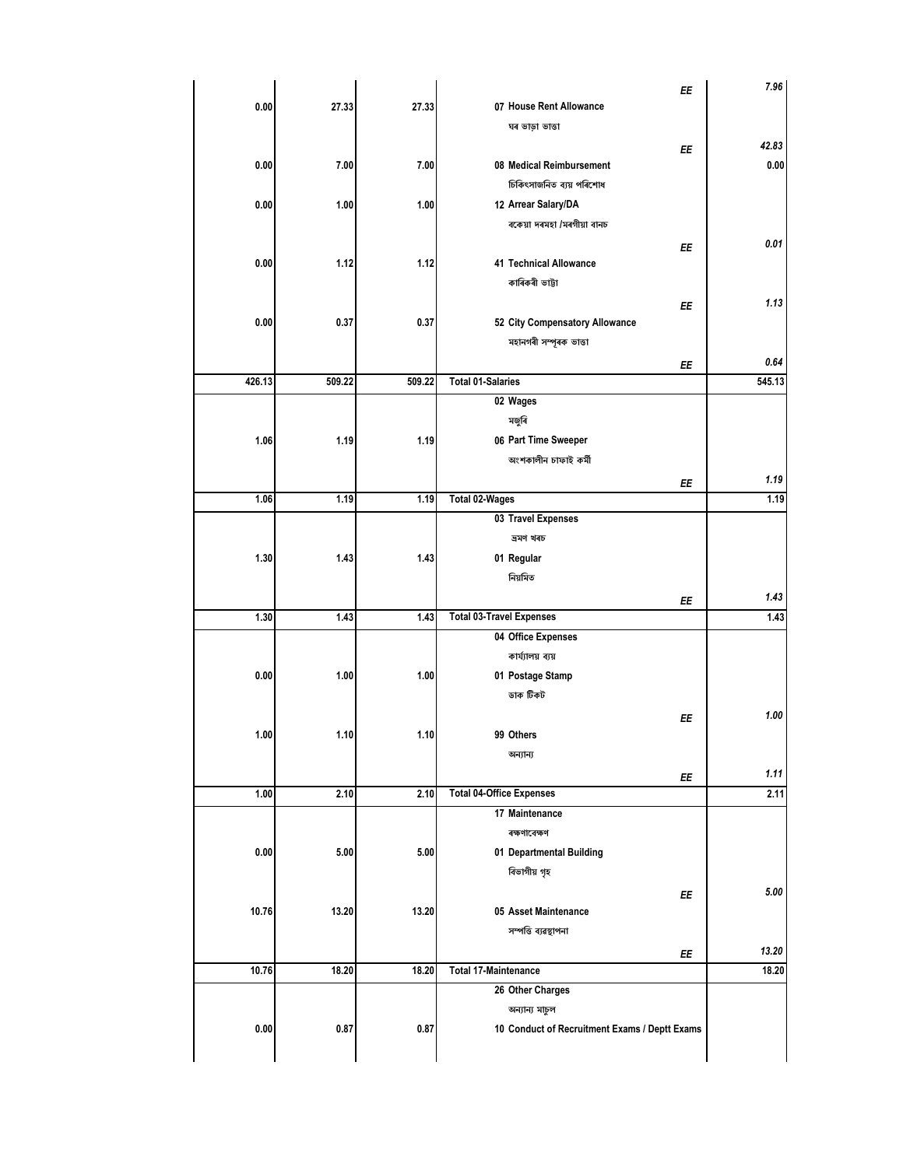| 0.00   | 27.33  | 27.33  | EE<br>07 House Rent Allowance                 | 7.96   |
|--------|--------|--------|-----------------------------------------------|--------|
|        |        |        | ঘৰ ভাড়া ভাত্তা                               |        |
|        |        |        | ΕE                                            | 42.83  |
| 0.00   | 7.00   | 7.00   | 08 Medical Reimbursement                      | 0.00   |
|        |        |        | চিকিৎসাজনিত ব্যয় পৰিশোধ                      |        |
| 0.00   | 1.00   | 1.00   | 12 Arrear Salary/DA                           |        |
|        |        |        | বকেয়া দৰমহা /মৰগীয়া বানচ                    |        |
|        |        |        | EE                                            | 0.01   |
| 0.00   | 1.12   | 1.12   | <b>41 Technical Allowance</b>                 |        |
|        |        |        | কাৰিকৰী ভাট্টা                                |        |
|        |        |        | EE                                            | 1.13   |
| 0.00   | 0.37   | 0.37   | 52 City Compensatory Allowance                |        |
|        |        |        | মহানগৰী সম্পূৰক ভাত্তা                        |        |
|        |        |        | EE                                            | 0.64   |
| 426.13 | 509.22 | 509.22 | <b>Total 01-Salaries</b>                      | 545.13 |
|        |        |        | 02 Wages                                      |        |
|        |        |        | মজুৰি                                         |        |
| 1.06   | 1.19   | 1.19   | 06 Part Time Sweeper                          |        |
|        |        |        | অংশকালীন চাফাই কৰ্মী                          |        |
|        |        |        | ΕE                                            | 1.19   |
| 1.06   | 1.19   | 1.19   | Total 02-Wages                                | 1.19   |
|        |        |        | 03 Travel Expenses                            |        |
|        |        |        | ভ্ৰমণ খৰচ                                     |        |
| 1.30   | 1.43   | 1.43   | 01 Regular                                    |        |
|        |        |        | নিয়মিত                                       |        |
|        |        |        | ΕE                                            | 1.43   |
| 1.30   | 1.43   | 1.43   | <b>Total 03-Travel Expenses</b>               | 1.43   |
|        |        |        | 04 Office Expenses                            |        |
|        |        |        | কাৰ্য্যালয় ব্যয়                             |        |
| 0.00   | 1.00   | 1.00   | 01 Postage Stamp                              |        |
|        |        |        | ডাক টিকট                                      |        |
|        |        |        | EE                                            | 1.00   |
| 1.00   | 1.10   | 1.10   | 99 Others                                     |        |
|        |        |        | অন্যান্য                                      |        |
|        |        |        | ΕE                                            | 1.11   |
| 1.00   | 2.10   | 2.10   | <b>Total 04-Office Expenses</b>               | 2.11   |
|        |        |        | 17 Maintenance                                |        |
|        |        |        | ৰক্ষণাবেক্ষণ                                  |        |
| 0.00   | 5.00   | 5.00   | 01 Departmental Building                      |        |
|        |        |        | বিভাগীয় গৃহ                                  |        |
|        |        |        | EE                                            | 5.00   |
| 10.76  | 13.20  | 13.20  | 05 Asset Maintenance                          |        |
|        |        |        | সম্পত্তি ব্যৱস্থাপনা                          |        |
|        |        |        | ΕE                                            | 13.20  |
| 10.76  | 18.20  | 18.20  | <b>Total 17-Maintenance</b>                   | 18.20  |
|        |        |        | 26 Other Charges                              |        |
|        |        |        | অন্যান্য মাচুল                                |        |
| 0.00   | 0.87   | 0.87   | 10 Conduct of Recruitment Exams / Deptt Exams |        |
|        |        |        |                                               |        |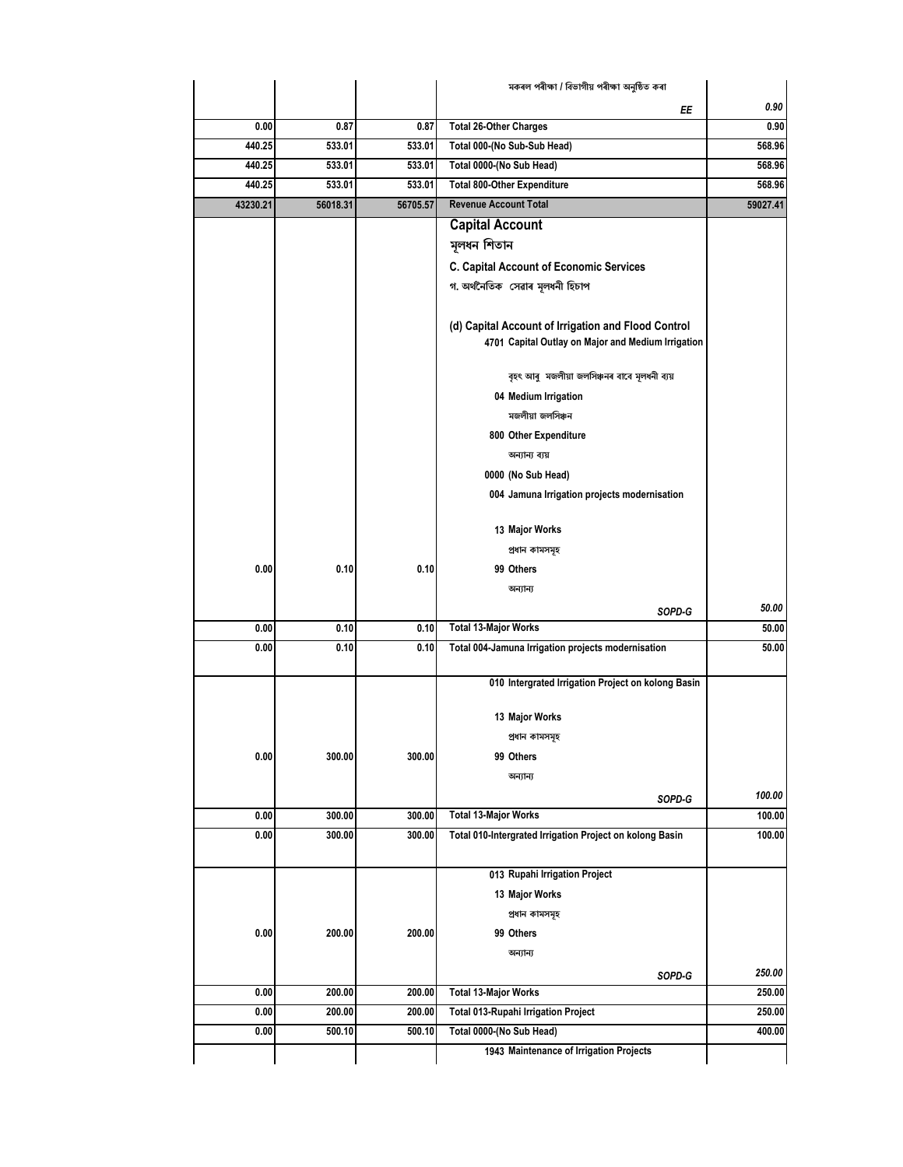|          |          |          | মকৰল পৰীক্ষা / বিভাগীয় পৰীক্ষা অনুষ্ঠিত কৰা             |          |
|----------|----------|----------|----------------------------------------------------------|----------|
|          |          |          | ΕE                                                       | 0.90     |
| 0.00     | 0.87     | 0.87     | <b>Total 26-Other Charges</b>                            | 0.90     |
| 440.25   | 533.01   | 533.01   | Total 000-(No Sub-Sub Head)                              | 568.96   |
| 440.25   | 533.01   | 533.01   | Total 0000-(No Sub Head)                                 | 568.96   |
| 440.25   | 533.01   | 533.01   | <b>Total 800-Other Expenditure</b>                       | 568.96   |
| 43230.21 | 56018.31 | 56705.57 | <b>Revenue Account Total</b>                             | 59027.41 |
|          |          |          | <b>Capital Account</b>                                   |          |
|          |          |          | মূলধন শিতান                                              |          |
|          |          |          | <b>C. Capital Account of Economic Services</b>           |          |
|          |          |          | গ অৰ্থনৈতিক সেৱাৰ মূলধনী হিচাপ                           |          |
|          |          |          |                                                          |          |
|          |          |          | (d) Capital Account of Irrigation and Flood Control      |          |
|          |          |          | 4701 Capital Outlay on Major and Medium Irrigation       |          |
|          |          |          |                                                          |          |
|          |          |          | বৃহৎ আৰু মজলীয়া জলসিঞ্চনৰ বাবে মূলধনী ব্যয়             |          |
|          |          |          | 04 Medium Irrigation                                     |          |
|          |          |          | মজলীয়া জলসিঞ্চন                                         |          |
|          |          |          | 800 Other Expenditure                                    |          |
|          |          |          | অন্যান্য ব্যয়                                           |          |
|          |          |          | 0000 (No Sub Head)                                       |          |
|          |          |          | 004 Jamuna Irrigation projects modernisation             |          |
|          |          |          | 13 Major Works                                           |          |
|          |          |          | প্ৰধান কামসমূহ                                           |          |
| 0.00     | 0.10     | 0.10     | 99 Others                                                |          |
|          |          |          | অন্যান্য                                                 |          |
|          |          |          | SOPD-G                                                   | 50.00    |
| 0.00     | 0.10     | 0.10     | <b>Total 13-Major Works</b>                              | 50.00    |
| 0.00     | 0.10     | 0.10     | Total 004-Jamuna Irrigation projects modernisation       | 50.00    |
|          |          |          |                                                          |          |
|          |          |          | 010 Intergrated Irrigation Project on kolong Basin       |          |
|          |          |          | 13 Major Works                                           |          |
|          |          |          | প্ৰধান কামসমূহ                                           |          |
| 0.00     | 300.00   | 300.00   | 99 Others                                                |          |
|          |          |          | অন্যান্য                                                 |          |
|          |          |          | SOPD-G                                                   | 100.00   |
| 0.00     | 300.00   | 300.00   | <b>Total 13-Major Works</b>                              | 100.00   |
| 0.00     | 300.00   | 300.00   | Total 010-Intergrated Irrigation Project on kolong Basin | 100.00   |
|          |          |          |                                                          |          |
|          |          |          | 013 Rupahi Irrigation Project                            |          |
|          |          |          | 13 Major Works                                           |          |
|          |          |          | প্ৰধান কামসমূহ                                           |          |
| 0.00     | 200.00   | 200.00   | 99 Others                                                |          |
|          |          |          | অন্যান্য                                                 |          |
|          |          |          | SOPD-G                                                   | 250.00   |
| 0.00     | 200.00   | 200.00   | <b>Total 13-Major Works</b>                              | 250.00   |
| 0.00     | 200.00   | 200.00   | Total 013-Rupahi Irrigation Project                      | 250.00   |
| 0.00     | 500.10   | 500.10   | Total 0000-(No Sub Head)                                 | 400.00   |
|          |          |          | 1943 Maintenance of Irrigation Projects                  |          |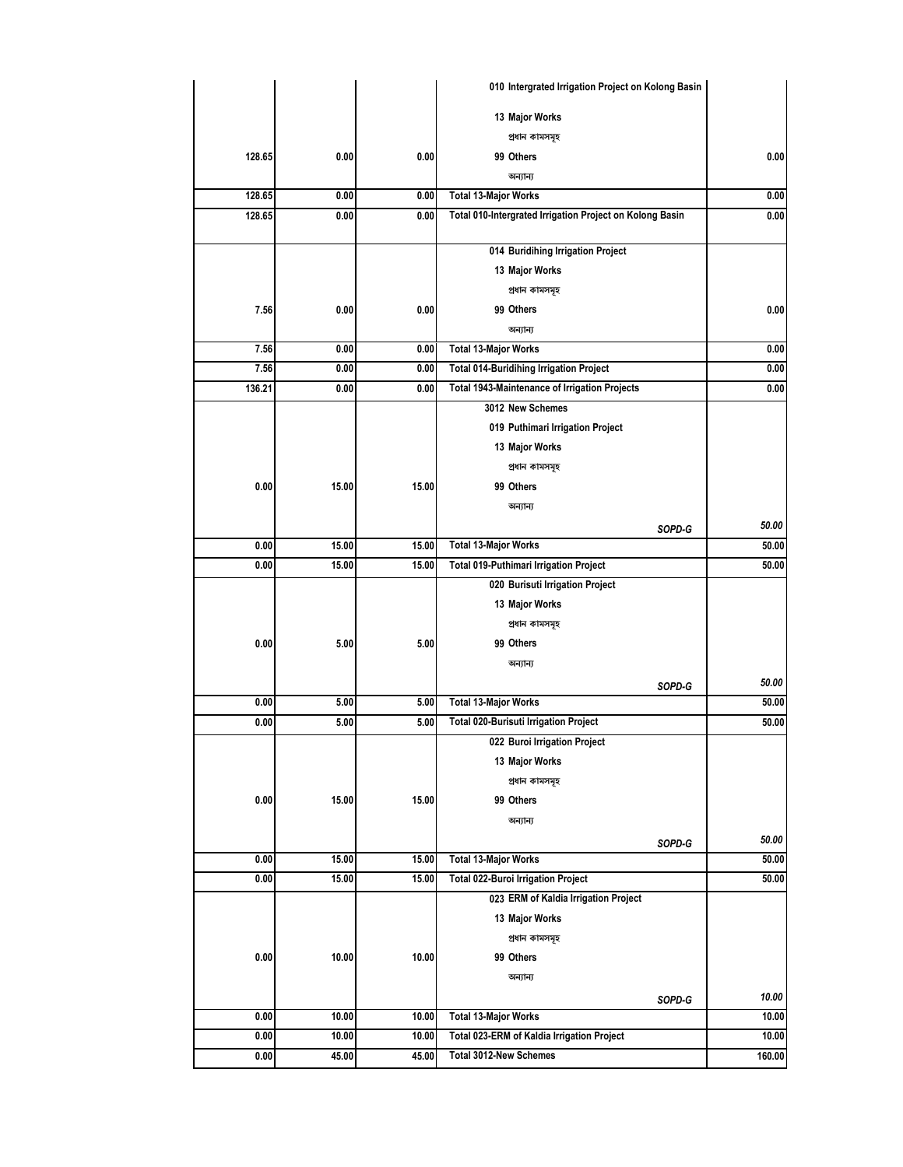|        |       |       | 010 Intergrated Irrigation Project on Kolong Basin       |        |
|--------|-------|-------|----------------------------------------------------------|--------|
|        |       |       | 13 Major Works                                           |        |
|        |       |       | প্ৰধান কামসমূহ                                           |        |
| 128.65 | 0.00  | 0.00  | 99 Others                                                | 0.00   |
|        |       |       | অন্যান্য                                                 |        |
| 128.65 | 0.00  | 0.00  | <b>Total 13-Major Works</b>                              | 0.00   |
| 128.65 | 0.00  | 0.00  | Total 010-Intergrated Irrigation Project on Kolong Basin | 0.00   |
|        |       |       |                                                          |        |
|        |       |       | 014 Buridihing Irrigation Project                        |        |
|        |       |       | 13 Major Works                                           |        |
|        |       |       | প্ৰধান কামসমূহ                                           |        |
| 7.56   | 0.00  | 0.00  | 99 Others                                                | 0.00   |
|        |       |       | অন্যান্য                                                 |        |
| 7.56   | 0.00  | 0.00  | <b>Total 13-Major Works</b>                              | 0.00   |
| 7.56   | 0.00  | 0.00  | Total 014-Buridihing Irrigation Project                  | 0.00   |
| 136.21 | 0.00  | 0.00  | <b>Total 1943-Maintenance of Irrigation Projects</b>     | 0.00   |
|        |       |       | 3012 New Schemes                                         |        |
|        |       |       | 019 Puthimari Irrigation Project                         |        |
|        |       |       | 13 Major Works                                           |        |
|        |       |       | প্ৰধান কামসমূহ                                           |        |
| 0.00   | 15.00 | 15.00 | 99 Others                                                |        |
|        |       |       | অন্যান্য                                                 |        |
|        |       |       | SOPD-G                                                   | 50.00  |
| 0.00   | 15.00 | 15.00 | <b>Total 13-Major Works</b>                              | 50.00  |
| 0.00   | 15.00 | 15.00 | Total 019-Puthimari Irrigation Project                   | 50.00  |
|        |       |       | 020 Burisuti Irrigation Project                          |        |
|        |       |       | 13 Major Works                                           |        |
|        |       |       | প্ৰধান কামসমূহ                                           |        |
| 0.00   | 5.00  | 5.00  | 99 Others                                                |        |
|        |       |       | অন্যান্য                                                 |        |
|        |       |       | SOPD-G                                                   | 50.00  |
| 0.00   | 5.00  | 5.00  | <b>Total 13-Major Works</b>                              | 50.00  |
| 0.00   | 5.00  | 5.00  | Total 020-Burisuti Irrigation Project                    | 50.00  |
|        |       |       | 022 Buroi Irrigation Project                             |        |
|        |       |       | 13 Major Works                                           |        |
|        |       |       | প্ৰধান কামসমূহ                                           |        |
| 0.00   | 15.00 | 15.00 | 99 Others                                                |        |
|        |       |       | অন্যান্য                                                 |        |
|        |       |       | SOPD-G                                                   | 50.00  |
| 0.00   | 15.00 | 15.00 | <b>Total 13-Major Works</b>                              | 50.00  |
| 0.00   | 15.00 | 15.00 | Total 022-Buroi Irrigation Project                       | 50.00  |
|        |       |       | 023 ERM of Kaldia Irrigation Project                     |        |
|        |       |       | 13 Major Works                                           |        |
|        |       |       | প্ৰধান কামসমূহ                                           |        |
| 0.00   | 10.00 | 10.00 | 99 Others                                                |        |
|        |       |       | অন্যান্য                                                 |        |
|        |       |       | SOPD-G                                                   | 10.00  |
| 0.00   | 10.00 | 10.00 | <b>Total 13-Major Works</b>                              | 10.00  |
| 0.00   | 10.00 | 10.00 | Total 023-ERM of Kaldia Irrigation Project               | 10.00  |
| 0.00   | 45.00 | 45.00 | <b>Total 3012-New Schemes</b>                            | 160.00 |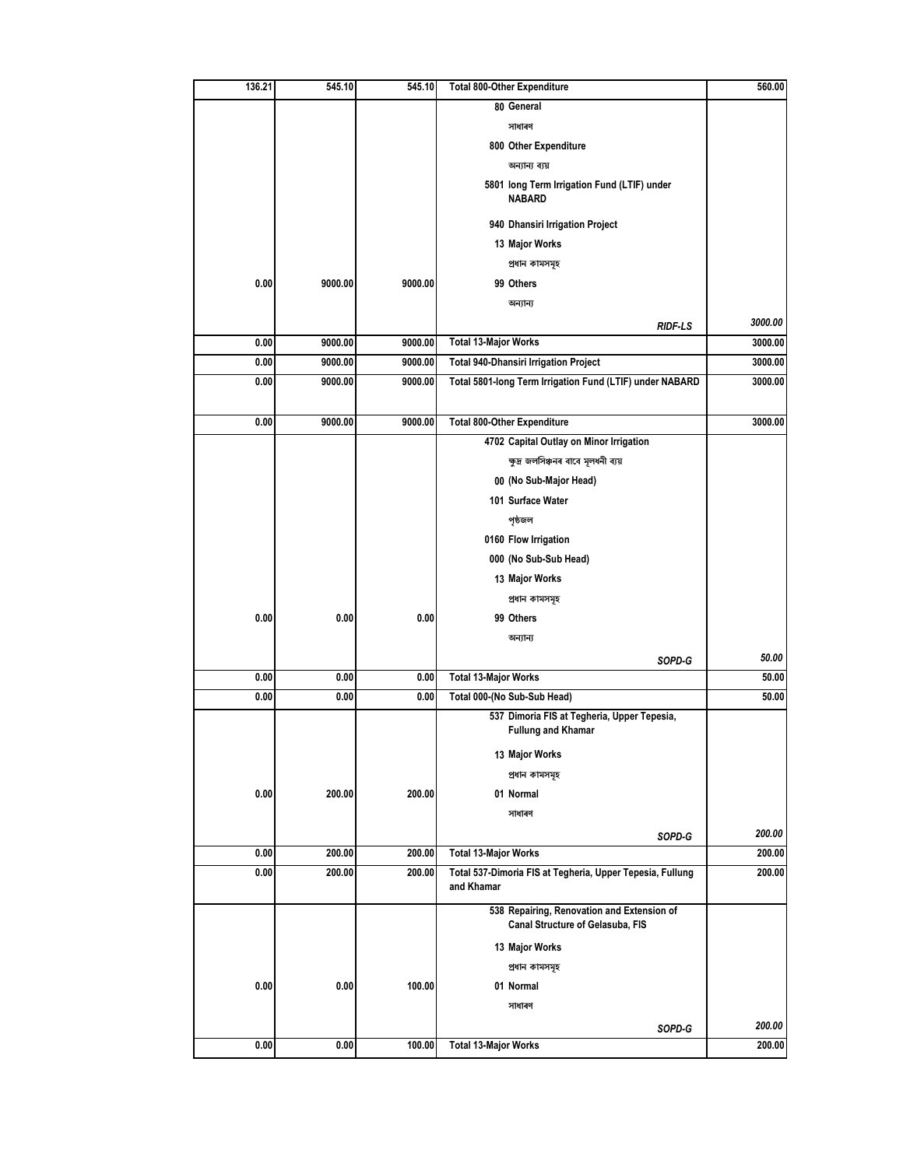| 136.21 | 545.10  | 545.10  | <b>Total 800-Other Expenditure</b>                                             | 560.00  |
|--------|---------|---------|--------------------------------------------------------------------------------|---------|
|        |         |         | 80 General                                                                     |         |
|        |         |         | সাধাৰণ                                                                         |         |
|        |         |         | 800 Other Expenditure                                                          |         |
|        |         |         | অন্যান্য ব্যয়                                                                 |         |
|        |         |         | 5801 long Term Irrigation Fund (LTIF) under<br><b>NABARD</b>                   |         |
|        |         |         | 940 Dhansiri Irrigation Project                                                |         |
|        |         |         | 13 Major Works                                                                 |         |
|        |         |         | প্ৰধান কামসমূহ                                                                 |         |
| 0.00   | 9000.00 | 9000.00 | 99 Others                                                                      |         |
|        |         |         | অন্যান্য                                                                       |         |
|        |         |         | <b>RIDF-LS</b>                                                                 | 3000.00 |
| 0.00   | 9000.00 | 9000.00 | <b>Total 13-Major Works</b>                                                    | 3000.00 |
| 0.00   | 9000.00 | 9000.00 | <b>Total 940-Dhansiri Irrigation Project</b>                                   | 3000.00 |
| 0.00   | 9000.00 | 9000.00 | Total 5801-long Term Irrigation Fund (LTIF) under NABARD                       | 3000.00 |
|        |         |         |                                                                                |         |
| 0.00   | 9000.00 | 9000.00 | <b>Total 800-Other Expenditure</b>                                             | 3000.00 |
|        |         |         | 4702 Capital Outlay on Minor Irrigation                                        |         |
|        |         |         | ক্ষুদ্ৰ জলসিঞ্চনৰ বাবে মূলধনী ব্যয়                                            |         |
|        |         |         | 00 (No Sub-Major Head)                                                         |         |
|        |         |         | 101 Surface Water                                                              |         |
|        |         |         | পৃষ্ঠজল                                                                        |         |
|        |         |         | 0160 Flow Irrigation                                                           |         |
|        |         |         | 000 (No Sub-Sub Head)                                                          |         |
|        |         |         | 13 Major Works                                                                 |         |
|        |         |         | প্ৰধান কামসমূহ                                                                 |         |
| 0.00   | 0.00    | 0.00    | 99 Others                                                                      |         |
|        |         |         | অন্যান্য                                                                       |         |
|        |         |         | SOPD-G                                                                         | 50.00   |
| 0.00   | 0.00    | 0.00    | <b>Total 13-Major Works</b>                                                    | 50.00   |
| 0.00   | 0.00    | 0.00    | Total 000-(No Sub-Sub Head)                                                    | 50.00   |
|        |         |         | 537 Dimoria FIS at Tegheria, Upper Tepesia,                                    |         |
|        |         |         | <b>Fullung and Khamar</b>                                                      |         |
|        |         |         | 13 Major Works                                                                 |         |
|        |         |         | প্ৰধান কামসমূহ                                                                 |         |
| 0.00   | 200.00  | 200.00  | 01 Normal                                                                      |         |
|        |         |         | সাধাৰণ                                                                         |         |
|        |         |         | SOPD-G                                                                         | 200.00  |
| 0.00   | 200.00  | 200.00  | <b>Total 13-Major Works</b>                                                    | 200.00  |
| 0.00   | 200.00  | 200.00  | Total 537-Dimoria FIS at Tegheria, Upper Tepesia, Fullung<br>and Khamar        | 200.00  |
|        |         |         | 538 Repairing, Renovation and Extension of<br>Canal Structure of Gelasuba, FIS |         |
|        |         |         |                                                                                |         |
|        |         |         | 13 Major Works                                                                 |         |
|        |         |         | প্ৰধান কামসমূহ                                                                 |         |
| 0.00   | 0.00    | 100.00  | 01 Normal                                                                      |         |
|        |         |         | সাধাৰণ                                                                         |         |
|        |         |         | SOPD-G                                                                         | 200.00  |
| 0.00   | 0.00    | 100.00  | <b>Total 13-Major Works</b>                                                    | 200.00  |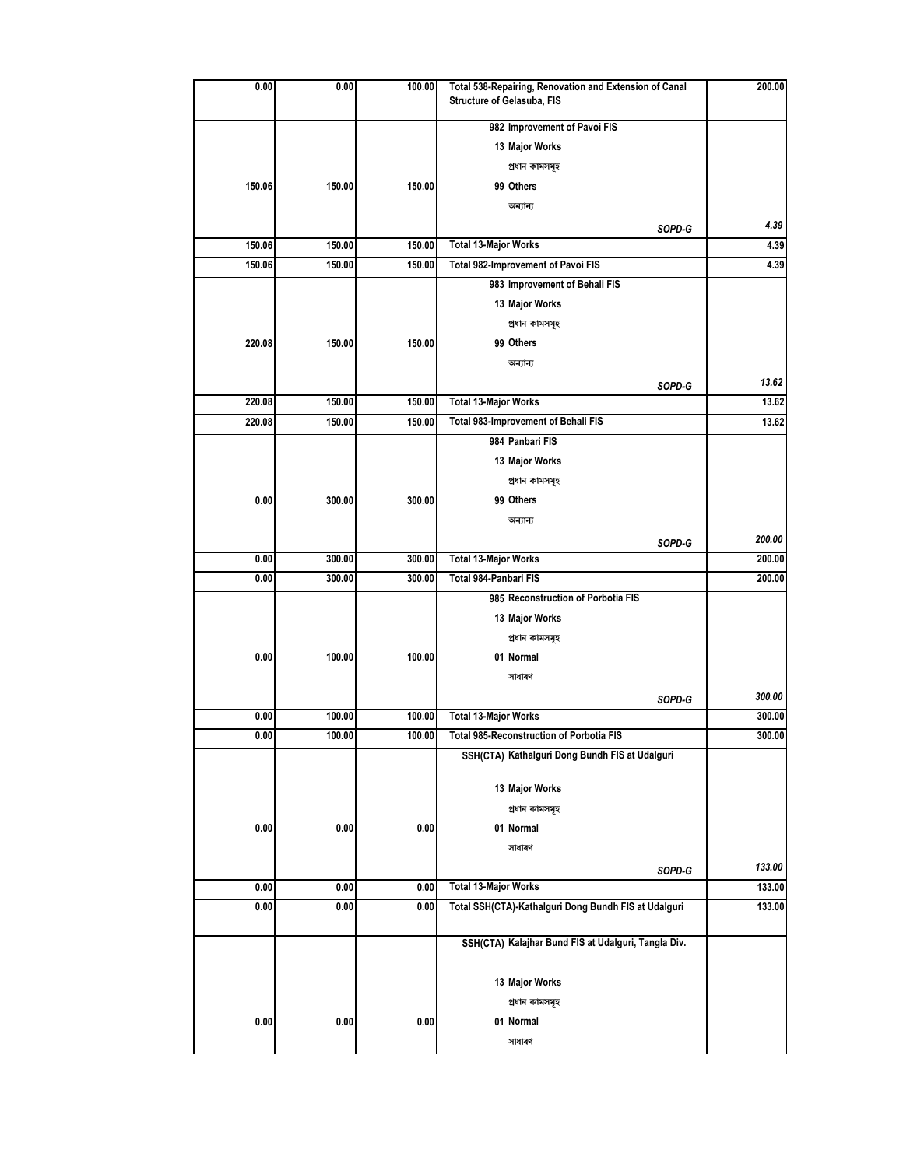| 0.00   | 0.00   | 100.00 | Total 538-Repairing, Renovation and Extension of Canal<br>Structure of Gelasuba, FIS | 200.00 |
|--------|--------|--------|--------------------------------------------------------------------------------------|--------|
|        |        |        | 982 Improvement of Pavoi FIS                                                         |        |
|        |        |        | 13 Major Works                                                                       |        |
|        |        |        | প্ৰধান কামসমূহ                                                                       |        |
| 150.06 | 150.00 | 150.00 | 99 Others                                                                            |        |
|        |        |        | অন্যান্য                                                                             |        |
|        |        |        |                                                                                      | 4.39   |
| 150.06 | 150.00 | 150.00 | SOPD-G<br><b>Total 13-Major Works</b>                                                | 4.39   |
| 150.06 | 150.00 | 150.00 | Total 982-Improvement of Pavoi FIS                                                   | 4.39   |
|        |        |        | 983 Improvement of Behali FIS                                                        |        |
|        |        |        | 13 Major Works                                                                       |        |
|        |        |        | প্ৰধান কামসমূহ                                                                       |        |
| 220.08 | 150.00 | 150.00 | 99 Others                                                                            |        |
|        |        |        | অন্যান্য                                                                             |        |
|        |        |        |                                                                                      | 13.62  |
| 220.08 | 150.00 | 150.00 | SOPD-G<br><b>Total 13-Major Works</b>                                                | 13.62  |
| 220.08 | 150.00 | 150.00 | Total 983-Improvement of Behali FIS                                                  | 13.62  |
|        |        |        | 984 Panbari FIS                                                                      |        |
|        |        |        | 13 Major Works                                                                       |        |
|        |        |        | প্ৰধান কামসমূহ                                                                       |        |
| 0.00   | 300.00 | 300.00 | 99 Others                                                                            |        |
|        |        |        | অন্যান্য                                                                             |        |
|        |        |        |                                                                                      | 200.00 |
| 0.00   | 300.00 | 300.00 | SOPD-G<br><b>Total 13-Major Works</b>                                                | 200.00 |
| 0.00   | 300.00 | 300.00 | Total 984-Panbari FIS                                                                | 200.00 |
|        |        |        | 985 Reconstruction of Porbotia FIS                                                   |        |
|        |        |        | 13 Major Works                                                                       |        |
|        |        |        | প্ৰধান কামসমূহ                                                                       |        |
| 0.00   | 100.00 | 100.00 | 01 Normal                                                                            |        |
|        |        |        | সাধাৰণ                                                                               |        |
|        |        |        |                                                                                      | 300.00 |
| 0.00   | 100.00 | 100.00 | SOPD-G<br><b>Total 13-Major Works</b>                                                | 300.00 |
| 0.00   | 100.00 | 100.00 | <b>Total 985-Reconstruction of Porbotia FIS</b>                                      | 300.00 |
|        |        |        | SSH(CTA) Kathalguri Dong Bundh FIS at Udalguri                                       |        |
|        |        |        |                                                                                      |        |
|        |        |        | 13 Major Works                                                                       |        |
|        |        |        | প্ৰধান কামসমূহ                                                                       |        |
| 0.00   | 0.00   | 0.00   | 01 Normal                                                                            |        |
|        |        |        | সাধাৰণ                                                                               |        |
|        |        |        | SOPD-G                                                                               | 133.00 |
| 0.00   | 0.00   | 0.00   | <b>Total 13-Major Works</b>                                                          | 133.00 |
| 0.00   | 0.00   | 0.00   | Total SSH(CTA)-Kathalguri Dong Bundh FIS at Udalguri                                 | 133.00 |
|        |        |        |                                                                                      |        |
|        |        |        | SSH(CTA) Kalajhar Bund FIS at Udalguri, Tangla Div.                                  |        |
|        |        |        |                                                                                      |        |
|        |        |        | 13 Major Works                                                                       |        |
|        |        |        | প্ৰধান কামসমূহ                                                                       |        |
| 0.00   | 0.00   | 0.00   | 01 Normal                                                                            |        |
|        |        |        | সাধাৰণ                                                                               |        |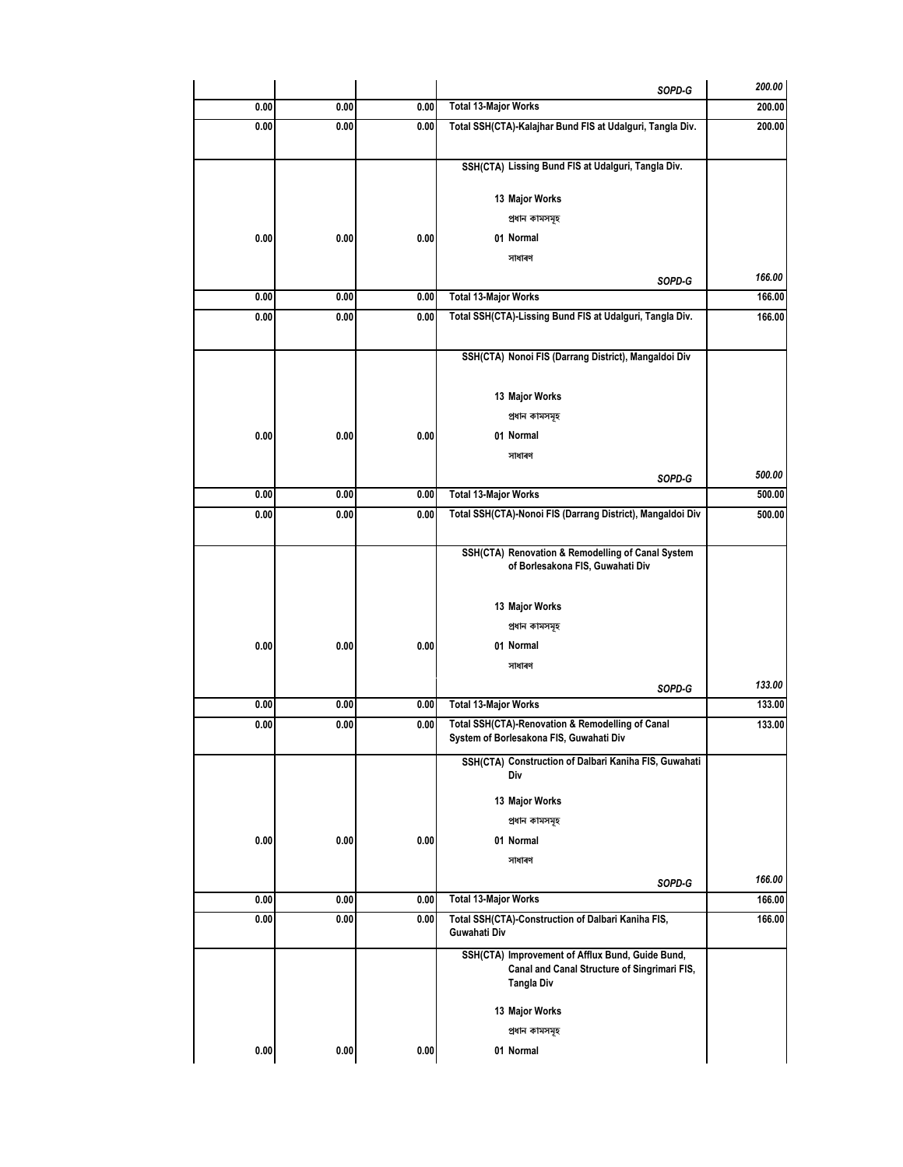|      |      |      | SOPD-G                                                                                                         | 200.00 |
|------|------|------|----------------------------------------------------------------------------------------------------------------|--------|
| 0.00 | 0.00 | 0.00 | <b>Total 13-Major Works</b>                                                                                    | 200.00 |
| 0.00 | 0.00 | 0.00 | Total SSH(CTA)-Kalajhar Bund FIS at Udalguri, Tangla Div.                                                      | 200.00 |
|      |      |      | SSH(CTA) Lissing Bund FIS at Udalguri, Tangla Div.                                                             |        |
|      |      |      | 13 Major Works                                                                                                 |        |
|      |      |      | প্ৰধান কামসমূহ                                                                                                 |        |
| 0.00 | 0.00 | 0.00 | 01 Normal                                                                                                      |        |
|      |      |      | সাধাৰণ                                                                                                         |        |
|      |      |      | SOPD-G                                                                                                         | 166.00 |
| 0.00 | 0.00 | 0.00 | <b>Total 13-Major Works</b>                                                                                    | 166.00 |
| 0.00 | 0.00 | 0.00 | Total SSH(CTA)-Lissing Bund FIS at Udalguri, Tangla Div.                                                       | 166.00 |
|      |      |      |                                                                                                                |        |
|      |      |      | SSH(CTA) Nonoi FIS (Darrang District), Mangaldoi Div                                                           |        |
|      |      |      |                                                                                                                |        |
|      |      |      | 13 Major Works                                                                                                 |        |
|      |      |      | প্ৰধান কামসমূহ                                                                                                 |        |
| 0.00 | 0.00 | 0.00 | 01 Normal                                                                                                      |        |
|      |      |      | সাধাৰণ                                                                                                         |        |
|      |      |      | SOPD-G                                                                                                         | 500.00 |
| 0.00 | 0.00 | 0.00 | <b>Total 13-Major Works</b>                                                                                    | 500.00 |
| 0.00 | 0.00 | 0.00 | Total SSH(CTA)-Nonoi FIS (Darrang District), Mangaldoi Div                                                     | 500.00 |
|      |      |      | SSH(CTA) Renovation & Remodelling of Canal System<br>of Borlesakona FIS, Guwahati Div                          |        |
|      |      |      | 13 Major Works                                                                                                 |        |
|      |      |      | প্ৰধান কামসমূহ                                                                                                 |        |
| 0.00 | 0.00 | 0.00 | 01 Normal                                                                                                      |        |
|      |      |      | সাধাৰণ                                                                                                         |        |
|      |      |      | SOPD-G                                                                                                         | 133.00 |
| 0.00 | 0.00 | 0.00 | <b>Total 13-Major Works</b>                                                                                    | 133.00 |
| 0.00 | 0.00 | 0.00 | Total SSH(CTA)-Renovation & Remodelling of Canal<br>System of Borlesakona FIS, Guwahati Div                    | 133.00 |
|      |      |      | SSH(CTA) Construction of Dalbari Kaniha FIS, Guwahati<br>Div                                                   |        |
|      |      |      |                                                                                                                |        |
|      |      |      | 13 Major Works                                                                                                 |        |
|      |      |      | প্ৰধান কামসমূহ                                                                                                 |        |
| 0.00 | 0.00 | 0.00 | 01 Normal                                                                                                      |        |
|      |      |      | সাধাৰণ                                                                                                         |        |
|      |      |      | SOPD-G<br><b>Total 13-Major Works</b>                                                                          | 166.00 |
| 0.00 | 0.00 | 0.00 |                                                                                                                | 166.00 |
| 0.00 | 0.00 | 0.00 | Total SSH(CTA)-Construction of Dalbari Kaniha FIS,<br>Guwahati Div                                             | 166.00 |
|      |      |      | SSH(CTA) Improvement of Afflux Bund, Guide Bund,<br>Canal and Canal Structure of Singrimari FIS,<br>Tangla Div |        |
|      |      |      | 13 Major Works                                                                                                 |        |
|      |      |      | প্ৰধান কামসমূহ                                                                                                 |        |
| 0.00 | 0.00 | 0.00 | 01 Normal                                                                                                      |        |
|      |      |      |                                                                                                                |        |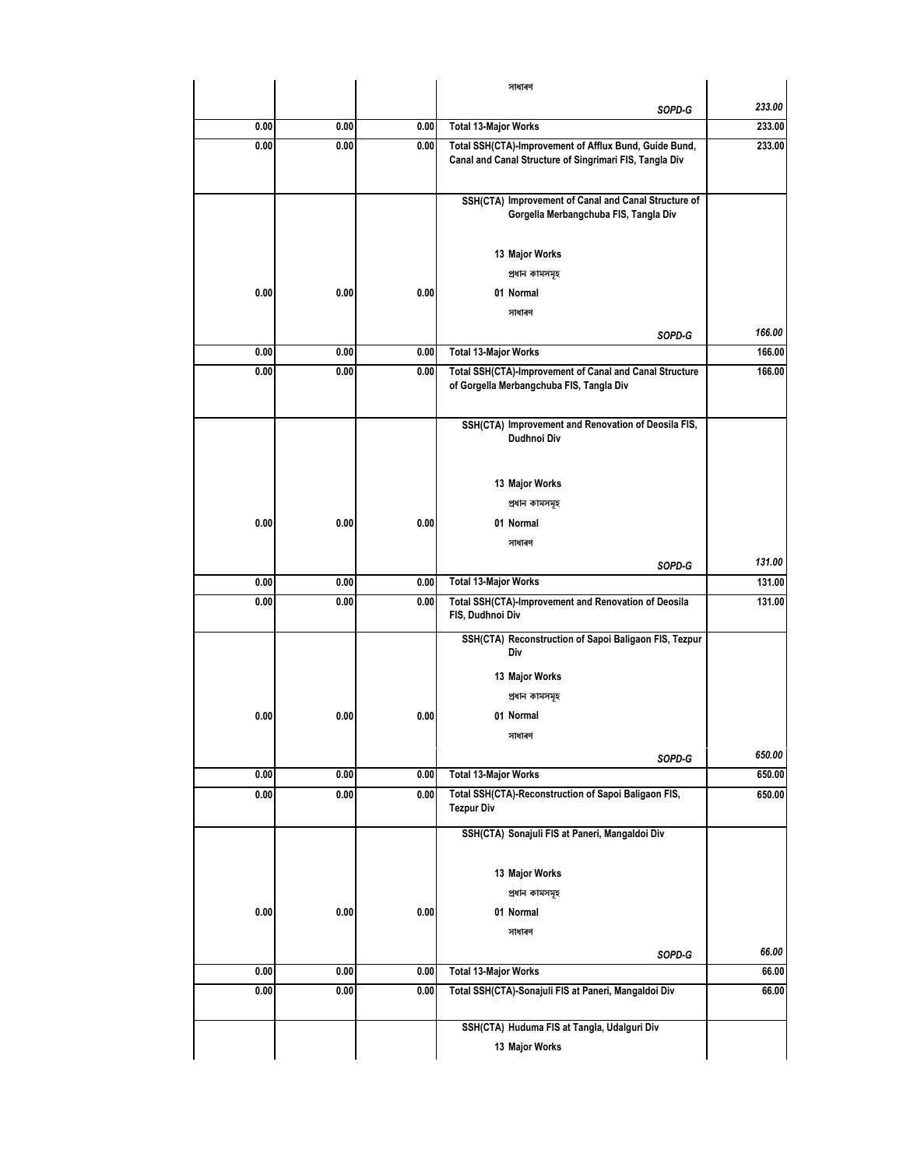|      |      |      | সাধাৰণ                                                                                                            |        |
|------|------|------|-------------------------------------------------------------------------------------------------------------------|--------|
|      |      |      | SOPD-G                                                                                                            | 233.00 |
| 0.00 | 0.00 | 0.00 | <b>Total 13-Major Works</b>                                                                                       | 233.00 |
| 0.00 | 0.00 | 0.00 | Total SSH(CTA)-Improvement of Afflux Bund, Guide Bund,<br>Canal and Canal Structure of Singrimari FIS, Tangla Div | 233.00 |
|      |      |      | SSH(CTA) Improvement of Canal and Canal Structure of<br>Gorgella Merbangchuba FIS, Tangla Div                     |        |
|      |      |      | 13 Major Works                                                                                                    |        |
|      |      |      | প্ৰধান কামসমূহ                                                                                                    |        |
| 0.00 | 0.00 | 0.00 | 01 Normal                                                                                                         |        |
|      |      |      | সাধাৰণ                                                                                                            |        |
|      |      |      | SOPD-G                                                                                                            | 166.00 |
| 0.00 | 0.00 | 0.00 | <b>Total 13-Major Works</b>                                                                                       | 166.00 |
| 0.00 | 0.00 | 0.00 | Total SSH(CTA)-Improvement of Canal and Canal Structure<br>of Gorgella Merbangchuba FIS, Tangla Div               | 166.00 |
|      |      |      | SSH(CTA) Improvement and Renovation of Deosila FIS,<br>Dudhnoi Div                                                |        |
|      |      |      | 13 Major Works                                                                                                    |        |
|      |      |      | প্ৰধান কামসমূহ                                                                                                    |        |
| 0.00 | 0.00 | 0.00 | 01 Normal                                                                                                         |        |
|      |      |      | সাধাৰণ                                                                                                            |        |
|      |      |      | SOPD-G                                                                                                            | 131.00 |
| 0.00 | 0.00 | 0.00 | <b>Total 13-Major Works</b>                                                                                       | 131.00 |
| 0.00 | 0.00 | 0.00 | Total SSH(CTA)-Improvement and Renovation of Deosila<br>FIS, Dudhnoi Div                                          | 131.00 |
|      |      |      | SSH(CTA) Reconstruction of Sapoi Baligaon FIS, Tezpur<br>Div                                                      |        |
|      |      |      | 13 Major Works                                                                                                    |        |
|      |      |      | প্ৰধান কামসমূহ                                                                                                    |        |
| 0.00 | 0.00 | 0.00 | 01 Normal                                                                                                         |        |
|      |      |      | সাধাৰণ                                                                                                            |        |
|      |      |      | SOPD-G                                                                                                            | 650.00 |
| 0.00 | 0.00 | 0.00 | <b>Total 13-Major Works</b>                                                                                       | 650.00 |
| 0.00 | 0.00 | 0.00 | Total SSH(CTA)-Reconstruction of Sapoi Baligaon FIS,<br><b>Tezpur Div</b>                                         | 650.00 |
|      |      |      | SSH(CTA) Sonajuli FIS at Paneri, Mangaldoi Div                                                                    |        |
|      |      |      | 13 Major Works                                                                                                    |        |
|      |      |      | প্ৰধান কামসমূহ                                                                                                    |        |
| 0.00 | 0.00 | 0.00 | 01 Normal                                                                                                         |        |
|      |      |      | সাধাৰণ                                                                                                            |        |
|      |      |      | SOPD-G                                                                                                            | 66.00  |
| 0.00 | 0.00 | 0.00 | <b>Total 13-Major Works</b>                                                                                       | 66.00  |
| 0.00 | 0.00 | 0.00 | Total SSH(CTA)-Sonajuli FIS at Paneri, Mangaldoi Div                                                              | 66.00  |
|      |      |      |                                                                                                                   |        |
|      |      |      | SSH(CTA) Huduma FIS at Tangla, Udalguri Div                                                                       |        |
|      |      |      | 13 Major Works                                                                                                    |        |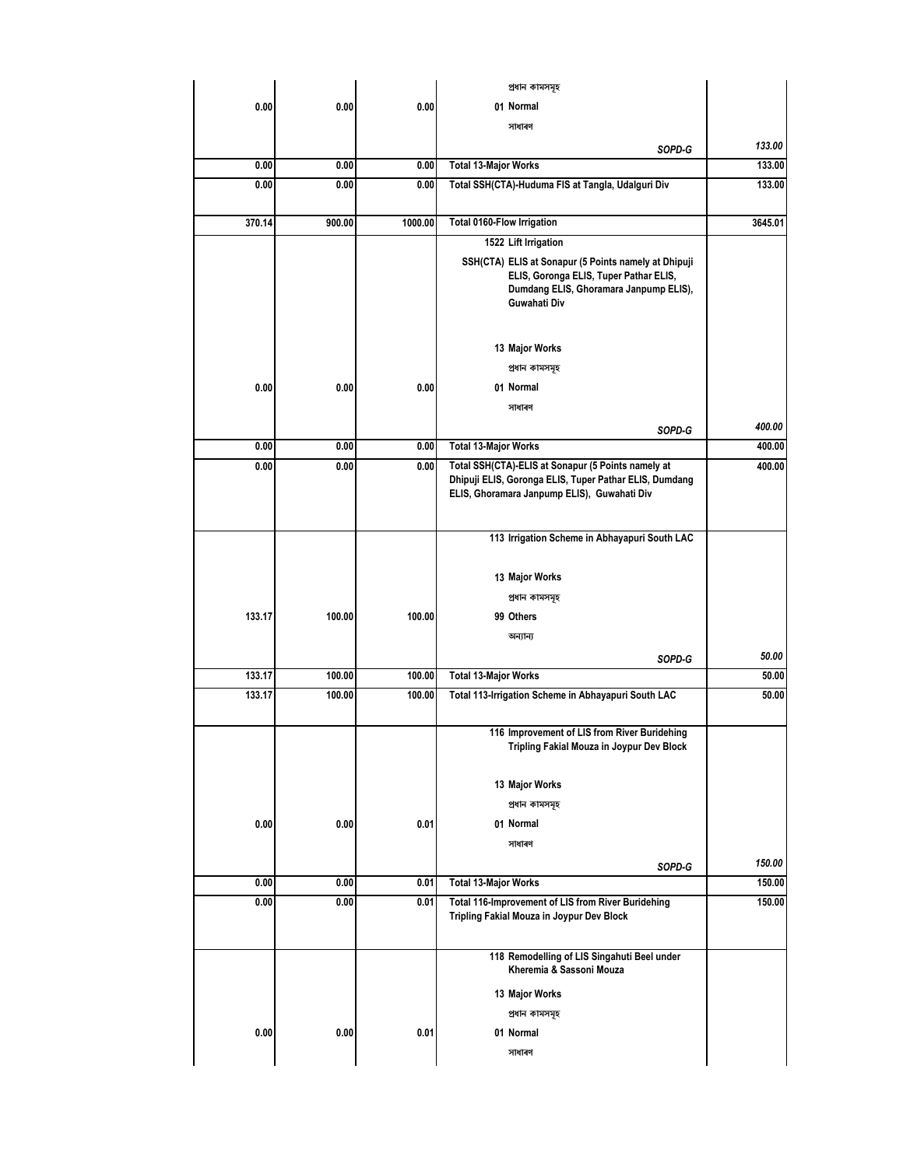|        |        |         | প্ৰধান কামসমূহ                                                                                                                                              |         |
|--------|--------|---------|-------------------------------------------------------------------------------------------------------------------------------------------------------------|---------|
| 0.00   | 0.00   | 0.00    | 01 Normal                                                                                                                                                   |         |
|        |        |         | সাধাৰণ                                                                                                                                                      |         |
|        |        |         | SOPD-G                                                                                                                                                      | 133.00  |
| 0.00   | 0.00   | 0.00    | <b>Total 13-Major Works</b>                                                                                                                                 | 133.00  |
| 0.00   | 0.00   | 0.00    | Total SSH(CTA)-Huduma FIS at Tangla, Udalguri Div                                                                                                           | 133.00  |
| 370.14 | 900.00 | 1000.00 | <b>Total 0160-Flow Irrigation</b>                                                                                                                           | 3645.01 |
|        |        |         | 1522 Lift Irrigation                                                                                                                                        |         |
|        |        |         | SSH(CTA) ELIS at Sonapur (5 Points namely at Dhipuji<br>ELIS, Goronga ELIS, Tuper Pathar ELIS,<br>Dumdang ELIS, Ghoramara Janpump ELIS),<br>Guwahati Div    |         |
|        |        |         | 13 Major Works                                                                                                                                              |         |
|        |        |         | প্ৰধান কামসমূহ                                                                                                                                              |         |
| 0.00   | 0.00   | 0.00    | 01 Normal                                                                                                                                                   |         |
|        |        |         | সাধাৰণ                                                                                                                                                      |         |
|        |        |         | SOPD-G                                                                                                                                                      | 400.00  |
| 0.00   | 0.00   | 0.00    | <b>Total 13-Major Works</b>                                                                                                                                 | 400.00  |
| 0.00   | 0.00   | 0.00    | Total SSH(CTA)-ELIS at Sonapur (5 Points namely at<br>Dhipuji ELIS, Goronga ELIS, Tuper Pathar ELIS, Dumdang<br>ELIS, Ghoramara Janpump ELIS), Guwahati Div | 400.00  |
|        |        |         | 113 Irrigation Scheme in Abhayapuri South LAC                                                                                                               |         |
|        |        |         |                                                                                                                                                             |         |
|        |        |         | 13 Major Works                                                                                                                                              |         |
|        |        |         | প্ৰধান কামসমূহ                                                                                                                                              |         |
| 133.17 | 100.00 | 100.00  | 99 Others                                                                                                                                                   |         |
|        |        |         | অন্যান্য                                                                                                                                                    |         |
|        |        |         | SOPD-G                                                                                                                                                      | 50.00   |
| 133.17 | 100.00 | 100.00  | <b>Total 13-Major Works</b>                                                                                                                                 | 50.00   |
| 133.17 | 100.00 | 100.00  | Total 113-Irrigation Scheme in Abhayapuri South LAC                                                                                                         | 50.00   |
|        |        |         | 116 Improvement of LIS from River Buridehing<br>Tripling Fakial Mouza in Joypur Dev Block                                                                   |         |
|        |        |         | 13 Major Works                                                                                                                                              |         |
|        |        |         | প্ৰধান কামসমূহ                                                                                                                                              |         |
| 0.00   | 0.00   | 0.01    | 01 Normal                                                                                                                                                   |         |
|        |        |         | সাধাৰণ                                                                                                                                                      |         |
|        |        |         |                                                                                                                                                             | 150.00  |
| 0.00   | 0.00   | 0.01    | SOPD-G<br><b>Total 13-Major Works</b>                                                                                                                       | 150.00  |
| 0.00   | 0.00   | 0.01    | Total 116-Improvement of LIS from River Buridehing                                                                                                          | 150.00  |
|        |        |         | Tripling Fakial Mouza in Joypur Dev Block                                                                                                                   |         |
|        |        |         | 118 Remodelling of LIS Singahuti Beel under<br>Kheremia & Sassoni Mouza                                                                                     |         |
|        |        |         | 13 Major Works                                                                                                                                              |         |
|        |        |         | প্ৰধান কামসমূহ                                                                                                                                              |         |
| 0.00   | 0.00   | 0.01    | 01 Normal                                                                                                                                                   |         |
|        |        |         | সাধাৰণ                                                                                                                                                      |         |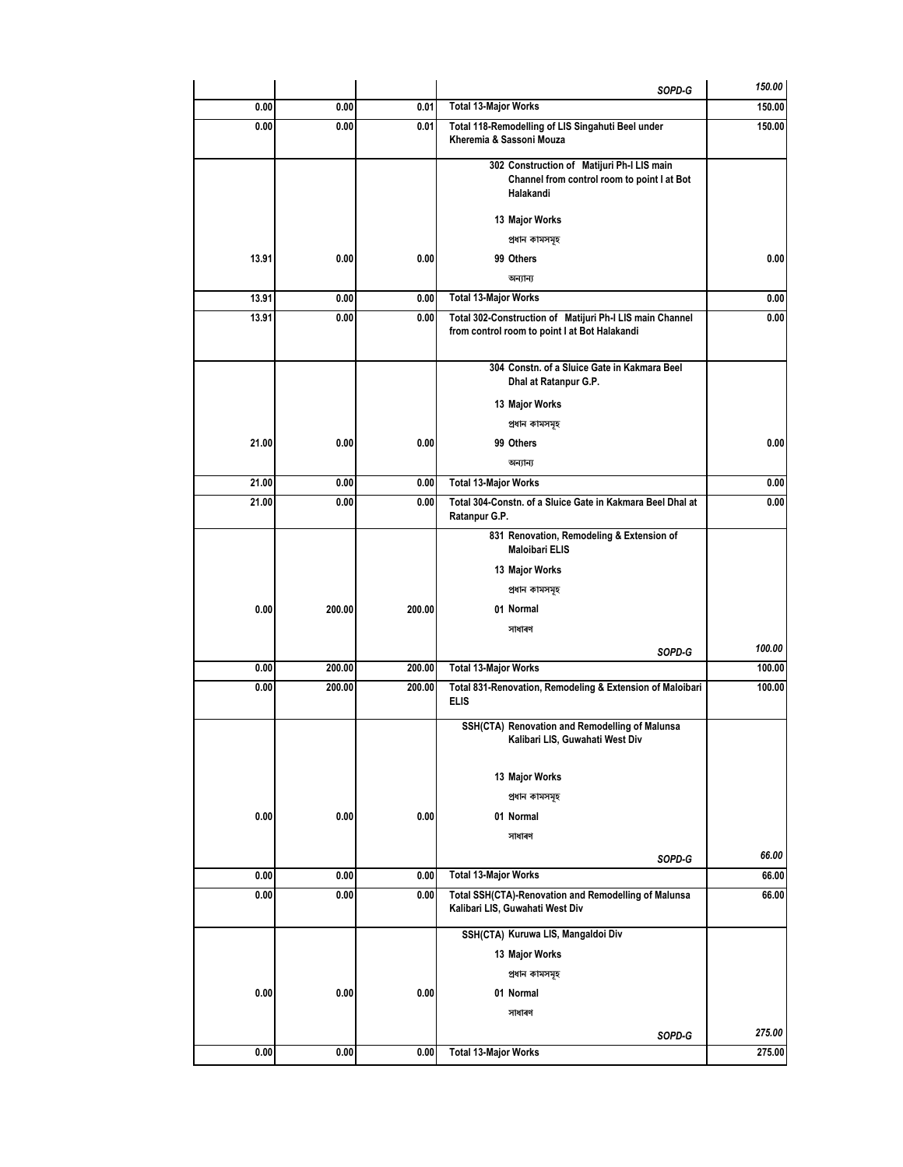| 0.00<br>0.00<br>0.01<br><b>Total 13-Major Works</b><br>0.01<br>Total 118-Remodelling of LIS Singahuti Beel under<br>0.00<br>0.00<br>Kheremia & Sassoni Mouza<br>302 Construction of Matijuri Ph-I LIS main<br>Channel from control room to point I at Bot<br>Halakandi<br>13 Major Works<br>প্ৰধান কামসমূহ<br>13.91<br>0.00<br>0.00<br>99 Others<br>অন্যান্য | 150.00<br>150.00<br>0.00 |
|--------------------------------------------------------------------------------------------------------------------------------------------------------------------------------------------------------------------------------------------------------------------------------------------------------------------------------------------------------------|--------------------------|
|                                                                                                                                                                                                                                                                                                                                                              |                          |
|                                                                                                                                                                                                                                                                                                                                                              |                          |
|                                                                                                                                                                                                                                                                                                                                                              |                          |
|                                                                                                                                                                                                                                                                                                                                                              |                          |
|                                                                                                                                                                                                                                                                                                                                                              |                          |
|                                                                                                                                                                                                                                                                                                                                                              |                          |
|                                                                                                                                                                                                                                                                                                                                                              |                          |
| <b>Total 13-Major Works</b><br>13.91<br>0.00<br>0.00                                                                                                                                                                                                                                                                                                         | 0.00                     |
| 13.91<br>0.00<br>Total 302-Construction of Matijuri Ph-I LIS main Channel<br>0.00<br>from control room to point I at Bot Halakandi                                                                                                                                                                                                                           | 0.00                     |
| 304 Constn. of a Sluice Gate in Kakmara Beel<br>Dhal at Ratanpur G.P.                                                                                                                                                                                                                                                                                        |                          |
| 13 Major Works                                                                                                                                                                                                                                                                                                                                               |                          |
| প্ৰধান কামসমূহ                                                                                                                                                                                                                                                                                                                                               |                          |
| 21.00<br>0.00<br>0.00<br>99 Others                                                                                                                                                                                                                                                                                                                           | 0.00                     |
| অন্যান্য                                                                                                                                                                                                                                                                                                                                                     |                          |
| 21.00<br>0.00<br><b>Total 13-Major Works</b><br>0.00                                                                                                                                                                                                                                                                                                         | 0.00                     |
| 21.00<br>0.00<br>0.00<br>Total 304-Constn. of a Sluice Gate in Kakmara Beel Dhal at<br>Ratanpur G.P.                                                                                                                                                                                                                                                         | 0.00                     |
| 831 Renovation, Remodeling & Extension of<br><b>Maloibari ELIS</b>                                                                                                                                                                                                                                                                                           |                          |
| 13 Major Works                                                                                                                                                                                                                                                                                                                                               |                          |
| প্ৰধান কামসমূহ                                                                                                                                                                                                                                                                                                                                               |                          |
| 0.00<br>200.00<br>200.00<br>01 Normal                                                                                                                                                                                                                                                                                                                        |                          |
| সাধাৰণ                                                                                                                                                                                                                                                                                                                                                       |                          |
| SOPD-G                                                                                                                                                                                                                                                                                                                                                       | 100.00                   |
| 0.00<br>200.00<br>200.00<br><b>Total 13-Major Works</b>                                                                                                                                                                                                                                                                                                      | 100.00                   |
| Total 831-Renovation, Remodeling & Extension of Maloibari<br>0.00<br>200.00<br>200.00<br>ELIS                                                                                                                                                                                                                                                                | 100.00                   |
| SSH(CTA) Renovation and Remodelling of Malunsa<br>Kalibari LIS, Guwahati West Div                                                                                                                                                                                                                                                                            |                          |
| 13 Major Works                                                                                                                                                                                                                                                                                                                                               |                          |
| প্ৰধান কামসমূহ                                                                                                                                                                                                                                                                                                                                               |                          |
| 0.00<br>0.00<br>0.00<br>01 Normal                                                                                                                                                                                                                                                                                                                            |                          |
| সাধাৰণ                                                                                                                                                                                                                                                                                                                                                       |                          |
| SOPD-G                                                                                                                                                                                                                                                                                                                                                       | 66.00                    |
| 0.00<br>0.00<br>0.00<br><b>Total 13-Major Works</b>                                                                                                                                                                                                                                                                                                          | 66.00                    |
| 0.00<br>0.00<br>0.00<br>Total SSH(CTA)-Renovation and Remodelling of Malunsa<br>Kalibari LIS, Guwahati West Div                                                                                                                                                                                                                                              | 66.00                    |
| SSH(CTA) Kuruwa LIS, Mangaldoi Div                                                                                                                                                                                                                                                                                                                           |                          |
| 13 Major Works                                                                                                                                                                                                                                                                                                                                               |                          |
| প্ৰধান কামসমূহ                                                                                                                                                                                                                                                                                                                                               |                          |
| 0.00<br>0.00<br>0.00<br>01 Normal                                                                                                                                                                                                                                                                                                                            |                          |
| সাধাৰণ                                                                                                                                                                                                                                                                                                                                                       |                          |
| SOPD-G                                                                                                                                                                                                                                                                                                                                                       | 275.00                   |
| 0.00<br>0.00<br>275.00<br>0.00<br><b>Total 13-Major Works</b>                                                                                                                                                                                                                                                                                                |                          |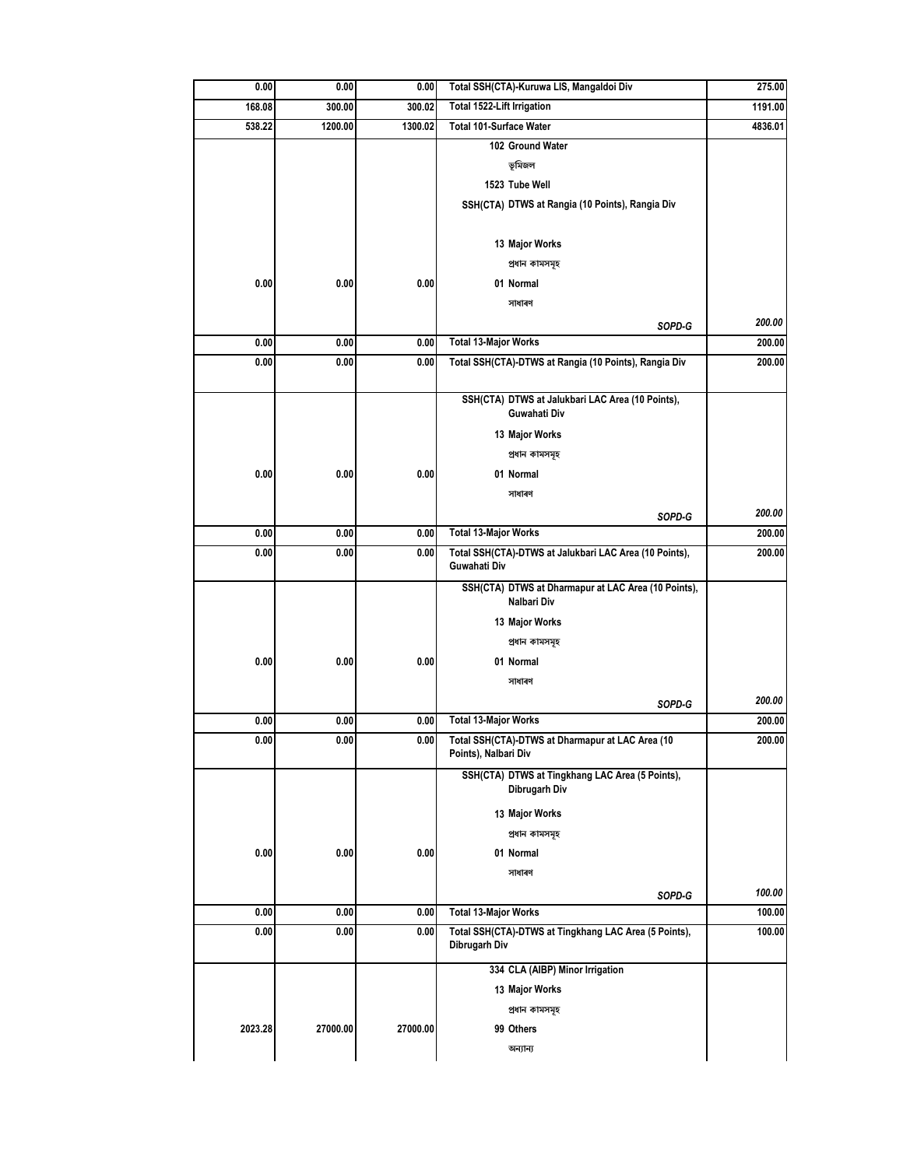| 275.00  | Total SSH(CTA)-Kuruwa LIS, Mangaldoi Div                                 | 0.00        | 0.00     | 0.00    |
|---------|--------------------------------------------------------------------------|-------------|----------|---------|
| 1191.00 | Total 1522-Lift Irrigation                                               | 300.02      | 300.00   | 168.08  |
| 4836.01 | Total 101-Surface Water                                                  | 1300.02     | 1200.00  | 538.22  |
|         | 102 Ground Water                                                         |             |          |         |
|         | ভূমিজল                                                                   |             |          |         |
|         | 1523 Tube Well                                                           |             |          |         |
|         | SSH(CTA) DTWS at Rangia (10 Points), Rangia Div                          |             |          |         |
|         |                                                                          |             |          |         |
|         | 13 Major Works                                                           |             |          |         |
|         | প্ৰধান কামসমূহ                                                           |             |          |         |
|         | 01 Normal                                                                | 0.00        | 0.00     | 0.00    |
|         | সাধাৰণ                                                                   |             |          |         |
| 200.00  | SOPD-G                                                                   |             |          |         |
| 200.00  | <b>Total 13-Major Works</b>                                              | 0.00        | 0.00     | 0.00    |
| 200.00  | Total SSH(CTA)-DTWS at Rangia (10 Points), Rangia Div                    | 0.00        | 0.00     | 0.00    |
|         |                                                                          |             |          |         |
|         | SSH(CTA) DTWS at Jalukbari LAC Area (10 Points),<br>Guwahati Div         |             |          |         |
|         |                                                                          |             |          |         |
|         | 13 Major Works                                                           |             |          |         |
|         | প্ৰধান কামসমূহ                                                           |             |          |         |
|         | 01 Normal                                                                | 0.00        | 0.00     | 0.00    |
|         | সাধাৰণ                                                                   |             |          |         |
| 200.00  | SOPD-G                                                                   |             |          |         |
| 200.00  | <b>Total 13-Major Works</b>                                              | 0.00        | 0.00     | 0.00    |
| 200.00  | Total SSH(CTA)-DTWS at Jalukbari LAC Area (10 Points),<br>Guwahati Div   | 0.00        | 0.00     | 0.00    |
|         | SSH(CTA) DTWS at Dharmapur at LAC Area (10 Points),<br>Nalbari Div       |             |          |         |
|         | 13 Major Works                                                           |             |          |         |
|         | প্ৰধান কামসমূহ                                                           |             |          |         |
|         | 01 Normal                                                                | 0.00        | 0.00     | 0.00    |
|         | সাধাৰণ                                                                   |             |          |         |
| 200.00  | SOPD-G                                                                   |             |          |         |
| 200.00  | <b>Total 13-Major Works</b>                                              | 0.00        | 0.00     | 0.00    |
| 200.00  | Total SSH(CTA)-DTWS at Dharmapur at LAC Area (10<br>Points), Nalbari Div | <b>0.00</b> | 0.00     | 0.00    |
|         | SSH(CTA) DTWS at Tingkhang LAC Area (5 Points),<br>Dibrugarh Div         |             |          |         |
|         | 13 Major Works                                                           |             |          |         |
|         | প্ৰধান কামসমূহ                                                           |             |          |         |
|         | 01 Normal                                                                | 0.00        | 0.00     | 0.00    |
|         | সাধাৰণ                                                                   |             |          |         |
| 100.00  | SOPD-G                                                                   |             |          |         |
| 100.00  | <b>Total 13-Major Works</b>                                              | 0.00        | 0.00     | 0.00    |
| 100.00  | Total SSH(CTA)-DTWS at Tingkhang LAC Area (5 Points),<br>Dibrugarh Div   | 0.00        | 0.00     | 0.00    |
|         | 334 CLA (AIBP) Minor Irrigation                                          |             |          |         |
|         | 13 Major Works                                                           |             |          |         |
|         | প্ৰধান কামসমূহ                                                           |             |          |         |
|         | 99 Others                                                                | 27000.00    | 27000.00 | 2023.28 |
|         | অন্যান্য                                                                 |             |          |         |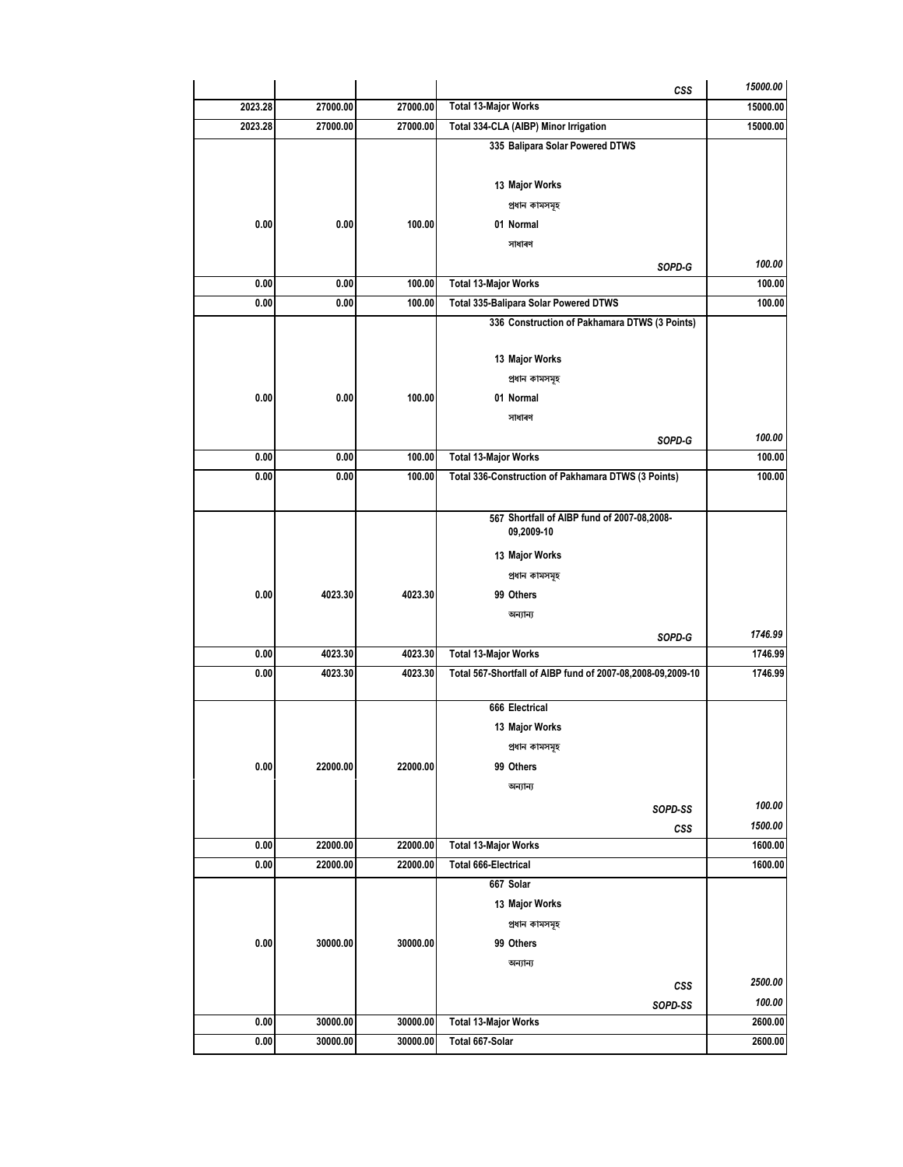|         |          |          | CSS                                                         | 15000.00         |
|---------|----------|----------|-------------------------------------------------------------|------------------|
| 2023.28 | 27000.00 | 27000.00 | <b>Total 13-Major Works</b>                                 | 15000.00         |
| 2023.28 | 27000.00 | 27000.00 | Total 334-CLA (AIBP) Minor Irrigation                       | 15000.00         |
|         |          |          | 335 Balipara Solar Powered DTWS                             |                  |
|         |          |          |                                                             |                  |
|         |          |          | 13 Major Works                                              |                  |
|         |          |          | প্ৰধান কামসমূহ                                              |                  |
| 0.00    | 0.00     | 100.00   | 01 Normal                                                   |                  |
|         |          |          | সাধাৰণ                                                      |                  |
| 0.00    | 0.00     | 100.00   | SOPD-G<br><b>Total 13-Major Works</b>                       | 100.00<br>100.00 |
| 0.00    | 0.00     | 100.00   | Total 335-Balipara Solar Powered DTWS                       | 100.00           |
|         |          |          | 336 Construction of Pakhamara DTWS (3 Points)               |                  |
|         |          |          |                                                             |                  |
|         |          |          | 13 Major Works                                              |                  |
|         |          |          | প্ৰধান কামসমূহ                                              |                  |
| 0.00    | 0.00     | 100.00   | 01 Normal                                                   |                  |
|         |          |          | সাধাৰণ                                                      |                  |
|         |          |          | SOPD-G                                                      | 100.00           |
| 0.00    | 0.00     | 100.00   | <b>Total 13-Major Works</b>                                 | 100.00           |
| 0.00    | 0.00     | 100.00   | Total 336-Construction of Pakhamara DTWS (3 Points)         | 100.00           |
|         |          |          |                                                             |                  |
|         |          |          | 567 Shortfall of AIBP fund of 2007-08,2008-                 |                  |
|         |          |          | 09,2009-10                                                  |                  |
|         |          |          | 13 Major Works                                              |                  |
|         |          |          | প্ৰধান কামসমূহ                                              |                  |
| 0.00    | 4023.30  | 4023.30  | 99 Others                                                   |                  |
|         |          |          | অন্যান্য                                                    |                  |
|         |          |          | SOPD-G                                                      | 1746.99          |
| 0.00    | 4023.30  | 4023.30  | <b>Total 13-Major Works</b>                                 | 1746.99          |
| 0.00    | 4023.30  | 4023.30  | Total 567-Shortfall of AIBP fund of 2007-08,2008-09,2009-10 | 1746.99          |
|         |          |          | 666 Electrical                                              |                  |
|         |          |          | 13 Major Works                                              |                  |
|         |          |          | প্ৰধান কামসমূহ                                              |                  |
| 0.00    | 22000.00 | 22000.00 | 99 Others                                                   |                  |
|         |          |          | অন্যান্য                                                    |                  |
|         |          |          | SOPD-SS                                                     | 100.00           |
|         |          |          | CSS                                                         | 1500.00          |
| 0.00    | 22000.00 | 22000.00 | <b>Total 13-Major Works</b>                                 | 1600.00          |
| 0.00    | 22000.00 | 22000.00 | <b>Total 666-Electrical</b>                                 | 1600.00          |
|         |          |          | 667 Solar                                                   |                  |
|         |          |          | 13 Major Works                                              |                  |
|         |          |          | প্ৰধান কামসমূহ                                              |                  |
| 0.00    | 30000.00 | 30000.00 | 99 Others                                                   |                  |
|         |          |          | অন্যান্য                                                    |                  |
|         |          |          | <b>CSS</b>                                                  | 2500.00          |
|         |          |          | SOPD-SS                                                     | 100.00           |
| 0.00    | 30000.00 | 30000.00 | <b>Total 13-Major Works</b>                                 | 2600.00          |
| 0.00    | 30000.00 | 30000.00 | Total 667-Solar                                             | 2600.00          |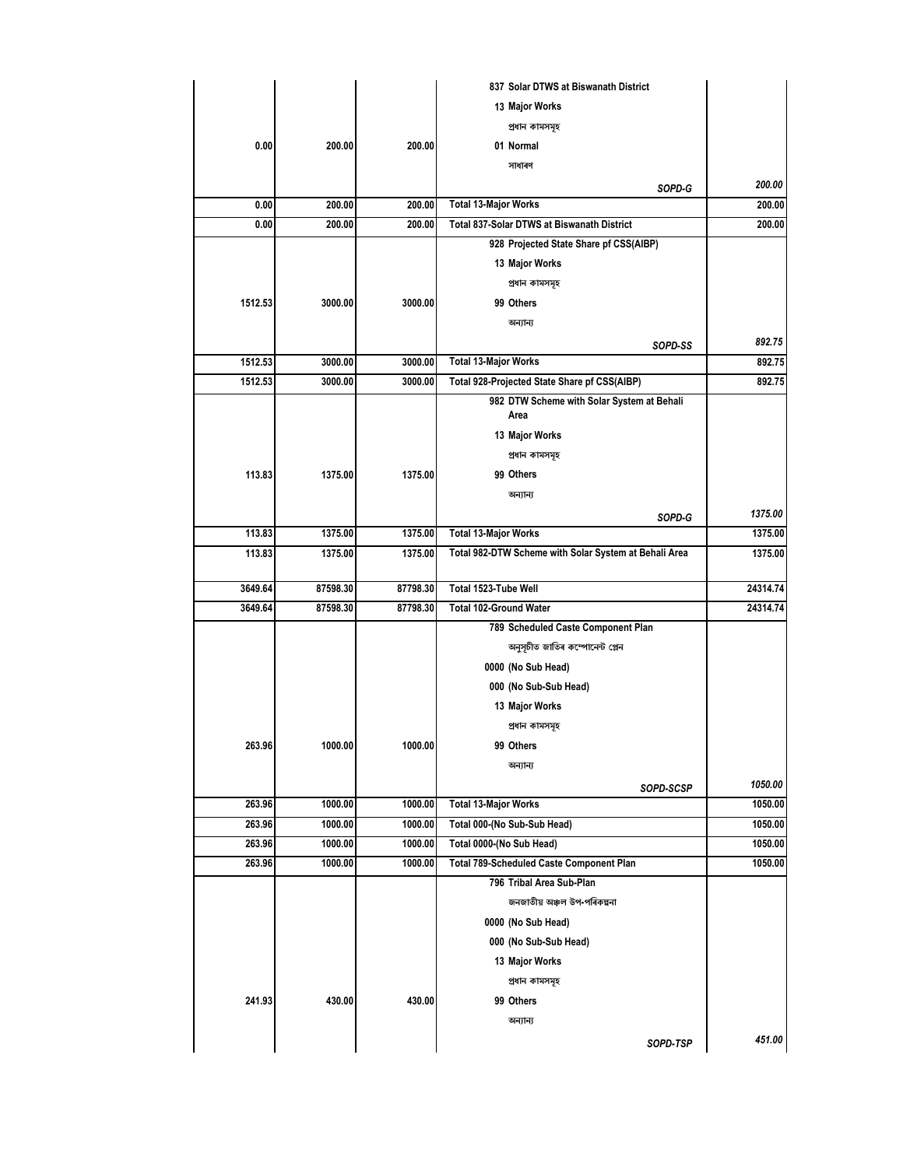|         |          |          | 837 Solar DTWS at Biswanath District                  |          |
|---------|----------|----------|-------------------------------------------------------|----------|
|         |          |          | 13 Major Works                                        |          |
|         |          |          | প্ৰধান কামসমূহ                                        |          |
| 0.00    | 200.00   | 200.00   | 01 Normal                                             |          |
|         |          |          | সাধাৰণ                                                |          |
|         |          |          | SOPD-G                                                | 200.00   |
| 0.00    | 200.00   | 200.00   | <b>Total 13-Major Works</b>                           | 200.00   |
| 0.00    | 200.00   | 200.00   | Total 837-Solar DTWS at Biswanath District            | 200.00   |
|         |          |          | 928 Projected State Share pf CSS(AIBP)                |          |
|         |          |          | 13 Major Works                                        |          |
|         |          |          | প্ৰধান কামসমূহ                                        |          |
| 1512.53 | 3000.00  | 3000.00  | 99 Others                                             |          |
|         |          |          | অন্যান্য                                              |          |
|         |          |          | SOPD-SS                                               | 892.75   |
| 1512.53 | 3000.00  | 3000.00  | <b>Total 13-Major Works</b>                           | 892.75   |
| 1512.53 | 3000.00  | 3000.00  | Total 928-Projected State Share pf CSS(AIBP)          | 892.75   |
|         |          |          | 982 DTW Scheme with Solar System at Behali<br>Area    |          |
|         |          |          | 13 Major Works                                        |          |
|         |          |          | প্ৰধান কামসমূহ                                        |          |
| 113.83  | 1375.00  | 1375.00  | 99 Others                                             |          |
|         |          |          | অন্যান্য                                              |          |
|         |          |          | SOPD-G                                                | 1375.00  |
| 113.83  | 1375.00  | 1375.00  | <b>Total 13-Major Works</b>                           | 1375.00  |
| 113.83  | 1375.00  | 1375.00  | Total 982-DTW Scheme with Solar System at Behali Area | 1375.00  |
| 3649.64 | 87598.30 | 87798.30 | Total 1523-Tube Well                                  | 24314.74 |
| 3649.64 | 87598.30 | 87798.30 | <b>Total 102-Ground Water</b>                         | 24314.74 |
|         |          |          | 789 Scheduled Caste Component Plan                    |          |
|         |          |          | অনুসূচীত জাতিৰ কম্পোনেন্ট প্লেন                       |          |
|         |          |          | 0000 (No Sub Head)                                    |          |
|         |          |          | 000 (No Sub-Sub Head)                                 |          |
|         |          |          | 13 Major Works                                        |          |
|         |          |          | প্ৰধান কামসমূহ                                        |          |
| 263.96  | 1000.00  | 1000.00  | 99 Others                                             |          |
|         |          |          | অন্যান্য                                              |          |
|         |          |          | SOPD-SCSP                                             | 1050.00  |
| 263.96  | 1000.00  | 1000.00  | <b>Total 13-Major Works</b>                           | 1050.00  |
| 263.96  | 1000.00  | 1000.00  | Total 000-(No Sub-Sub Head)                           | 1050.00  |
| 263.96  | 1000.00  | 1000.00  | Total 0000-(No Sub Head)                              | 1050.00  |
| 263.96  | 1000.00  | 1000.00  | Total 789-Scheduled Caste Component Plan              | 1050.00  |
|         |          |          | 796 Tribal Area Sub-Plan                              |          |
|         |          |          | জনজাতীয় অঞ্চল উপ-পৰিকল্পনা                           |          |
|         |          |          | 0000 (No Sub Head)                                    |          |
|         |          |          | 000 (No Sub-Sub Head)                                 |          |
|         |          |          | 13 Major Works                                        |          |
|         |          |          | প্ৰধান কামসমূহ                                        |          |
| 241.93  | 430.00   | 430.00   | 99 Others                                             |          |
|         |          |          | অন্যান্য                                              |          |
|         |          |          | SOPD-TSP                                              | 451.00   |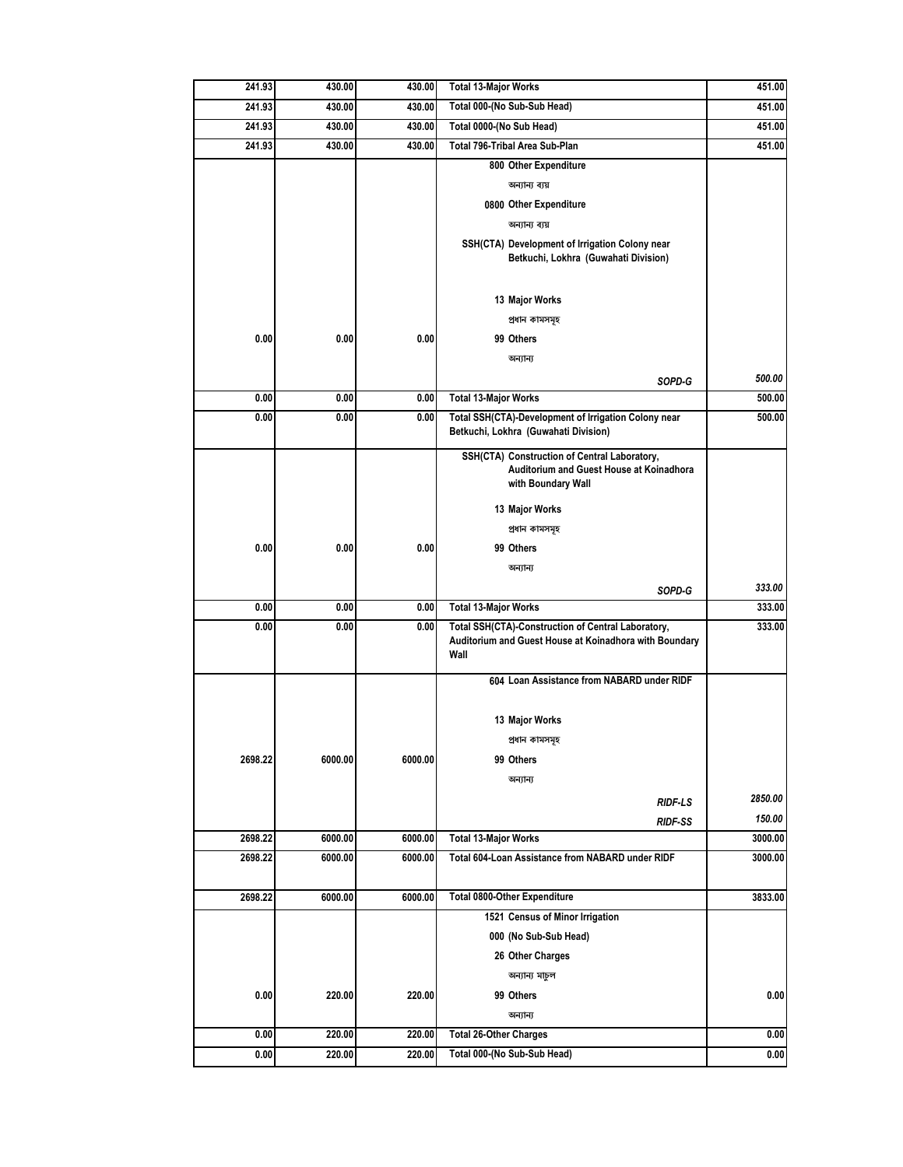| 241.93  | 430.00  | 430.00  | <b>Total 13-Major Works</b>                                                                                          | 451.00  |
|---------|---------|---------|----------------------------------------------------------------------------------------------------------------------|---------|
| 241.93  | 430.00  | 430.00  | Total 000-(No Sub-Sub Head)                                                                                          | 451.00  |
| 241.93  | 430.00  | 430.00  | Total 0000-(No Sub Head)                                                                                             | 451.00  |
| 241.93  | 430.00  | 430.00  | Total 796-Tribal Area Sub-Plan                                                                                       | 451.00  |
|         |         |         | 800 Other Expenditure                                                                                                |         |
|         |         |         | অন্যান্য ব্যয়                                                                                                       |         |
|         |         |         | 0800 Other Expenditure                                                                                               |         |
|         |         |         | অন্যান্য ব্যয়                                                                                                       |         |
|         |         |         | SSH(CTA) Development of Irrigation Colony near<br>Betkuchi, Lokhra (Guwahati Division)                               |         |
|         |         |         | 13 Major Works                                                                                                       |         |
|         |         |         | প্ৰধান কামসমূহ                                                                                                       |         |
| 0.00    | 0.00    | 0.00    | 99 Others                                                                                                            |         |
|         |         |         | অন্যান্য                                                                                                             |         |
|         |         |         | SOPD-G                                                                                                               | 500.00  |
| 0.00    | 0.00    | 0.00    | <b>Total 13-Major Works</b>                                                                                          | 500.00  |
| 0.00    | 0.00    | 0.00    | Total SSH(CTA)-Development of Irrigation Colony near<br>Betkuchi, Lokhra (Guwahati Division)                         | 500.00  |
|         |         |         | SSH(CTA) Construction of Central Laboratory,<br>Auditorium and Guest House at Koinadhora<br>with Boundary Wall       |         |
|         |         |         | 13 Major Works                                                                                                       |         |
|         |         |         | প্ৰধান কামসমূহ                                                                                                       |         |
| 0.00    | 0.00    | 0.00    | 99 Others                                                                                                            |         |
|         |         |         | অন্যান্য                                                                                                             |         |
|         |         |         | SOPD-G                                                                                                               | 333.00  |
| 0.00    | 0.00    | 0.00    | <b>Total 13-Major Works</b>                                                                                          | 333.00  |
| 0.00    | 0.00    | 0.00    | Total SSH(CTA)-Construction of Central Laboratory,<br>Auditorium and Guest House at Koinadhora with Boundary<br>Wall | 333.00  |
|         |         |         |                                                                                                                      |         |
|         |         |         | 604 Loan Assistance from NABARD under RIDF                                                                           |         |
|         |         |         | 13 Major Works                                                                                                       |         |
|         |         |         | প্ৰধান কামসমূহ                                                                                                       |         |
| 2698.22 | 6000.00 | 6000.00 | 99 Others                                                                                                            |         |
|         |         |         | অন্যান্য                                                                                                             |         |
|         |         |         | RIDF-LS                                                                                                              | 2850.00 |
|         |         |         | RIDF-SS                                                                                                              | 150.00  |
| 2698.22 | 6000.00 | 6000.00 | <b>Total 13-Major Works</b>                                                                                          | 3000.00 |
| 2698.22 | 6000.00 | 6000.00 | Total 604-Loan Assistance from NABARD under RIDF                                                                     | 3000.00 |
|         |         |         |                                                                                                                      |         |
| 2698.22 | 6000.00 | 6000.00 | Total 0800-Other Expenditure                                                                                         | 3833.00 |
|         |         |         | 1521 Census of Minor Irrigation                                                                                      |         |
|         |         |         | 000 (No Sub-Sub Head)                                                                                                |         |
|         |         |         | 26 Other Charges                                                                                                     |         |
|         |         |         | অন্যান্য মাচুল                                                                                                       |         |
| 0.00    | 220.00  | 220.00  | 99 Others                                                                                                            | 0.00    |
|         |         |         | অন্যান্য                                                                                                             |         |
| 0.00    | 220.00  | 220.00  | <b>Total 26-Other Charges</b>                                                                                        | 0.00    |
| 0.00    | 220.00  | 220.00  | Total 000-(No Sub-Sub Head)                                                                                          | 0.00    |
|         |         |         |                                                                                                                      |         |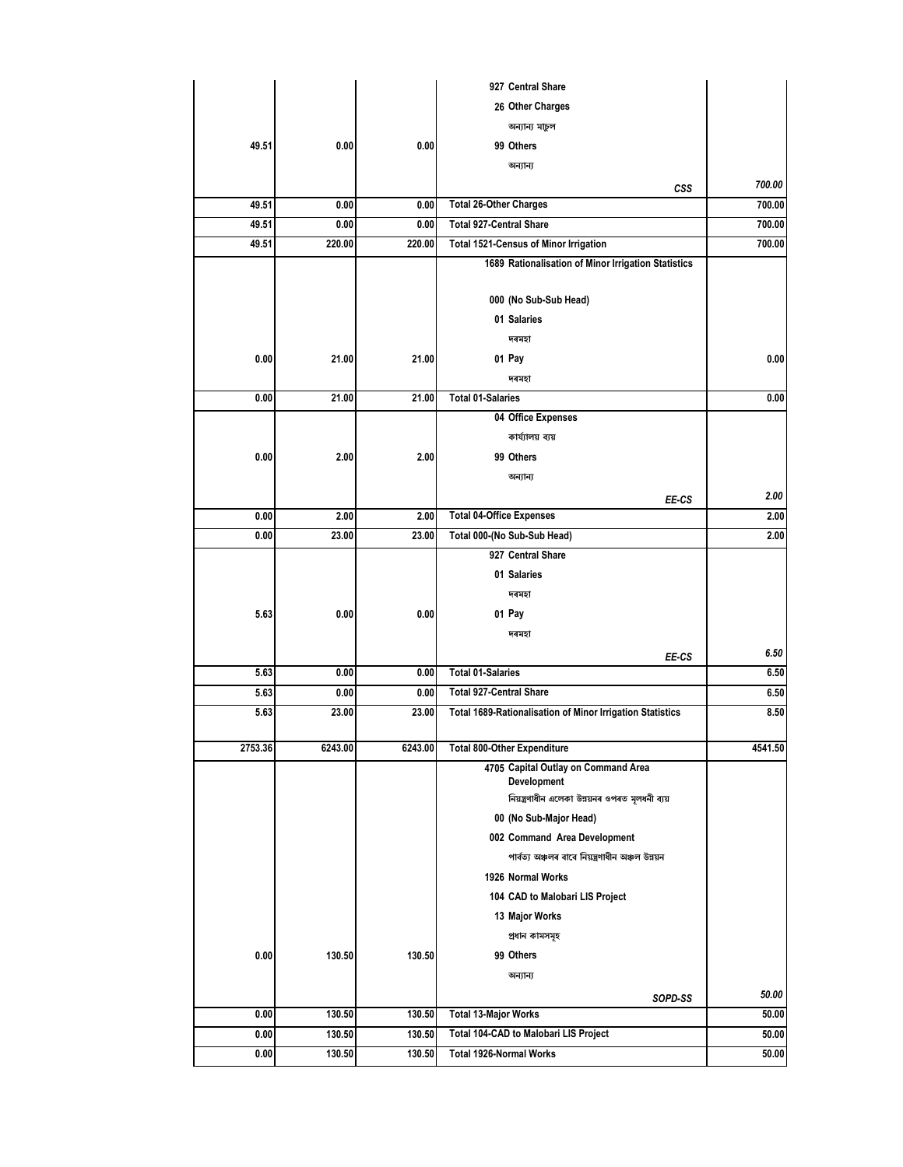|         |         |         | 927 Central Share                                              |         |
|---------|---------|---------|----------------------------------------------------------------|---------|
|         |         |         | 26 Other Charges                                               |         |
|         |         |         | অন্যান্য মাচুল                                                 |         |
| 49.51   | 0.00    | 0.00    | 99 Others                                                      |         |
|         |         |         | অন্যান্য                                                       |         |
|         |         |         | CSS                                                            | 700.00  |
| 49.51   | 0.00    | 0.00    | <b>Total 26-Other Charges</b>                                  | 700.00  |
| 49.51   | 0.00    | 0.00    | <b>Total 927-Central Share</b>                                 | 700.00  |
| 49.51   | 220.00  | 220.00  | Total 1521-Census of Minor Irrigation                          | 700.00  |
|         |         |         | 1689 Rationalisation of Minor Irrigation Statistics            |         |
|         |         |         |                                                                |         |
|         |         |         | 000 (No Sub-Sub Head)                                          |         |
|         |         |         | 01 Salaries                                                    |         |
|         |         |         | দৰমহা                                                          |         |
| 0.00    | 21.00   | 21.00   | 01 Pay                                                         | 0.00    |
|         |         |         | দৰমহা                                                          |         |
| 0.00    | 21.00   | 21.00   | <b>Total 01-Salaries</b>                                       | 0.00    |
|         |         |         | 04 Office Expenses                                             |         |
|         |         |         | কাৰ্য্যালয় ব্যয়                                              |         |
| 0.00    | 2.00    | 2.00    | 99 Others                                                      |         |
|         |         |         | অন্যান্য                                                       |         |
|         |         |         | EE-CS                                                          | 2.00    |
| 0.00    | 2.00    | 2.00    | <b>Total 04-Office Expenses</b>                                | 2.00    |
| 0.00    | 23.00   | 23.00   | Total 000-(No Sub-Sub Head)                                    | 2.00    |
|         |         |         | 927 Central Share                                              |         |
|         |         |         | 01 Salaries                                                    |         |
|         |         |         | দৰমহা                                                          |         |
| 5.63    | 0.00    | 0.00    | 01 Pay                                                         |         |
|         |         |         | দৰমহা                                                          |         |
|         |         |         | EE-CS                                                          | 6.50    |
| 5.63    | 0.00    | 0.00    | <b>Total 01-Salaries</b>                                       | 6.50    |
| 5.63    | 0.00    | 0.00    | <b>Total 927-Central Share</b>                                 | 6.50    |
| 5.63    | 23.00   | 23.00   | Total 1689-Rationalisation of Minor Irrigation Statistics      | 8.50    |
|         |         |         |                                                                |         |
| 2753.36 | 6243.00 | 6243.00 | <b>Total 800-Other Expenditure</b>                             | 4541.50 |
|         |         |         | 4705 Capital Outlay on Command Area                            |         |
|         |         |         | Development<br>নিয়ন্ত্ৰণাধীন এলেকা উন্নয়নৰ ওপৰত মূলধনী ব্যয় |         |
|         |         |         | 00 (No Sub-Major Head)                                         |         |
|         |         |         | 002 Command Area Development                                   |         |
|         |         |         | পাৰ্বত্য অঞ্চলৰ বাবে নিয়ন্ত্ৰণাধীন অঞ্চল উন্নয়ন              |         |
|         |         |         | 1926 Normal Works                                              |         |
|         |         |         | 104 CAD to Malobari LIS Project                                |         |
|         |         |         |                                                                |         |
|         |         |         | 13 Major Works                                                 |         |
|         |         |         | প্ৰধান কামসমূহ                                                 |         |
| 0.00    | 130.50  | 130.50  | 99 Others                                                      |         |
|         |         |         | অন্যান্য                                                       |         |
|         |         |         | SOPD-SS                                                        | 50.00   |
| 0.00    | 130.50  | 130.50  | <b>Total 13-Major Works</b>                                    | 50.00   |
| 0.00    | 130.50  | 130.50  | Total 104-CAD to Malobari LIS Project                          | 50.00   |
| 0.00    | 130.50  | 130.50  | Total 1926-Normal Works                                        | 50.00   |